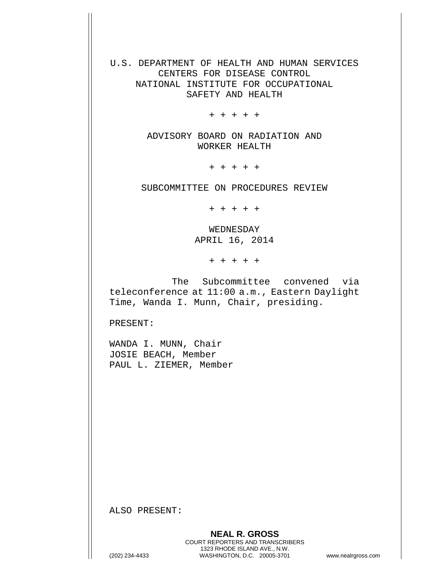U.S. DEPARTMENT OF HEALTH AND HUMAN SERVICES CENTERS FOR DISEASE CONTROL NATIONAL INSTITUTE FOR OCCUPATIONAL SAFETY AND HEALTH

+ + + + +

ADVISORY BOARD ON RADIATION AND WORKER HEALTH

+ + + + +

SUBCOMMITTEE ON PROCEDURES REVIEW

+ + + + +

WEDNESDAY APRIL 16, 2014

+ + + + +

The Subcommittee convened via teleconference at 11:00 a.m., Eastern Daylight Time, Wanda I. Munn, Chair, presiding.

PRESENT:

WANDA I. MUNN, Chair JOSIE BEACH, Member PAUL L. ZIEMER, Member

ALSO PRESENT: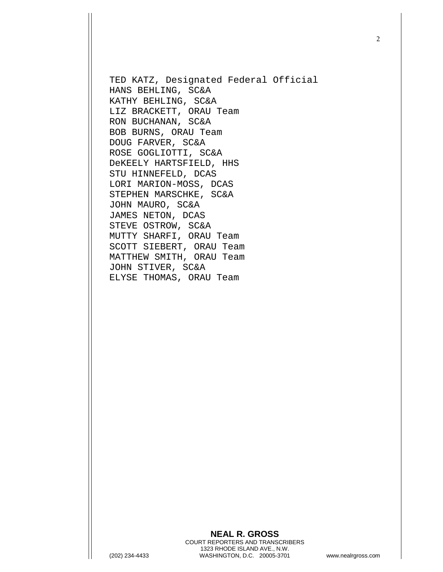TED KATZ, Designated Federal Official HANS BEHLING, SC&A KATHY BEHLING, SC&A LIZ BRACKETT, ORAU Team RON BUCHANAN, SC&A BOB BURNS, ORAU Team DOUG FARVER, SC&A ROSE GOGLIOTTI, SC&A DeKEELY HARTSFIELD, HHS STU HINNEFELD, DCAS LORI MARION-MOSS, DCAS STEPHEN MARSCHKE, SC&A JOHN MAURO, SC&A JAMES NETON, DCAS STEVE OSTROW, SC&A MUTTY SHARFI, ORAU Team SCOTT SIEBERT, ORAU Team MATTHEW SMITH, ORAU Team JOHN STIVER, SC&A ELYSE THOMAS, ORAU Team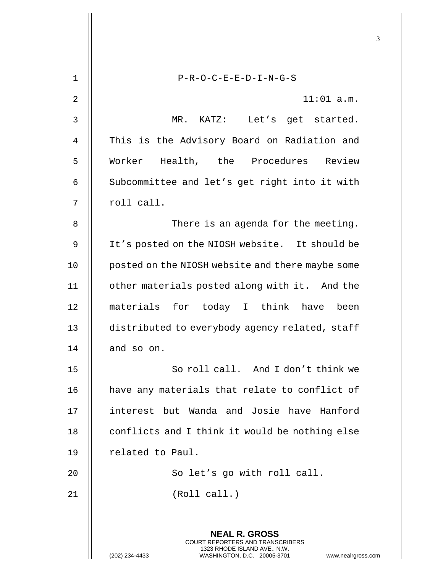|                |                                                                                                                                                                        | 3 |
|----------------|------------------------------------------------------------------------------------------------------------------------------------------------------------------------|---|
| $\mathbf 1$    | $P-R-O-C-E-E-D-I-N-G-S$                                                                                                                                                |   |
|                |                                                                                                                                                                        |   |
| $\overline{2}$ | $11:01$ a.m.                                                                                                                                                           |   |
| 3              | MR. KATZ: Let's get started.                                                                                                                                           |   |
| 4              | This is the Advisory Board on Radiation and                                                                                                                            |   |
| 5              | Worker Health, the Procedures Review                                                                                                                                   |   |
| 6              | Subcommittee and let's get right into it with                                                                                                                          |   |
| 7              | roll call.                                                                                                                                                             |   |
| 8              | There is an agenda for the meeting.                                                                                                                                    |   |
| 9              | It's posted on the NIOSH website. It should be                                                                                                                         |   |
| 10             | posted on the NIOSH website and there maybe some                                                                                                                       |   |
| 11             | other materials posted along with it. And the                                                                                                                          |   |
| 12             | materials for today I think<br>have<br>been                                                                                                                            |   |
| 13             | distributed to everybody agency related, staff                                                                                                                         |   |
| 14             | and so on.                                                                                                                                                             |   |
| 15             | So roll call. And I don't think we                                                                                                                                     |   |
| 16             | have any materials that relate to conflict of                                                                                                                          |   |
| 17             | interest but Wanda and Josie have Hanford                                                                                                                              |   |
| 18             | conflicts and I think it would be nothing else                                                                                                                         |   |
| 19             | related to Paul.                                                                                                                                                       |   |
| 20             | So let's go with roll call.                                                                                                                                            |   |
| 21             | (Roll call.)                                                                                                                                                           |   |
|                |                                                                                                                                                                        |   |
|                | <b>NEAL R. GROSS</b><br><b>COURT REPORTERS AND TRANSCRIBERS</b><br>1323 RHODE ISLAND AVE., N.W.<br>(202) 234-4433<br>WASHINGTON, D.C. 20005-3701<br>www.nealrgross.com |   |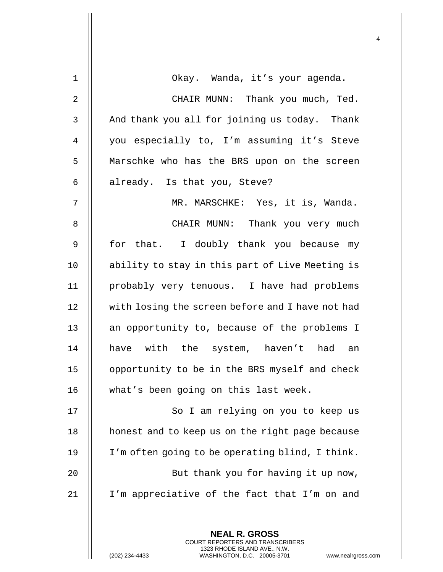| $\mathbf 1$ | Okay. Wanda, it's your agenda.                                                                                                                                      |
|-------------|---------------------------------------------------------------------------------------------------------------------------------------------------------------------|
| 2           | CHAIR MUNN: Thank you much, Ted.                                                                                                                                    |
| 3           | And thank you all for joining us today. Thank                                                                                                                       |
| 4           | you especially to, I'm assuming it's Steve                                                                                                                          |
| 5           | Marschke who has the BRS upon on the screen                                                                                                                         |
| 6           | already. Is that you, Steve?                                                                                                                                        |
| 7           | MR. MARSCHKE: Yes, it is, Wanda.                                                                                                                                    |
| 8           | CHAIR MUNN: Thank you very much                                                                                                                                     |
| $\mathsf 9$ | for that. I doubly thank you because my                                                                                                                             |
| 10          | ability to stay in this part of Live Meeting is                                                                                                                     |
| 11          | probably very tenuous. I have had problems                                                                                                                          |
| 12          | with losing the screen before and I have not had                                                                                                                    |
| 13          | an opportunity to, because of the problems I                                                                                                                        |
| 14          | have with the system, haven't had an                                                                                                                                |
| 15          | opportunity to be in the BRS myself and check                                                                                                                       |
| 16          | what's been going on this last week.                                                                                                                                |
| 17          | So I am relying on you to keep us                                                                                                                                   |
| 18          | honest and to keep us on the right page because                                                                                                                     |
| 19          | I'm often going to be operating blind, I think.                                                                                                                     |
| 20          | But thank you for having it up now,                                                                                                                                 |
| 21          | I'm appreciative of the fact that I'm on and                                                                                                                        |
|             |                                                                                                                                                                     |
|             | <b>NEAL R. GROSS</b><br><b>COURT REPORTERS AND TRANSCRIBERS</b><br>1323 RHODE ISLAND AVE., N.W.<br>(202) 234-4433<br>WASHINGTON, D.C. 20005-3701<br>www.nealrgross. |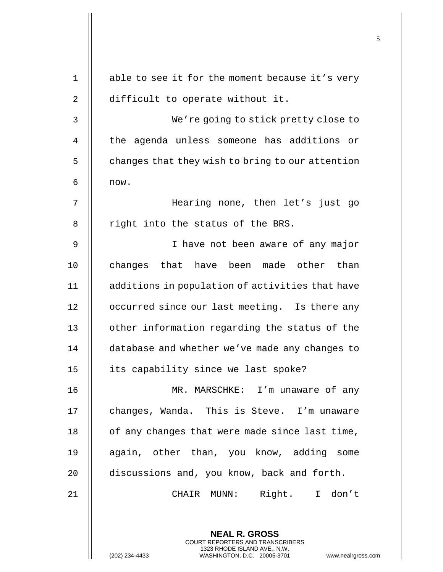| $\mathbf 1$ | able to see it for the moment because it's very                                                  |
|-------------|--------------------------------------------------------------------------------------------------|
| 2           | difficult to operate without it.                                                                 |
| 3           | We're going to stick pretty close to                                                             |
| 4           | the agenda unless someone has additions or                                                       |
| 5           | changes that they wish to bring to our attention                                                 |
| 6           | now.                                                                                             |
| 7           | Hearing none, then let's just go                                                                 |
| 8           | right into the status of the BRS.                                                                |
| 9           | I have not been aware of any major                                                               |
| 10          | changes that have been made other than                                                           |
| 11          | additions in population of activities that have                                                  |
| 12          | occurred since our last meeting. Is there any                                                    |
| 13          | other information regarding the status of the                                                    |
| 14          | database and whether we've made any changes to                                                   |
| 15          | its capability since we last spoke?                                                              |
| 16          | MR. MARSCHKE: I'm unaware of any                                                                 |
| 17          | changes, Wanda. This is Steve. I'm unaware                                                       |
| 18          | of any changes that were made since last time,                                                   |
| 19          | again, other than, you know, adding some                                                         |
| 20          | discussions and, you know, back and forth.                                                       |
| 21          | Right. I don't<br>CHAIR MUNN:                                                                    |
|             |                                                                                                  |
|             | <b>NEAL R. GROSS</b><br>COURT REPORTERS AND TRANSCRIBERS                                         |
|             | 1323 RHODE ISLAND AVE., N.W.<br>(202) 234-4433<br>WASHINGTON, D.C. 20005-3701<br>www.nealrgross. |

 $\mathbf{I}$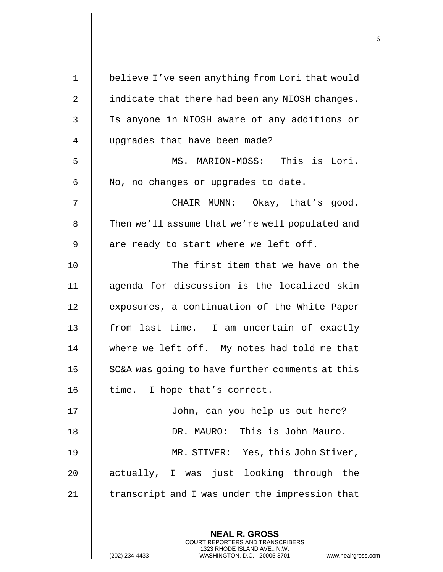| $\mathbf 1$    | believe I've seen anything from Lori that would |
|----------------|-------------------------------------------------|
| $\overline{2}$ | indicate that there had been any NIOSH changes. |
| 3              | Is anyone in NIOSH aware of any additions or    |
| 4              | upgrades that have been made?                   |
| 5              | MS. MARION-MOSS: This is Lori.                  |
| 6              | No, no changes or upgrades to date.             |
| 7              | CHAIR MUNN: Okay, that's good.                  |
| 8              | Then we'll assume that we're well populated and |
| 9              | are ready to start where we left off.           |
| 10             | The first item that we have on the              |
| 11             | agenda for discussion is the localized skin     |
| 12             | exposures, a continuation of the White Paper    |
| 13             | from last time. I am uncertain of exactly       |
| 14             | where we left off. My notes had told me that    |
| 15             | SC&A was going to have further comments at this |
| 16             | time. I hope that's correct.                    |
| 17             | John, can you help us out here?                 |
| 18             | DR. MAURO: This is John Mauro.                  |
| 19             | MR. STIVER: Yes, this John Stiver,              |
| 20             | actually, I was just looking through the        |
| 21             | transcript and I was under the impression that  |
|                |                                                 |
|                | <b>NEAL R. GROSS</b>                            |

 $\mathsf{II}$ 

(202) 234-4433 WASHINGTON, D.C. 20005-3701 www.nealrgross.com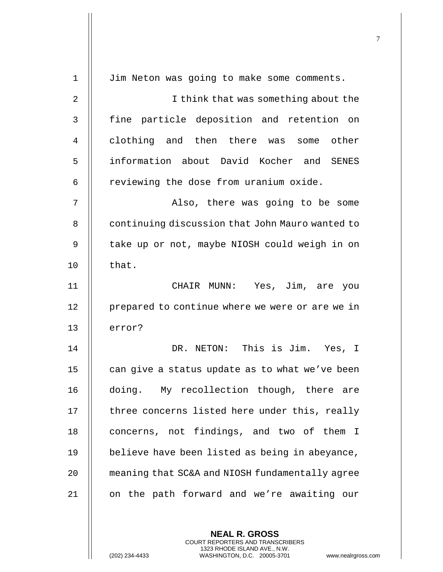| $\mathbf 1$    | Jim Neton was going to make some comments.              |
|----------------|---------------------------------------------------------|
| $\overline{2}$ | I think that was something about the                    |
| 3              | fine particle deposition and retention on               |
| 4              | clothing and then there was<br>some other               |
| 5              | information about David Kocher and SENES                |
| 6              | reviewing the dose from uranium oxide.                  |
| 7              | Also, there was going to be some                        |
| 8              | continuing discussion that John Mauro wanted to         |
| 9              | take up or not, maybe NIOSH could weigh in on           |
| 10             | that.                                                   |
| 11             | CHAIR MUNN: Yes, Jim, are you                           |
| 12             | prepared to continue where we were or are we in         |
| 13             | error?                                                  |
| 14             | DR. NETON: This is Jim. Yes, I                          |
| 15             | can give a status update as to what we've been          |
| 16             | doing. My recollection though, there are                |
| 17             | three concerns listed here under this, really           |
| 18             | concerns, not findings, and two of them<br>$\mathbb{I}$ |
| 19             | believe have been listed as being in abeyance,          |
| 20             | meaning that SC&A and NIOSH fundamentally agree         |
| 21             | on the path forward and we're awaiting our              |
|                |                                                         |
|                |                                                         |

(202) 234-4433 WASHINGTON, D.C. 20005-3701 www.nealrgross.com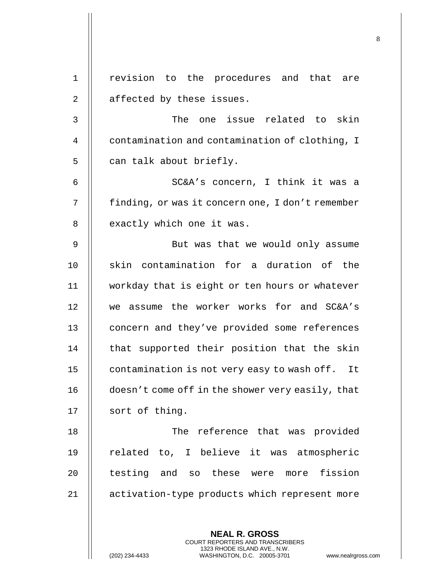**NEAL R. GROSS** 1 revision to the procedures and that are  $2 \parallel$  affected by these issues. 3 || The one issue related to skin 4 | contamination and contamination of clothing, I 5 | can talk about briefly. 6 SC&A's concern, I think it was a 7 | finding, or was it concern one, I don't remember 8 || exactly which one it was. 9 || But was that we would only assume 10 || skin contamination for a duration of the 11 workday that is eight or ten hours or whatever 12 we assume the worker works for and SC&A's 13 || concern and they've provided some references  $14$   $\parallel$  that supported their position that the skin 15 | contamination is not very easy to wash off. It 16 | doesn't come off in the shower very easily, that 17 || sort of thing. 18 The reference that was provided 19 || related to, I believe it was atmospheric 20 || testing and so these were more fission 21 activation-type products which represent more

> COURT REPORTERS AND TRANSCRIBERS 1323 RHODE ISLAND AVE., N.W.

8

(202) 234-4433 WASHINGTON, D.C. 20005-3701 www.nealrgross.com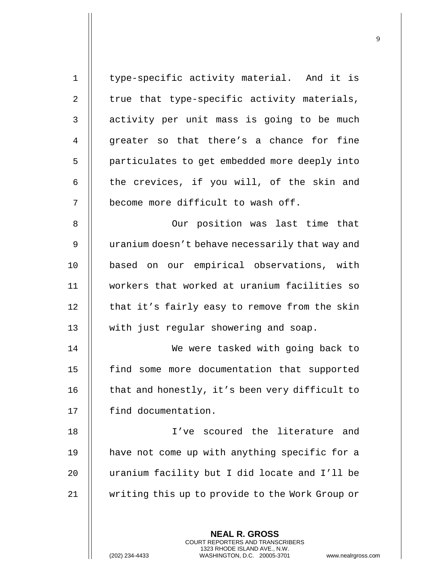| $\mathbf 1$ | type-specific activity material. And it is                                                                                                                         |
|-------------|--------------------------------------------------------------------------------------------------------------------------------------------------------------------|
| 2           | true that type-specific activity materials,                                                                                                                        |
| 3           | activity per unit mass is going to be much                                                                                                                         |
| 4           | greater so that there's a chance for fine                                                                                                                          |
| 5           | particulates to get embedded more deeply into                                                                                                                      |
| 6           | the crevices, if you will, of the skin and                                                                                                                         |
| 7           | become more difficult to wash off.                                                                                                                                 |
| 8           | Our position was last time that                                                                                                                                    |
| 9           | uranium doesn't behave necessarily that way and                                                                                                                    |
| 10          | based on our empirical observations, with                                                                                                                          |
| 11          | workers that worked at uranium facilities so                                                                                                                       |
| 12          | that it's fairly easy to remove from the skin                                                                                                                      |
| 13          | with just regular showering and soap.                                                                                                                              |
| 14          | We were tasked with going back to                                                                                                                                  |
| 15          | find some more documentation that supported                                                                                                                        |
| 16          | that and honestly, it's been very difficult to                                                                                                                     |
| 17          | find documentation.                                                                                                                                                |
| 18          | I've scoured the literature and                                                                                                                                    |
| 19          | have not come up with anything specific for a                                                                                                                      |
| 20          | uranium facility but I did locate and I'll be                                                                                                                      |
| 21          | writing this up to provide to the Work Group or                                                                                                                    |
|             | <b>NEAL R. GROSS</b><br><b>COURT REPORTERS AND TRANSCRIBERS</b><br>1323 RHODE ISLAND AVE., N.W.<br>(202) 234-4433<br>WASHINGTON, D.C. 20005-3701<br>www.nealrgross |

(202) 234-4433 WASHINGTON, D.C. 20005-3701 www.nealrgross.com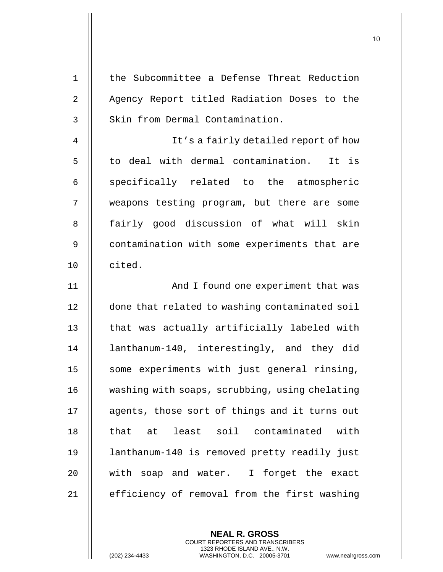| $1\,$          | the Subcommittee a Defense Threat Reduction    |
|----------------|------------------------------------------------|
| $\overline{2}$ | Agency Report titled Radiation Doses to the    |
| $\mathfrak{Z}$ | Skin from Dermal Contamination.                |
| $\overline{4}$ | It's a fairly detailed report of how           |
| 5              | to deal with dermal contamination.<br>It is    |
| 6              | specifically related to the atmospheric        |
| 7              | weapons testing program, but there are some    |
| 8              | fairly good discussion of what will skin       |
| $\mathsf 9$    | contamination with some experiments that are   |
| 10             | cited.                                         |
| 11             | And I found one experiment that was            |
| 12             | done that related to washing contaminated soil |
| 13             | that was actually artificially labeled with    |
| 14             | lanthanum-140, interestingly, and they did     |
| 15             | some experiments with just general rinsing,    |
| 16             | washing with soaps, scrubbing, using chelating |
| 17             | agents, those sort of things and it turns out  |
| 18             | that at least soil contaminated with           |
| 19             | lanthanum-140 is removed pretty readily just   |
| 20             | with soap and water. I forget the exact        |
| 21             | efficiency of removal from the first washing   |

(202) 234-4433 WASHINGTON, D.C. 20005-3701 www.nealrgross.com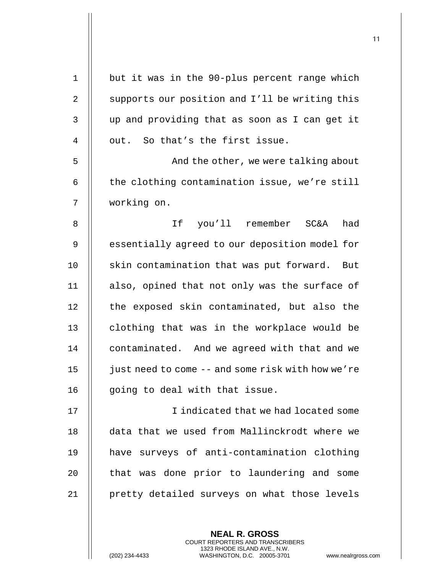| $\mathbf 1$    | but it was in the 90-plus percent range which     |
|----------------|---------------------------------------------------|
| 2              | supports our position and I'll be writing this    |
| 3              | up and providing that as soon as I can get it     |
| $\overline{4}$ | out. So that's the first issue.                   |
| 5              | And the other, we were talking about              |
| 6              | the clothing contamination issue, we're still     |
| 7              | working on.                                       |
| 8              | If you'll remember SC&A<br>had                    |
| 9              | essentially agreed to our deposition model for    |
| 10             | skin contamination that was put forward. But      |
| 11             | also, opined that not only was the surface of     |
| 12             | the exposed skin contaminated, but also the       |
| 13             | clothing that was in the workplace would be       |
| 14             | contaminated. And we agreed with that and we      |
| 15             | just need to come -- and some risk with how we're |
| 16             | going to deal with that issue.                    |
| 17             | I indicated that we had located some              |
| 18             | data that we used from Mallinckrodt where we      |
| 19             | have surveys of anti-contamination clothing       |
| 20             | that was done prior to laundering and some        |
| 21             | pretty detailed surveys on what those levels      |
|                |                                                   |
|                |                                                   |

(202) 234-4433 WASHINGTON, D.C. 20005-3701 www.nealrgross.com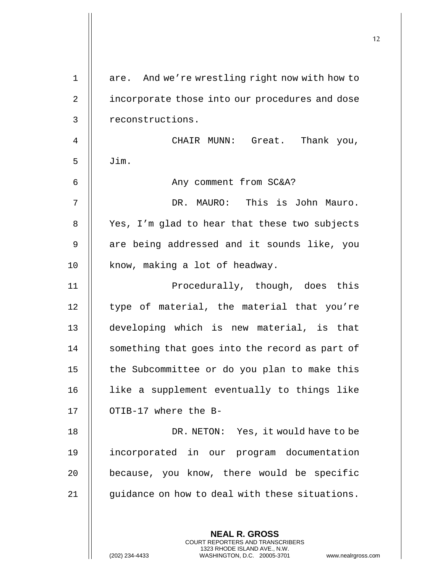| $\mathbf 1$  | are. And we're wrestling right now with how to                                                                                             |
|--------------|--------------------------------------------------------------------------------------------------------------------------------------------|
| 2            | incorporate those into our procedures and dose                                                                                             |
| $\mathbf{3}$ | reconstructions.                                                                                                                           |
| 4            | CHAIR MUNN: Great. Thank you,                                                                                                              |
| 5            | Jim.                                                                                                                                       |
| 6            | Any comment from SC&A?                                                                                                                     |
| 7            | DR. MAURO: This is John Mauro.                                                                                                             |
| 8            | Yes, I'm glad to hear that these two subjects                                                                                              |
| $\mathsf 9$  | are being addressed and it sounds like, you                                                                                                |
| 10           | know, making a lot of headway.                                                                                                             |
| 11           | Procedurally, though, does this                                                                                                            |
| 12           | type of material, the material that you're                                                                                                 |
| 13           | developing which is new material, is that                                                                                                  |
| 14           | something that goes into the record as part of                                                                                             |
| 15           | the Subcommittee or do you plan to make this                                                                                               |
| 16           | like a supplement eventually to things like                                                                                                |
| 17           | OTIB-17 where the B-                                                                                                                       |
| 18           | DR. NETON: Yes, it would have to be                                                                                                        |
| 19           | incorporated in our program documentation                                                                                                  |
| 20           | because, you know, there would be specific                                                                                                 |
| 21           | guidance on how to deal with these situations.                                                                                             |
|              | <b>NEAL R. GROSS</b>                                                                                                                       |
|              | <b>COURT REPORTERS AND TRANSCRIBERS</b><br>1323 RHODE ISLAND AVE., N.W.<br>(202) 234-4433<br>WASHINGTON, D.C. 20005-3701<br>www.nealrgross |

 $\overline{\phantom{a}}$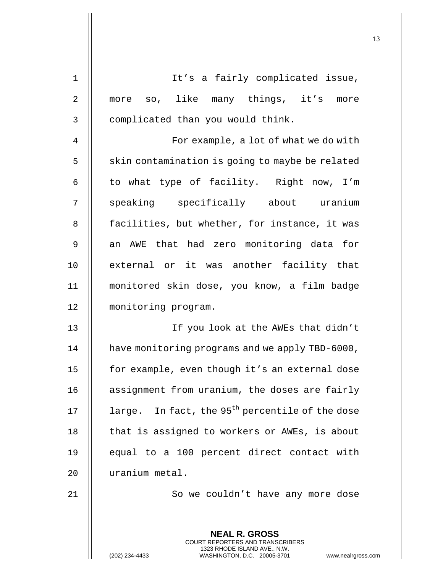| $\mathbf 1$    | It's a fairly complicated issue,                                                                                                    |
|----------------|-------------------------------------------------------------------------------------------------------------------------------------|
| $\sqrt{2}$     | more so, like many things, it's more                                                                                                |
| 3              | complicated than you would think.                                                                                                   |
| $\overline{4}$ | For example, a lot of what we do with                                                                                               |
| 5              | skin contamination is going to maybe be related                                                                                     |
| 6              | to what type of facility. Right now, I'm                                                                                            |
| 7              | speaking specifically about uranium                                                                                                 |
| 8              | facilities, but whether, for instance, it was                                                                                       |
| $\mathsf 9$    | an AWE that had zero monitoring data for                                                                                            |
| 10             | external or it was another facility that                                                                                            |
| 11             | monitored skin dose, you know, a film badge                                                                                         |
| 12             | monitoring program.                                                                                                                 |
| 13             | If you look at the AWEs that didn't                                                                                                 |
| 14             | have monitoring programs and we apply TBD-6000,                                                                                     |
| 15             | for example, even though it's an external dose                                                                                      |
| 16             | assignment from uranium, the doses are fairly                                                                                       |
| 17             | large. In fact, the 95 <sup>th</sup> percentile of the dose                                                                         |
| 18             | that is assigned to workers or AWEs, is about                                                                                       |
| 19             | equal to a 100 percent direct contact with                                                                                          |
| 20             | uranium metal.                                                                                                                      |
| 21             | So we couldn't have any more dose                                                                                                   |
|                | <b>NEAL R. GROSS</b>                                                                                                                |
|                | COURT REPORTERS AND TRANSCRIBERS<br>1323 RHODE ISLAND AVE., N.W.<br>(202) 234-4433<br>WASHINGTON, D.C. 20005-3701<br>www.nealrgross |

(202) 234-4433 WASHINGTON, D.C. 20005-3701 www.nealrgross.com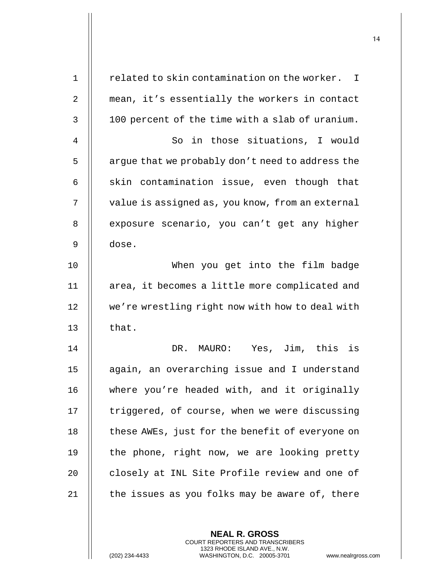| $\mathbf 1$    | related to skin contamination on the worker.<br>$\mathbf{I}$ |
|----------------|--------------------------------------------------------------|
| 2              | mean, it's essentially the workers in contact                |
| 3              | 100 percent of the time with a slab of uranium.              |
| $\overline{4}$ | So in those situations, I would                              |
| 5              | argue that we probably don't need to address the             |
| 6              | skin contamination issue, even though that                   |
| 7              | value is assigned as, you know, from an external             |
| 8              | exposure scenario, you can't get any higher                  |
| 9              | dose.                                                        |
| 10             | When you get into the film badge                             |
| 11             | area, it becomes a little more complicated and               |
| 12             | we're wrestling right now with how to deal with              |
| 13             | that.                                                        |
| 14             | DR. MAURO: Yes, Jim, this is                                 |
| 15             | again, an overarching issue and I understand                 |
| 16             | where you're headed with, and it originally                  |
| 17             | triggered, of course, when we were discussing                |
| $18\,$         | these AWEs, just for the benefit of everyone on              |
| 19             | the phone, right now, we are looking pretty                  |
| 20             | closely at INL Site Profile review and one of                |
| 21             | the issues as you folks may be aware of, there               |
|                |                                                              |

(202) 234-4433 WASHINGTON, D.C. 20005-3701 www.nealrgross.com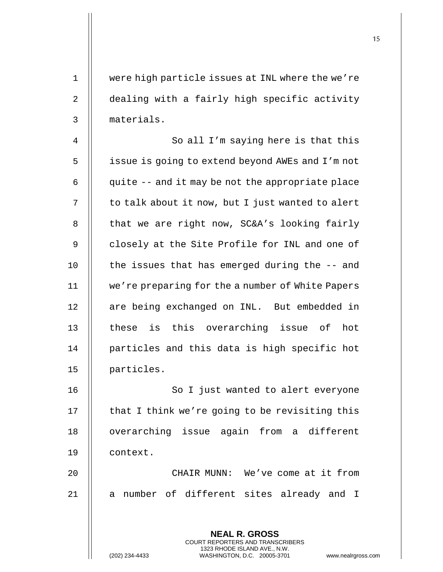1 were high particle issues at INL where the we're 2 | dealing with a fairly high specific activity 3 materials.

4 || So all I'm saying here is that this 5 | issue is going to extend beyond AWEs and I'm not  $6 \parallel$  quite -- and it may be not the appropriate place  $7 \parallel$  to talk about it now, but I just wanted to alert 8  $\parallel$  that we are right now, SC&A's looking fairly 9 | closely at the Site Profile for INL and one of  $10$  || the issues that has emerged during the  $-$  and 11 we're preparing for the a number of White Papers 12 || are being exchanged on INL. But embedded in 13 || these is this overarching issue of hot 14 || particles and this data is high specific hot 15 particles.

16 || So I just wanted to alert everyone 17  $\parallel$  that I think we're going to be revisiting this 18 || overarching issue again from a different 19 context.

20 || CHAIR MUNN: We've come at it from 21 || a number of different sites already and I

> **NEAL R. GROSS** COURT REPORTERS AND TRANSCRIBERS 1323 RHODE ISLAND AVE., N.W.

(202) 234-4433 WASHINGTON, D.C. 20005-3701 www.nealrgross.com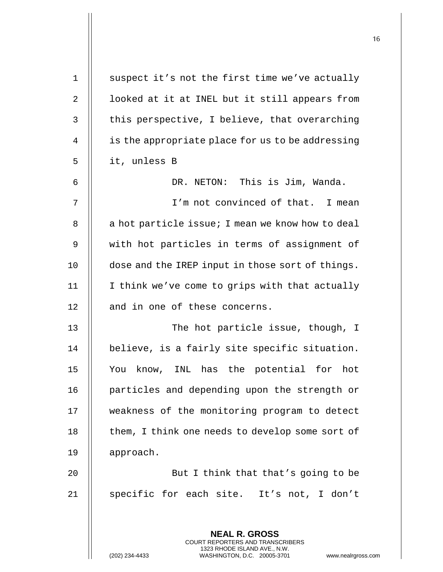| $\mathbf 1$    | suspect it's not the first time we've actually                                                  |
|----------------|-------------------------------------------------------------------------------------------------|
| $\overline{2}$ | looked at it at INEL but it still appears from                                                  |
| 3              | this perspective, I believe, that overarching                                                   |
| 4              | is the appropriate place for us to be addressing                                                |
| 5              | it, unless B                                                                                    |
| 6              | DR. NETON: This is Jim, Wanda.                                                                  |
| 7              | I'm not convinced of that. I mean                                                               |
| 8              | a hot particle issue; I mean we know how to deal                                                |
| 9              | with hot particles in terms of assignment of                                                    |
| 10             | dose and the IREP input in those sort of things.                                                |
| 11             | I think we've come to grips with that actually                                                  |
| 12             | and in one of these concerns.                                                                   |
| 13             | The hot particle issue, though, I                                                               |
| 14             | believe, is a fairly site specific situation.                                                   |
| 15             | You know, INL has the potential for hot                                                         |
| 16             | particles and depending upon the strength or                                                    |
| 17             | weakness of the monitoring program to detect                                                    |
| 18             | them, I think one needs to develop some sort of                                                 |
| 19             | approach.                                                                                       |
| 20             | But I think that that's going to be                                                             |
| 21             | specific for each site. It's not, I don't                                                       |
|                |                                                                                                 |
|                | <b>NEAL R. GROSS</b><br><b>COURT REPORTERS AND TRANSCRIBERS</b>                                 |
|                | 1323 RHODE ISLAND AVE., N.W.<br>(202) 234-4433<br>WASHINGTON, D.C. 20005-3701<br>www.nealrgross |

(202) 234-4433 WASHINGTON, D.C. 20005-3701 www.nealrgross.com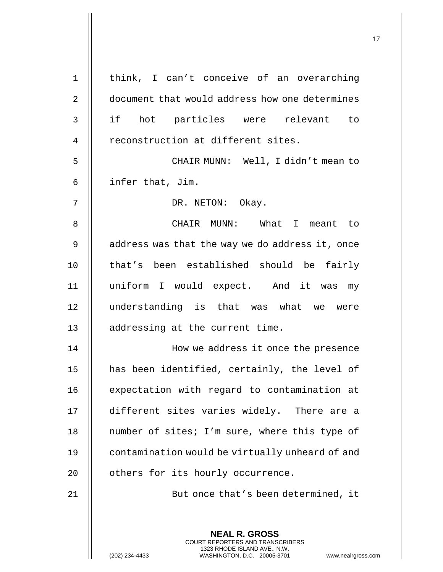| 1              | think, I can't conceive of an overarching                                                                                                                   |
|----------------|-------------------------------------------------------------------------------------------------------------------------------------------------------------|
| $\overline{2}$ | document that would address how one determines                                                                                                              |
| $\mathsf{3}$   | if hot particles were relevant to                                                                                                                           |
| 4              | reconstruction at different sites.                                                                                                                          |
| 5              | CHAIR MUNN: Well, I didn't mean to                                                                                                                          |
| 6              | infer that, Jim.                                                                                                                                            |
| 7              | DR. NETON: Okay.                                                                                                                                            |
| 8              | CHAIR MUNN: What I meant to                                                                                                                                 |
| 9              | address was that the way we do address it, once                                                                                                             |
| 10             | that's been established should be fairly                                                                                                                    |
| 11             | uniform I would expect. And it was my                                                                                                                       |
| 12             | understanding is that was what we were                                                                                                                      |
| 13             | addressing at the current time.                                                                                                                             |
| 14             | How we address it once the presence                                                                                                                         |
| 15             | has been identified, certainly, the level of                                                                                                                |
| 16             | expectation with regard to contamination at                                                                                                                 |
| 17             | different sites varies widely. There are a                                                                                                                  |
| 18             | number of sites; I'm sure, where this type of                                                                                                               |
| 19             | contamination would be virtually unheard of and                                                                                                             |
| 20             | others for its hourly occurrence.                                                                                                                           |
| 21             | But once that's been determined, it                                                                                                                         |
|                |                                                                                                                                                             |
|                | <b>NEAL R. GROSS</b><br>COURT REPORTERS AND TRANSCRIBERS<br>1323 RHODE ISLAND AVE., N.W.<br>(202) 234-4433<br>WASHINGTON, D.C. 20005-3701<br>www.nealrgross |

(202) 234-4433 WASHINGTON, D.C. 20005-3701 www.nealrgross.com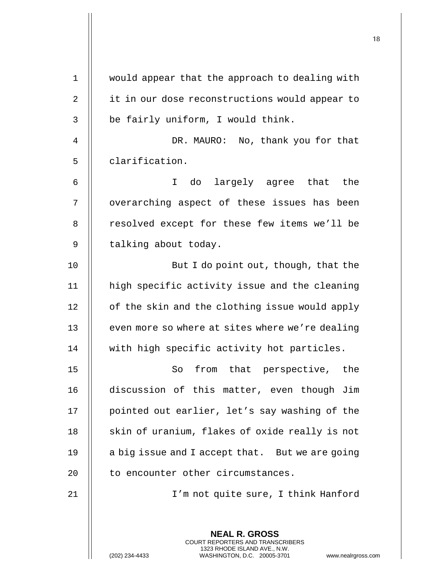**NEAL R. GROSS** COURT REPORTERS AND TRANSCRIBERS 1323 RHODE ISLAND AVE., N.W. 1 would appear that the approach to dealing with 2 || it in our dose reconstructions would appear to  $3$  | be fairly uniform, I would think. 4 DR. MAURO: No, thank you for that 5 clarification. 6 I do largely agree that the 7 || overarching aspect of these issues has been 8 | resolved except for these few items we'll be 9 | talking about today. 10 || But I do point out, though, that the 11 high specific activity issue and the cleaning  $12$  | of the skin and the clothing issue would apply 13  $\parallel$  even more so where at sites where we're dealing 14 with high specific activity hot particles. 15 || So from that perspective, the 16 discussion of this matter, even though Jim 17 || pointed out earlier, let's say washing of the 18  $\parallel$  skin of uranium, flakes of oxide really is not 19  $\parallel$  a big issue and I accept that. But we are going 20 | to encounter other circumstances. 21 I'm not quite sure, I think Hanford

(202) 234-4433 WASHINGTON, D.C. 20005-3701 www.nealrgross.com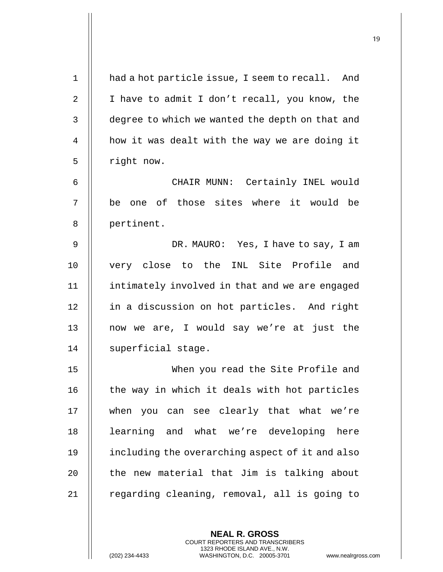| $\mathbf{1}$ | had a hot particle issue, I seem to recall. And |
|--------------|-------------------------------------------------|
| 2            | I have to admit I don't recall, you know, the   |
| 3            | degree to which we wanted the depth on that and |
| 4            | how it was dealt with the way we are doing it   |
| 5            | right now.                                      |
| 6            | CHAIR MUNN: Certainly INEL would                |
| 7            | be one of those sites where it would be         |
| 8            | pertinent.                                      |
| 9            | DR. MAURO: Yes, I have to say, I am             |
| 10           | very close to the INL Site Profile and          |
| 11           | intimately involved in that and we are engaged  |
| 12           | in a discussion on hot particles. And right     |
| 13           | now we are, I would say we're at just the       |
| 14           | superficial stage.                              |
| 15           | When you read the Site Profile and              |
| 16           | the way in which it deals with hot particles    |
| 17           | when you can see clearly that what we're        |
| 18           | learning and what we're developing here         |
| 19           | including the overarching aspect of it and also |
| 20           | the new material that Jim is talking about      |
| 21           | regarding cleaning, removal, all is going to    |
|              |                                                 |

(202) 234-4433 WASHINGTON, D.C. 20005-3701 www.nealrgross.com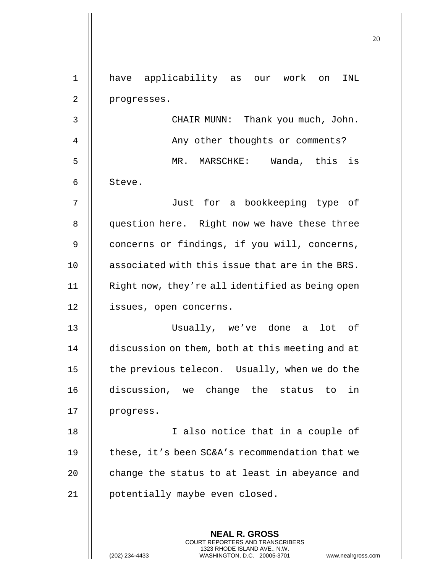| $\mathbf 1$ | have applicability as our work on<br>INL                                                                                                                   |
|-------------|------------------------------------------------------------------------------------------------------------------------------------------------------------|
| 2           | progresses.                                                                                                                                                |
| 3           | CHAIR MUNN: Thank you much, John.                                                                                                                          |
| 4           | Any other thoughts or comments?                                                                                                                            |
| 5           | MR. MARSCHKE: Wanda, this is                                                                                                                               |
| 6           | Steve.                                                                                                                                                     |
| 7           | Just for a bookkeeping type of                                                                                                                             |
| 8           | question here. Right now we have these three                                                                                                               |
| 9           | concerns or findings, if you will, concerns,                                                                                                               |
| 10          | associated with this issue that are in the BRS.                                                                                                            |
| 11          | Right now, they're all identified as being open                                                                                                            |
| 12          | issues, open concerns.                                                                                                                                     |
| 13          | Usually, we've done a<br>lot of                                                                                                                            |
| 14          | discussion on them, both at this meeting and at                                                                                                            |
| 15          | the previous telecon. Usually, when we do the                                                                                                              |
| 16          | discussion, we change the status to in                                                                                                                     |
| 17          | progress.                                                                                                                                                  |
| 18          | I also notice that in a couple of                                                                                                                          |
| 19          | these, it's been SC&A's recommendation that we                                                                                                             |
| 20          | change the status to at least in abeyance and                                                                                                              |
| 21          | potentially maybe even closed.                                                                                                                             |
|             | <b>NEAL R. GROSS</b><br>COURT REPORTERS AND TRANSCRIBERS<br>1323 RHODE ISLAND AVE., N.W.<br>(202) 234-4433<br>WASHINGTON, D.C. 20005-3701<br>www.nealrgros |

(202) 234-4433 WASHINGTON, D.C. 20005-3701 www.nealrgross.com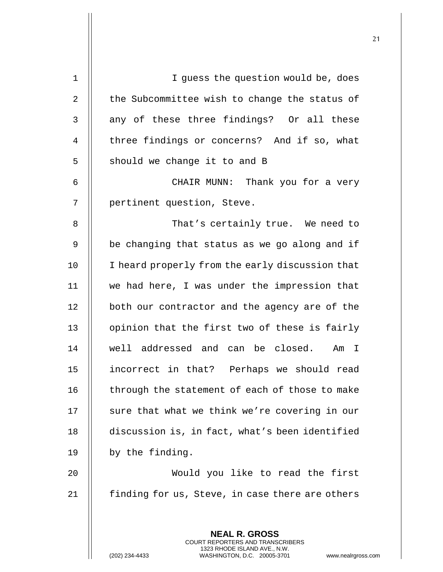| $\mathbf 1$    | I guess the question would be, does                                                             |
|----------------|-------------------------------------------------------------------------------------------------|
| $\overline{2}$ | the Subcommittee wish to change the status of                                                   |
| 3              | any of these three findings? Or all these                                                       |
| 4              | three findings or concerns? And if so, what                                                     |
| 5              | should we change it to and B                                                                    |
| 6              | CHAIR MUNN: Thank you for a very                                                                |
| 7              | pertinent question, Steve.                                                                      |
| 8              | That's certainly true. We need to                                                               |
| 9              | be changing that status as we go along and if                                                   |
| 10             | I heard properly from the early discussion that                                                 |
| 11             | we had here, I was under the impression that                                                    |
| 12             | both our contractor and the agency are of the                                                   |
| 13             | opinion that the first two of these is fairly                                                   |
| 14             | well addressed and can be closed. Am<br>I                                                       |
| 15             | incorrect in that? Perhaps we should read                                                       |
| 16             | through the statement of each of those to make                                                  |
| 17             | sure that what we think we're covering in our                                                   |
| 18             | discussion is, in fact, what's been identified                                                  |
| 19             | by the finding.                                                                                 |
| 20             | Would you like to read the first                                                                |
| 21             | finding for us, Steve, in case there are others                                                 |
|                |                                                                                                 |
|                | <b>NEAL R. GROSS</b><br>COURT REPORTERS AND TRANSCRIBERS                                        |
|                | 1323 RHODE ISLAND AVE., N.W.<br>(202) 234-4433<br>WASHINGTON, D.C. 20005-3701<br>www.nealrgross |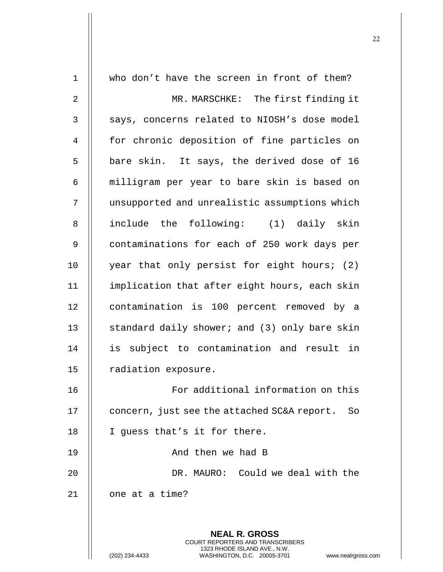| $\mathbf 1$    | who don't have the screen in front of them?                                                    |
|----------------|------------------------------------------------------------------------------------------------|
| $\overline{2}$ | MR. MARSCHKE: The first finding it                                                             |
| 3              | says, concerns related to NIOSH's dose model                                                   |
| 4              | for chronic deposition of fine particles on                                                    |
| 5              | bare skin. It says, the derived dose of 16                                                     |
| 6              | milligram per year to bare skin is based on                                                    |
| 7              | unsupported and unrealistic assumptions which                                                  |
| 8              | include the following: (1) daily skin                                                          |
| 9              | contaminations for each of 250 work days per                                                   |
| 10             | year that only persist for eight hours; (2)                                                    |
| 11             | implication that after eight hours, each skin                                                  |
| 12             | contamination is 100 percent removed by a                                                      |
| 13             | standard daily shower; and (3) only bare skin                                                  |
| 14             | is subject to contamination and result in                                                      |
| 15             | radiation exposure.                                                                            |
| 16             | For additional information on this                                                             |
| 17             | concern, just see the attached SC&A report.<br>So                                              |
| 18             | I guess that's it for there.                                                                   |
| 19             | And then we had B                                                                              |
| 20             | DR. MAURO: Could we deal with the                                                              |
| 21             | one at a time?                                                                                 |
|                |                                                                                                |
|                | <b>NEAL R. GROSS</b><br><b>COURT REPORTERS AND TRANSCRIBERS</b>                                |
|                | 1323 RHODE ISLAND AVE., N.W.<br>(202) 234-4433<br>WASHINGTON, D.C. 20005-3701<br>www.nealrgros |

(202) 234-4433 WASHINGTON, D.C. 20005-3701 www.nealrgross.com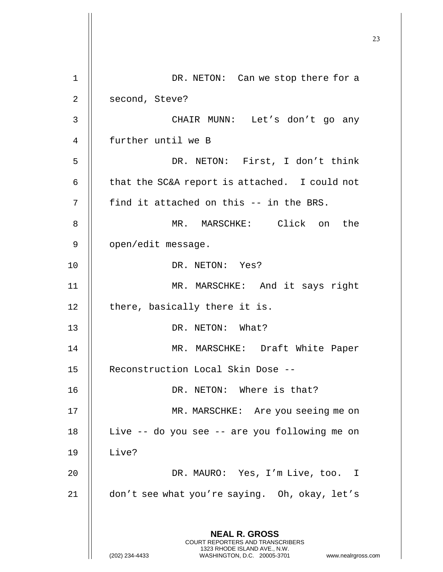23 **NEAL R. GROSS** COURT REPORTERS AND TRANSCRIBERS 1323 RHODE ISLAND AVE., N.W. (202) 234-4433 WASHINGTON, D.C. 20005-3701 www.nealrgross.com 1 || DR. NETON: Can we stop there for a 2 | second, Steve? 3 CHAIR MUNN: Let's don't go any 4 further until we B 5 DR. NETON: First, I don't think 6  $\parallel$  that the SC&A report is attached. I could not  $7$  || find it attached on this -- in the BRS. 8 MR. MARSCHKE: Click on the 9 || open/edit message. 10 DR. NETON: Yes? 11 MR. MARSCHKE: And it says right  $12$  | there, basically there it is. 13 DR. NETON: What? 14 || MR. MARSCHKE: Draft White Paper 15 | Reconstruction Local Skin Dose --16 || DR. NETON: Where is that? 17 || MR. MARSCHKE: Are you seeing me on 18 || Live -- do you see -- are you following me on 19 Live? 20 DR. MAURO: Yes, I'm Live, too. I 21 don't see what you're saying. Oh, okay, let's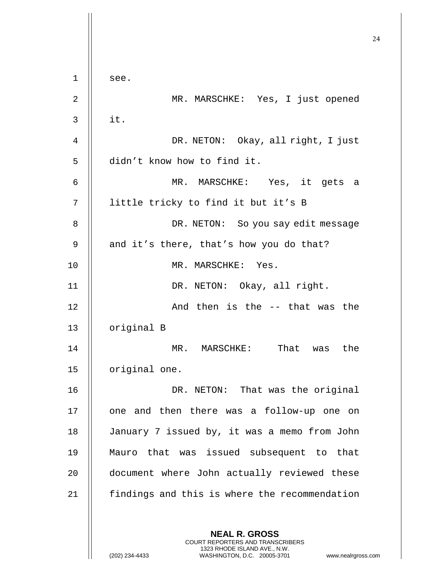**NEAL R. GROSS** COURT REPORTERS AND TRANSCRIBERS 1323 RHODE ISLAND AVE., N.W.  $1$  || see. 2 MR. MARSCHKE: Yes, I just opened  $3 \parallel$  it. 4 DR. NETON: Okay, all right, I just 5 | didn't know how to find it. 6 MR. MARSCHKE: Yes, it gets a 7 || little tricky to find it but it's B 8 || DR. NETON: So you say edit message 9  $\parallel$  and it's there, that's how you do that? 10 || MR. MARSCHKE: Yes. 11 || DR. NETON: Okay, all right. 12 And then is the -- that was the 13 | original B 14 MR. MARSCHKE: That was the 15 | original one. 16 DR. NETON: That was the original 17 || one and then there was a follow-up one on 18 January 7 issued by, it was a memo from John 19 Mauro that was issued subsequent to that 20 || document where John actually reviewed these 21 | findings and this is where the recommendation

(202) 234-4433 WASHINGTON, D.C. 20005-3701 www.nealrgross.com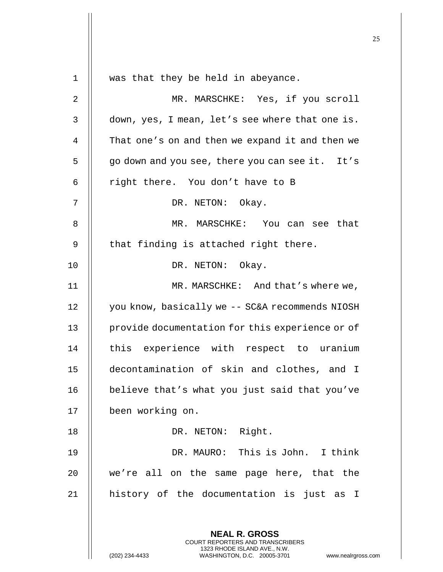|    |                                                                                                                                                                        | 25 |
|----|------------------------------------------------------------------------------------------------------------------------------------------------------------------------|----|
| 1  | was that they be held in abeyance.                                                                                                                                     |    |
| 2  | MR. MARSCHKE: Yes, if you scroll                                                                                                                                       |    |
| 3  | down, yes, I mean, let's see where that one is.                                                                                                                        |    |
| 4  | That one's on and then we expand it and then we                                                                                                                        |    |
| 5  | go down and you see, there you can see it. It's                                                                                                                        |    |
| 6  | right there. You don't have to B                                                                                                                                       |    |
| 7  | DR. NETON: Okay.                                                                                                                                                       |    |
| 8  | MR. MARSCHKE: You can see that                                                                                                                                         |    |
| 9  | that finding is attached right there.                                                                                                                                  |    |
| 10 | DR. NETON: Okay.                                                                                                                                                       |    |
| 11 | MR. MARSCHKE: And that's where we,                                                                                                                                     |    |
| 12 | you know, basically we -- SC&A recommends NIOSH                                                                                                                        |    |
| 13 | provide documentation for this experience or of                                                                                                                        |    |
| 14 | this experience with respect to uranium                                                                                                                                |    |
| 15 | decontamination of skin and clothes, and I                                                                                                                             |    |
| 16 | believe that's what you just said that you've                                                                                                                          |    |
| 17 | been working on.                                                                                                                                                       |    |
| 18 | DR. NETON: Right.                                                                                                                                                      |    |
| 19 | DR. MAURO: This is John. I think                                                                                                                                       |    |
| 20 | we're all on the same page here, that the                                                                                                                              |    |
| 21 | history of the documentation is just as I                                                                                                                              |    |
|    |                                                                                                                                                                        |    |
|    | <b>NEAL R. GROSS</b><br><b>COURT REPORTERS AND TRANSCRIBERS</b><br>1323 RHODE ISLAND AVE., N.W.<br>WASHINGTON, D.C. 20005-3701<br>(202) 234-4433<br>www.nealrgross.com |    |

 $\mathsf{I}$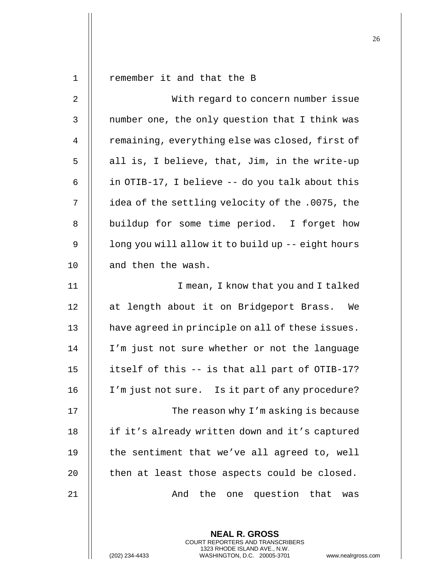| $\mathbf 1$    | remember it and that the B                        |
|----------------|---------------------------------------------------|
| 2              | With regard to concern number issue               |
| 3              | number one, the only question that I think was    |
| $\overline{4}$ | remaining, everything else was closed, first of   |
| 5              | all is, I believe, that, Jim, in the write-up     |
| 6              | in OTIB-17, I believe -- do you talk about this   |
| 7              | idea of the settling velocity of the .0075, the   |
| 8              | buildup for some time period. I forget how        |
| $\mathsf 9$    | long you will allow it to build up -- eight hours |
| 10             | and then the wash.                                |
| 11             | I mean, I know that you and I talked              |
| 12             | at length about it on Bridgeport Brass.<br>We     |
| 13             | have agreed in principle on all of these issues.  |
| 14             | I'm just not sure whether or not the language     |
| 15             | itself of this -- is that all part of OTIB-17?    |
| 16             | I'm just not sure. Is it part of any procedure?   |
| 17             | The reason why I'm asking is because              |
| 18             | if it's already written down and it's captured    |
| 19             | the sentiment that we've all agreed to, well      |
| 20             | then at least those aspects could be closed.      |
| 21             | the one question that<br>And<br>was               |
|                |                                                   |

(202) 234-4433 WASHINGTON, D.C. 20005-3701 www.nealrgross.com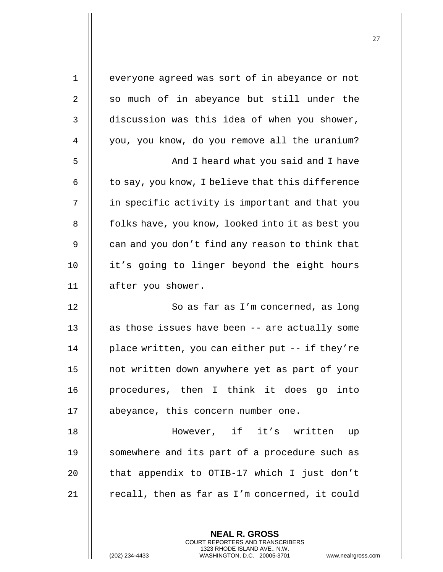| $\mathbf 1$ | everyone agreed was sort of in abeyance or not   |
|-------------|--------------------------------------------------|
| 2           | so much of in abeyance but still under the       |
| 3           | discussion was this idea of when you shower,     |
| 4           | you, you know, do you remove all the uranium?    |
| 5           | And I heard what you said and I have             |
| 6           | to say, you know, I believe that this difference |
| 7           | in specific activity is important and that you   |
| 8           | folks have, you know, looked into it as best you |
| 9           | can and you don't find any reason to think that  |
| 10          | it's going to linger beyond the eight hours      |
| 11          | after you shower.                                |
| 12          | So as far as I'm concerned, as long              |
| 13          | as those issues have been -- are actually some   |
| 14          | place written, you can either put -- if they're  |
| 15          | not written down anywhere yet as part of your    |
| 16          | procedures, then I think it does go into         |
| 17          | abeyance, this concern number one.               |
| 18          | However, if it's written up                      |
| 19          | somewhere and its part of a procedure such as    |
| 20          | that appendix to OTIB-17 which I just don't      |
| 21          | recall, then as far as I'm concerned, it could   |
|             |                                                  |

(202) 234-4433 WASHINGTON, D.C. 20005-3701 www.nealrgross.com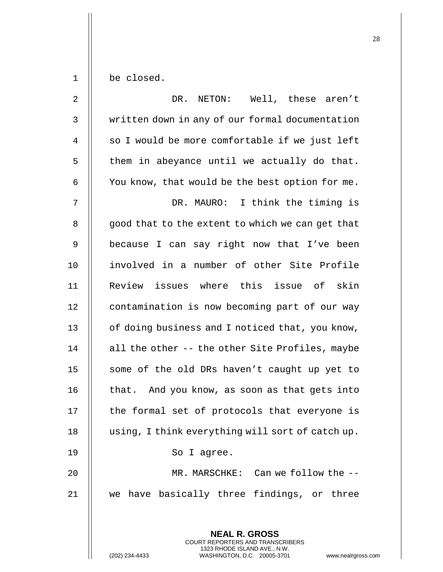$1 \parallel$  be closed.

| $\overline{2}$ | DR.<br>NETON: Well, these aren't                                                                |
|----------------|-------------------------------------------------------------------------------------------------|
| $\mathfrak{Z}$ | written down in any of our formal documentation                                                 |
| $\overline{4}$ | so I would be more comfortable if we just left                                                  |
| 5              | them in abeyance until we actually do that.                                                     |
| 6              | You know, that would be the best option for me.                                                 |
| 7              | DR. MAURO: I think the timing is                                                                |
| 8              | good that to the extent to which we can get that                                                |
| 9              | because I can say right now that I've been                                                      |
| 10             | involved in a number of other Site Profile                                                      |
| 11             | Review issues where this issue of skin                                                          |
| 12             | contamination is now becoming part of our way                                                   |
| 13             | of doing business and I noticed that, you know,                                                 |
| 14             | all the other -- the other Site Profiles, maybe                                                 |
| 15             | some of the old DRs haven't caught up yet to                                                    |
| 16             | that. And you know, as soon as that gets into                                                   |
| 17             | the formal set of protocols that everyone is                                                    |
| 18             | using, I think everything will sort of catch up.                                                |
| 19             | So I agree.                                                                                     |
| 20             | MR. MARSCHKE: Can we follow the --                                                              |
| 21             | we have basically three findings, or three                                                      |
|                |                                                                                                 |
|                | <b>NEAL R. GROSS</b><br><b>COURT REPORTERS AND TRANSCRIBERS</b>                                 |
|                | 1323 RHODE ISLAND AVE., N.W.<br>(202) 234-4433<br>WASHINGTON, D.C. 20005-3701<br>www.nealrgross |

(202) 234-4433 WASHINGTON, D.C. 20005-3701 www.nealrgross.com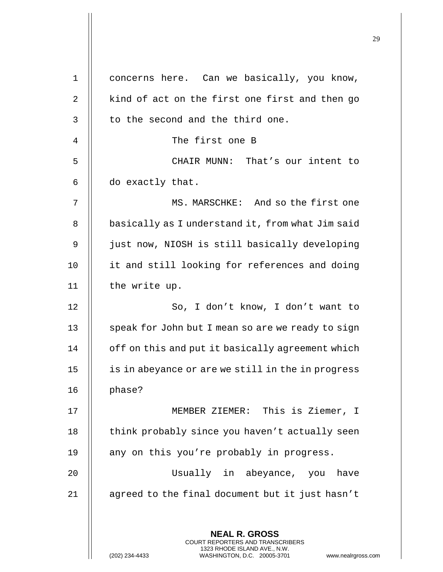| concerns here. Can we basically, you know,                                                                                                                          |
|---------------------------------------------------------------------------------------------------------------------------------------------------------------------|
| kind of act on the first one first and then go                                                                                                                      |
| to the second and the third one.                                                                                                                                    |
| The first one B                                                                                                                                                     |
| CHAIR MUNN: That's our intent to                                                                                                                                    |
| do exactly that.                                                                                                                                                    |
| MS. MARSCHKE: And so the first one                                                                                                                                  |
| basically as I understand it, from what Jim said                                                                                                                    |
| just now, NIOSH is still basically developing                                                                                                                       |
| it and still looking for references and doing                                                                                                                       |
| the write up.                                                                                                                                                       |
| So, I don't know, I don't want to                                                                                                                                   |
| speak for John but I mean so are we ready to sign                                                                                                                   |
| off on this and put it basically agreement which                                                                                                                    |
| is in abeyance or are we still in the in progress                                                                                                                   |
| phase?                                                                                                                                                              |
| MEMBER ZIEMER: This is Ziemer, I                                                                                                                                    |
| think probably since you haven't actually seen                                                                                                                      |
| any on this you're probably in progress.                                                                                                                            |
| Usually in abeyance, you have                                                                                                                                       |
| agreed to the final document but it just hasn't                                                                                                                     |
| <b>NEAL R. GROSS</b><br><b>COURT REPORTERS AND TRANSCRIBERS</b><br>1323 RHODE ISLAND AVE., N.W.<br>(202) 234-4433<br>WASHINGTON, D.C. 20005-3701<br>www.nealrgross. |
|                                                                                                                                                                     |

 $\mathbf{I}$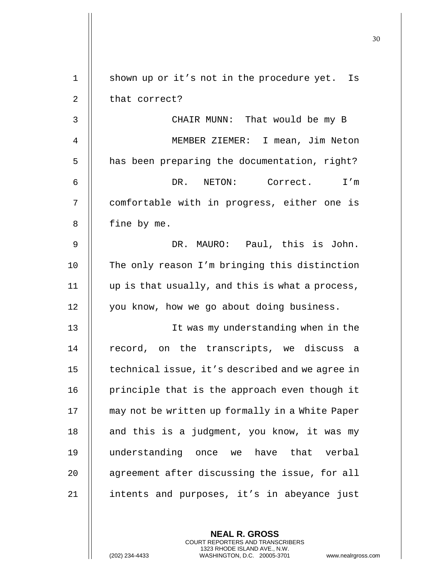| 1              | shown up or it's not in the procedure yet. Is   |
|----------------|-------------------------------------------------|
| $\overline{2}$ | that correct?                                   |
| 3              | CHAIR MUNN: That would be my B                  |
| 4              | MEMBER ZIEMER: I mean, Jim Neton                |
| 5              | has been preparing the documentation, right?    |
| 6              | DR. NETON: Correct. I'm                         |
| 7              | comfortable with in progress, either one is     |
| 8              | fine by me.                                     |
| 9              | DR. MAURO: Paul, this is John.                  |
| 10             | The only reason I'm bringing this distinction   |
| 11             | up is that usually, and this is what a process, |
| 12             | you know, how we go about doing business.       |
| 13             | It was my understanding when in the             |
| 14             | record, on the transcripts, we discuss a        |
| 15             | technical issue, it's described and we agree in |
| 16             | principle that is the approach even though it   |
| 17             | may not be written up formally in a White Paper |
| 18             | and this is a judgment, you know, it was my     |
| 19             | understanding once we have that verbal          |
| 20             | agreement after discussing the issue, for all   |
| 21             | intents and purposes, it's in abeyance just     |

(202) 234-4433 WASHINGTON, D.C. 20005-3701 www.nealrgross.com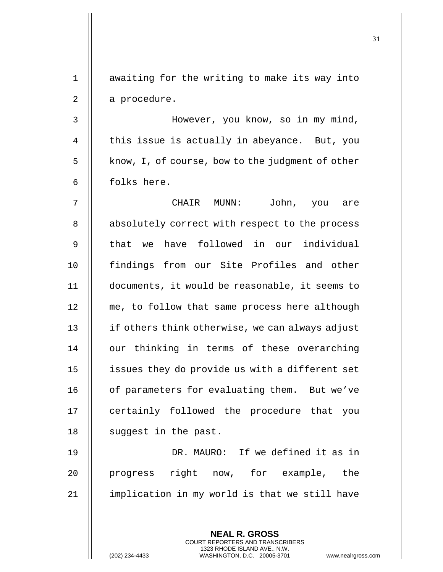**NEAL R. GROSS** 1 || awaiting for the writing to make its way into  $2 \parallel$  a procedure. 3 However, you know, so in my mind, 4  $\parallel$  this issue is actually in abeyance. But, you  $5$  | know, I, of course, bow to the judgment of other  $6$  | folks here. 7 CHAIR MUNN: John, you are 8 || absolutely correct with respect to the process 9 || that we have followed in our individual 10 findings from our Site Profiles and other 11 documents, it would be reasonable, it seems to 12 | me, to follow that same process here although 13 | if others think otherwise, we can always adjust 14 || our thinking in terms of these overarching 15 | issues they do provide us with a different set 16 | of parameters for evaluating them. But we've 17 || certainly followed the procedure that you 18 | suggest in the past. 19 DR. MAURO: If we defined it as in 20 || progress right now, for example, the  $21$  | implication in my world is that we still have

> COURT REPORTERS AND TRANSCRIBERS 1323 RHODE ISLAND AVE., N.W.

(202) 234-4433 WASHINGTON, D.C. 20005-3701 www.nealrgross.com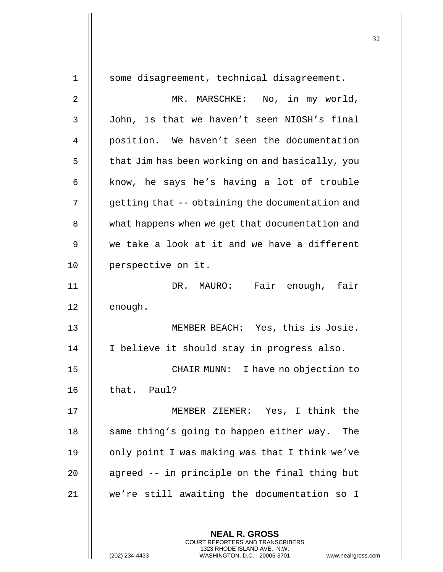| $\mathbf 1$ | some disagreement, technical disagreement.                                                                                                                          |
|-------------|---------------------------------------------------------------------------------------------------------------------------------------------------------------------|
| 2           | MR. MARSCHKE: No, in my world,                                                                                                                                      |
| 3           | John, is that we haven't seen NIOSH's final                                                                                                                         |
| 4           | position. We haven't seen the documentation                                                                                                                         |
| 5           | that Jim has been working on and basically, you                                                                                                                     |
| 6           | know, he says he's having a lot of trouble                                                                                                                          |
| 7           | getting that -- obtaining the documentation and                                                                                                                     |
| 8           | what happens when we get that documentation and                                                                                                                     |
| 9           | we take a look at it and we have a different                                                                                                                        |
| 10          | perspective on it.                                                                                                                                                  |
| 11          | DR. MAURO: Fair enough, fair                                                                                                                                        |
| 12          | enough.                                                                                                                                                             |
| 13          | MEMBER BEACH: Yes, this is Josie.                                                                                                                                   |
| 14          | I believe it should stay in progress also.                                                                                                                          |
| 15          | CHAIR MUNN: I have no objection to                                                                                                                                  |
| 16          | that. Paul?                                                                                                                                                         |
| 17          | MEMBER ZIEMER: Yes, I think the                                                                                                                                     |
| 18          | same thing's going to happen either way.<br>The                                                                                                                     |
| 19          | only point I was making was that I think we've                                                                                                                      |
| 20          | agreed -- in principle on the final thing but                                                                                                                       |
| 21          | we're still awaiting the documentation so I                                                                                                                         |
|             |                                                                                                                                                                     |
|             | <b>NEAL R. GROSS</b><br><b>COURT REPORTERS AND TRANSCRIBERS</b><br>1323 RHODE ISLAND AVE., N.W.<br>WASHINGTON, D.C. 20005-3701<br>(202) 234-4433<br>www.nealrgross. |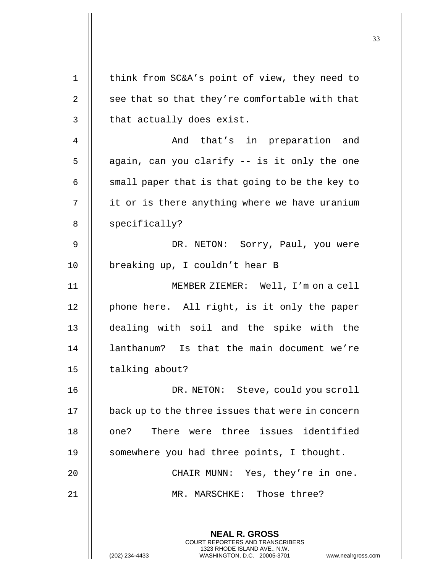| $\mathbf 1$ | think from SC&A's point of view, they need to                                                    |
|-------------|--------------------------------------------------------------------------------------------------|
| 2           | see that so that they're comfortable with that                                                   |
| 3           | that actually does exist.                                                                        |
| 4           | And that's in preparation and                                                                    |
| 5           | again, can you clarify -- is it only the one                                                     |
| 6           | small paper that is that going to be the key to                                                  |
| 7           | it or is there anything where we have uranium                                                    |
| 8           | specifically?                                                                                    |
| 9           | DR. NETON: Sorry, Paul, you were                                                                 |
| 10          | breaking up, I couldn't hear B                                                                   |
| 11          | MEMBER ZIEMER: Well, I'm on a cell                                                               |
| 12          | phone here. All right, is it only the paper                                                      |
| 13          | dealing with soil and the spike with the                                                         |
| 14          | lanthanum? Is that the main document we're                                                       |
| 15          | talking about?                                                                                   |
| 16          | DR. NETON: Steve, could you scroll                                                               |
| 17          | back up to the three issues that were in concern                                                 |
| 18          | There were three issues identified<br>one?                                                       |
| 19          | somewhere you had three points, I thought.                                                       |
| 20          | CHAIR MUNN: Yes, they're in one.                                                                 |
| 21          | MR. MARSCHKE: Those three?                                                                       |
|             |                                                                                                  |
|             | <b>NEAL R. GROSS</b><br><b>COURT REPORTERS AND TRANSCRIBERS</b>                                  |
|             | 1323 RHODE ISLAND AVE., N.W.<br>(202) 234-4433<br>WASHINGTON, D.C. 20005-3701<br>www.nealrgross. |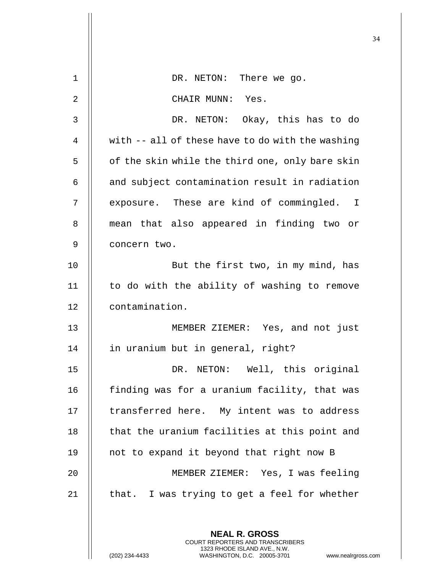| $\mathbf{1}$ | DR. NETON: There we go.                                                                                                                                      |
|--------------|--------------------------------------------------------------------------------------------------------------------------------------------------------------|
| 2            | CHAIR MUNN: Yes.                                                                                                                                             |
| 3            | DR. NETON: Okay, this has to do                                                                                                                              |
| 4            | with -- all of these have to do with the washing                                                                                                             |
| 5            | of the skin while the third one, only bare skin                                                                                                              |
| 6            | and subject contamination result in radiation                                                                                                                |
| 7            | exposure. These are kind of commingled. I                                                                                                                    |
| 8            | mean that also appeared in finding two or                                                                                                                    |
| 9            | concern two.                                                                                                                                                 |
| 10           | But the first two, in my mind, has                                                                                                                           |
| 11           | to do with the ability of washing to remove                                                                                                                  |
| 12           | contamination.                                                                                                                                               |
| 13           | MEMBER ZIEMER: Yes, and not just                                                                                                                             |
| 14           | in uranium but in general, right?                                                                                                                            |
| 15           | DR. NETON: Well, this original                                                                                                                               |
| 16           | finding was for a uranium facility, that was                                                                                                                 |
| 17           | transferred here. My intent was to address                                                                                                                   |
| 18           | that the uranium facilities at this point and                                                                                                                |
| 19           | not to expand it beyond that right now B                                                                                                                     |
| 20           | MEMBER ZIEMER: Yes, I was feeling                                                                                                                            |
| 21           | that. I was trying to get a feel for whether                                                                                                                 |
|              |                                                                                                                                                              |
|              | <b>NEAL R. GROSS</b><br>COURT REPORTERS AND TRANSCRIBERS<br>1323 RHODE ISLAND AVE., N.W.<br>(202) 234-4433<br>WASHINGTON, D.C. 20005-3701<br>www.nealrgross. |

 $\mathbf{I}$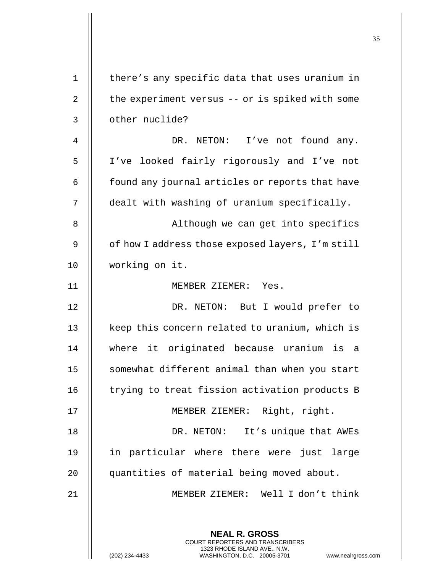| $\mathbf 1$ | there's any specific data that uses uranium in                                                                                                              |
|-------------|-------------------------------------------------------------------------------------------------------------------------------------------------------------|
| 2           | the experiment versus -- or is spiked with some                                                                                                             |
| 3           | other nuclide?                                                                                                                                              |
| 4           | DR. NETON: I've not found any.                                                                                                                              |
| 5           | I've looked fairly rigorously and I've not                                                                                                                  |
| 6           | found any journal articles or reports that have                                                                                                             |
| 7           | dealt with washing of uranium specifically.                                                                                                                 |
| 8           | Although we can get into specifics                                                                                                                          |
| 9           | of how I address those exposed layers, I'm still                                                                                                            |
| 10          | working on it.                                                                                                                                              |
| 11          | MEMBER ZIEMER: Yes.                                                                                                                                         |
| 12          | DR. NETON: But I would prefer to                                                                                                                            |
| 13          | keep this concern related to uranium, which is                                                                                                              |
| 14          | where it originated because uranium<br>is a                                                                                                                 |
| 15          | somewhat different animal than when you start                                                                                                               |
| 16          | trying to treat fission activation products B                                                                                                               |
| 17          | MEMBER ZIEMER: Right, right.                                                                                                                                |
| 18          | It's unique that AWEs<br>DR. NETON:                                                                                                                         |
| 19          | in particular where there were just<br>large                                                                                                                |
| 20          | quantities of material being moved about.                                                                                                                   |
| 21          | MEMBER ZIEMER: Well I don't think                                                                                                                           |
|             |                                                                                                                                                             |
|             | <b>NEAL R. GROSS</b><br>COURT REPORTERS AND TRANSCRIBERS<br>1323 RHODE ISLAND AVE., N.W.<br>(202) 234-4433<br>WASHINGTON, D.C. 20005-3701<br>www.nealrgross |

 $\mathsf{l}\mathsf{l}$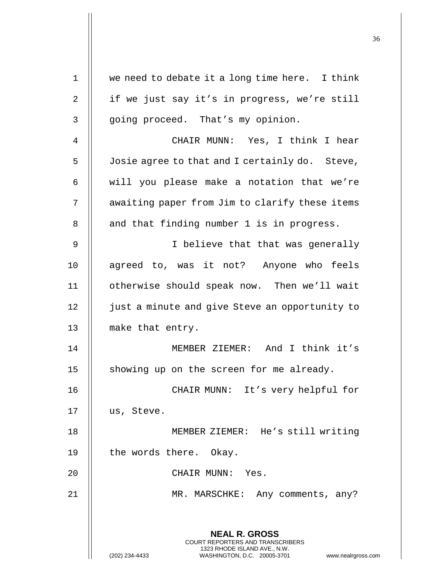| $\mathbf 1$ | we need to debate it a long time here. I think                                                      |
|-------------|-----------------------------------------------------------------------------------------------------|
| 2           | if we just say it's in progress, we're still                                                        |
| 3           | going proceed. That's my opinion.                                                                   |
| 4           | CHAIR MUNN: Yes, I think I hear                                                                     |
| 5           | Josie agree to that and I certainly do. Steve,                                                      |
| 6           | will you please make a notation that we're                                                          |
| 7           | awaiting paper from Jim to clarify these items                                                      |
| 8           | and that finding number 1 is in progress.                                                           |
| 9           | I believe that that was generally                                                                   |
| 10          | agreed to, was it not? Anyone who feels                                                             |
| 11          | otherwise should speak now. Then we'll wait                                                         |
| 12          | just a minute and give Steve an opportunity to                                                      |
| 13          | make that entry.                                                                                    |
| 14          | MEMBER ZIEMER: And I think it's                                                                     |
| 15          | showing up on the screen for me already.                                                            |
| 16          | CHAIR MUNN: It's very helpful for                                                                   |
| 17          | us, Steve.                                                                                          |
| 18          | MEMBER ZIEMER: He's still writing                                                                   |
| 19          | the words there. Okay.                                                                              |
| 20          | CHAIR MUNN: Yes.                                                                                    |
| 21          | MR. MARSCHKE: Any comments, any?                                                                    |
|             |                                                                                                     |
|             | <b>NEAL R. GROSS</b><br><b>COURT REPORTERS AND TRANSCRIBERS</b>                                     |
|             | 1323 RHODE ISLAND AVE., N.W.<br>(202) 234-4433<br>WASHINGTON, D.C. 20005-3701<br>www.nealrgross.com |

Ħ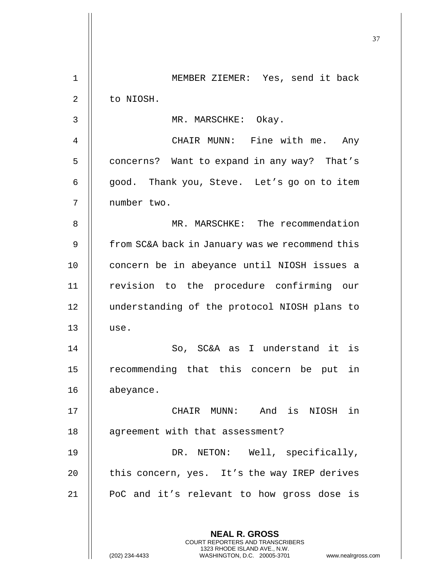| $\mathbf 1$ | MEMBER ZIEMER: Yes, send it back                                                                                                                                   |
|-------------|--------------------------------------------------------------------------------------------------------------------------------------------------------------------|
| 2           | to NIOSH.                                                                                                                                                          |
| 3           | MR. MARSCHKE: Okay.                                                                                                                                                |
| 4           | CHAIR MUNN: Fine with me. Any                                                                                                                                      |
| 5           | concerns? Want to expand in any way? That's                                                                                                                        |
| 6           | good. Thank you, Steve. Let's go on to item                                                                                                                        |
| 7           | number two.                                                                                                                                                        |
| 8           | MR. MARSCHKE: The recommendation                                                                                                                                   |
| 9           | from SC&A back in January was we recommend this                                                                                                                    |
| 10          | concern be in abeyance until NIOSH issues a                                                                                                                        |
| 11          | revision to the procedure confirming our                                                                                                                           |
| 12          | understanding of the protocol NIOSH plans to                                                                                                                       |
| 13          | use.                                                                                                                                                               |
| 14          | So, SC&A as I understand it is                                                                                                                                     |
| 15          | recommending that this concern be put<br>in                                                                                                                        |
| 16          | abeyance.                                                                                                                                                          |
| 17          | CHAIR MUNN: And is NIOSH in                                                                                                                                        |
| 18          | agreement with that assessment?                                                                                                                                    |
| 19          | DR. NETON: Well, specifically,                                                                                                                                     |
| 20          | this concern, yes. It's the way IREP derives                                                                                                                       |
| 21          | PoC and it's relevant to how gross dose is                                                                                                                         |
|             |                                                                                                                                                                    |
|             | <b>NEAL R. GROSS</b><br><b>COURT REPORTERS AND TRANSCRIBERS</b><br>1323 RHODE ISLAND AVE., N.W.<br>(202) 234-4433<br>WASHINGTON, D.C. 20005-3701<br>www.nealrgross |

 $\mathbf{I}$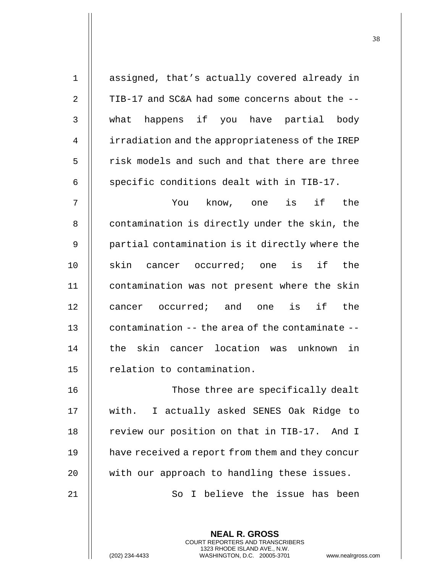| $\mathbf 1$    | assigned, that's actually covered already in     |
|----------------|--------------------------------------------------|
| $\overline{2}$ | TIB-17 and SC&A had some concerns about the --   |
| 3              | what happens if you have partial body            |
| 4              | irradiation and the appropriateness of the IREP  |
| 5              | risk models and such and that there are three    |
| 6              | specific conditions dealt with in TIB-17.        |
| 7              | know, one is if the<br>You                       |
| 8              | contamination is directly under the skin, the    |
| 9              | partial contamination is it directly where the   |
| 10             | skin cancer occurred; one is if the              |
| 11             | contamination was not present where the skin     |
| 12             | cancer occurred; and one is if the               |
| 13             | contamination -- the area of the contaminate --  |
| 14             | skin cancer location was unknown<br>in<br>the    |
| 15             | relation to contamination.                       |
| 16             | Those three are specifically dealt               |
| 17             | with. I actually asked SENES Oak Ridge to        |
| 18             | review our position on that in TIB-17. And I     |
| 19             | have received a report from them and they concur |
| 20             | with our approach to handling these issues.      |
| 21             | I believe the issue has been<br>So               |
|                |                                                  |
|                | <b>NEAL R. GROSS</b>                             |

COURT REPORTERS AND TRANSCRIBERS 1323 RHODE ISLAND AVE., N.W.

(202) 234-4433 WASHINGTON, D.C. 20005-3701 www.nealrgross.com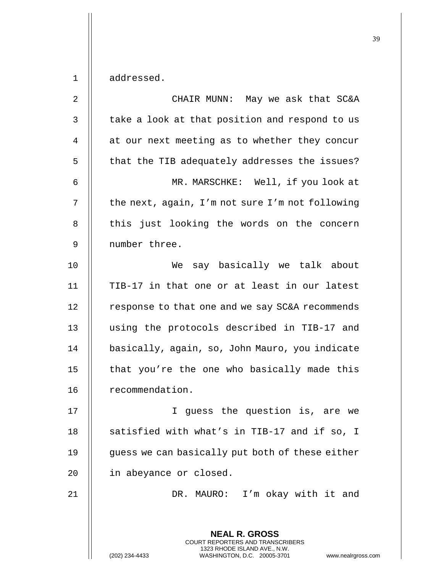1 | addressed.

| $\overline{2}$ | CHAIR MUNN: May we ask that SC&A                                                                                                   |
|----------------|------------------------------------------------------------------------------------------------------------------------------------|
| $\mathsf 3$    | take a look at that position and respond to us                                                                                     |
| 4              | at our next meeting as to whether they concur                                                                                      |
| 5              | that the TIB adequately addresses the issues?                                                                                      |
| 6              | MR. MARSCHKE: Well, if you look at                                                                                                 |
| 7              | the next, again, I'm not sure I'm not following                                                                                    |
| 8              | this just looking the words on the concern                                                                                         |
| 9              | number three.                                                                                                                      |
| 10             | say basically we talk about<br>We                                                                                                  |
| 11             | TIB-17 in that one or at least in our latest                                                                                       |
| 12             | response to that one and we say SC&A recommends                                                                                    |
| 13             | using the protocols described in TIB-17 and                                                                                        |
| 14             | basically, again, so, John Mauro, you indicate                                                                                     |
| 15             | that you're the one who basically made this                                                                                        |
| 16             | recommendation.                                                                                                                    |
| 17             | I guess the question is, are we                                                                                                    |
| 18             | satisfied with what's in TIB-17 and if so, I                                                                                       |
| 19             | guess we can basically put both of these either                                                                                    |
| 20             | in abeyance or closed.                                                                                                             |
| 21             | DR. MAURO: I'm okay with it and                                                                                                    |
|                | <b>NEAL R. GROSS</b>                                                                                                               |
|                | COURT REPORTERS AND TRANSCRIBERS<br>1323 RHODE ISLAND AVE., N.W.<br>WASHINGTON, D.C. 20005-3701<br>(202) 234-4433<br>www.nealrgros |

(202) 234-4433 WASHINGTON, D.C. 20005-3701 www.nealrgross.com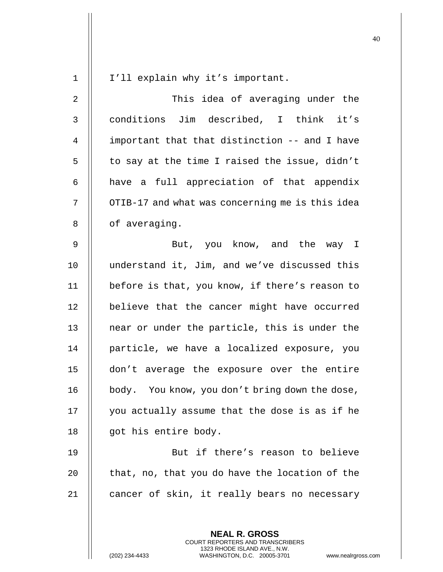| $\mathbf 1$    | I'll explain why it's important.                                                                                                                                   |
|----------------|--------------------------------------------------------------------------------------------------------------------------------------------------------------------|
| $\overline{2}$ | This idea of averaging under the                                                                                                                                   |
| 3              | conditions Jim described, I think it's                                                                                                                             |
| 4              | important that that distinction -- and I have                                                                                                                      |
| 5              | to say at the time I raised the issue, didn't                                                                                                                      |
| 6              | have a full appreciation of that appendix                                                                                                                          |
| 7              | OTIB-17 and what was concerning me is this idea                                                                                                                    |
| 8              | of averaging.                                                                                                                                                      |
| 9              | But, you know, and the way I                                                                                                                                       |
| 10             | understand it, Jim, and we've discussed this                                                                                                                       |
| 11             | before is that, you know, if there's reason to                                                                                                                     |
| 12             | believe that the cancer might have occurred                                                                                                                        |
| 13             | near or under the particle, this is under the                                                                                                                      |
| 14             | particle, we have a localized exposure, you                                                                                                                        |
| 15             | don't average the exposure over the entire                                                                                                                         |
| 16             | body. You know, you don't bring down the dose,                                                                                                                     |
| 17             | you actually assume that the dose is as if he                                                                                                                      |
| 18             | got his entire body.                                                                                                                                               |
| 19             | But if there's reason to believe                                                                                                                                   |
| 20             | that, no, that you do have the location of the                                                                                                                     |
| 21             | cancer of skin, it really bears no necessary                                                                                                                       |
|                | <b>NEAL R. GROSS</b><br><b>COURT REPORTERS AND TRANSCRIBERS</b><br>1323 RHODE ISLAND AVE., N.W.<br>(202) 234-4433<br>WASHINGTON, D.C. 20005-3701<br>www.nealrgross |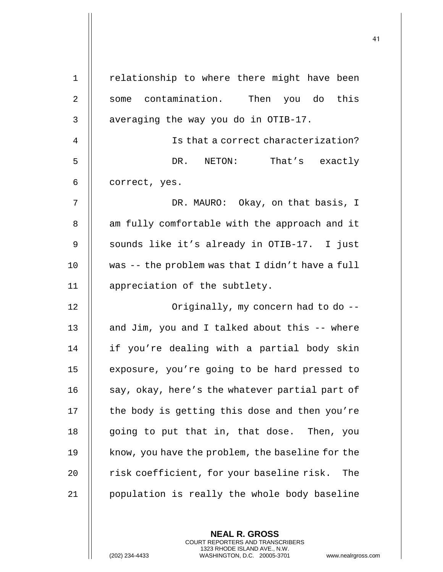| $\mathbf 1$    | relationship to where there might have been      |
|----------------|--------------------------------------------------|
| $\overline{2}$ | some contamination.<br>Then you do this          |
| $\mathbf{3}$   | averaging the way you do in OTIB-17.             |
| 4              | Is that a correct characterization?              |
| 5              | DR. NETON: That's exactly                        |
| 6              | correct, yes.                                    |
| 7              | DR. MAURO: Okay, on that basis, I                |
| 8              | am fully comfortable with the approach and it    |
| 9              | sounds like it's already in OTIB-17. I just      |
| 10             | was -- the problem was that I didn't have a full |
| 11             | appreciation of the subtlety.                    |
| 12             | Originally, my concern had to do --              |
| 13             | and Jim, you and I talked about this -- where    |
| 14             | if you're dealing with a partial body skin       |
| 15             | exposure, you're going to be hard pressed to     |
| 16             | say, okay, here's the whatever partial part of   |
| 17             | the body is getting this dose and then you're    |
| 18             | going to put that in, that dose.<br>Then, you    |
| 19             | know, you have the problem, the baseline for the |
| 20             | risk coefficient, for your baseline risk.<br>The |
| 21             | population is really the whole body baseline     |

**NEAL R. GROSS** COURT REPORTERS AND TRANSCRIBERS 1323 RHODE ISLAND AVE., N.W.

(202) 234-4433 WASHINGTON, D.C. 20005-3701 www.nealrgross.com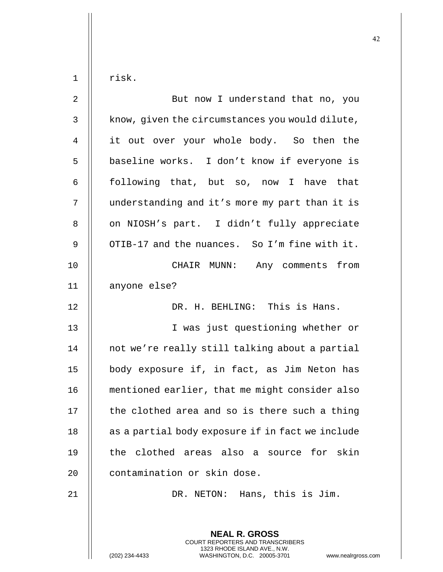**NEAL R. GROSS** COURT REPORTERS AND TRANSCRIBERS 1323 RHODE ISLAND AVE., N.W.  $1$  | risk. 2 || But now I understand that no, you  $3 \parallel$  know, given the circumstances you would dilute, 4 || it out over your whole body. So then the 5 | baseline works. I don't know if everyone is 6 || following that, but so, now I have that 7 | understanding and it's more my part than it is 8 | on NIOSH's part. I didn't fully appreciate 9  $\parallel$  OTIB-17 and the nuances. So I'm fine with it. 10 || CHAIR MUNN: Any comments from 11 anyone else? 12 DR. H. BEHLING: This is Hans. 13 I was just questioning whether or 14 || not we're really still talking about a partial 15 | body exposure if, in fact, as Jim Neton has 16 mentioned earlier, that me might consider also 17  $\parallel$  the clothed area and so is there such a thing 18 || as a partial body exposure if in fact we include 19 || the clothed areas also a source for skin 20 | contamination or skin dose. 21 DR. NETON: Hans, this is Jim.

(202) 234-4433 WASHINGTON, D.C. 20005-3701 www.nealrgross.com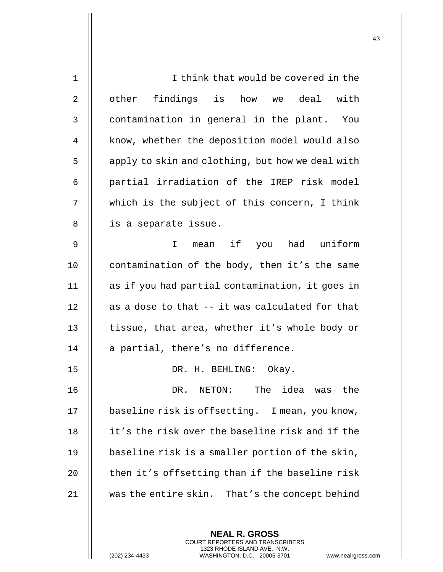| $\mathbf{1}$   | I think that would be covered in the              |
|----------------|---------------------------------------------------|
| $\overline{2}$ | other findings is how we deal with                |
| $\mathbf{3}$   | contamination in general in the plant. You        |
| 4              | know, whether the deposition model would also     |
| 5              | apply to skin and clothing, but how we deal with  |
| 6              | partial irradiation of the IREP risk model        |
| 7              | which is the subject of this concern, I think     |
| 8              | is a separate issue.                              |
| $\mathsf 9$    | mean if you had uniform<br>$\mathbf{I}$           |
| 10             | contamination of the body, then it's the same     |
| 11             | as if you had partial contamination, it goes in   |
| 12             | as a dose to that -- it was calculated for that   |
| 13             | tissue, that area, whether it's whole body or     |
| 14             | a partial, there's no difference.                 |
| 15             | DR. H. BEHLING: Okay.                             |
| 16             | The<br>idea<br>the<br>DR.<br>NETON:<br>was        |
| 17             | baseline risk is offsetting. I mean, you know,    |
| 18             | it's the risk over the baseline risk and if the   |
| 19             | baseline risk is a smaller portion of the skin,   |
| 20             | then it's offsetting than if the baseline risk    |
| 21             | was the entire skin.<br>That's the concept behind |
|                |                                                   |
|                |                                                   |

**NEAL R. GROSS** COURT REPORTERS AND TRANSCRIBERS 1323 RHODE ISLAND AVE., N.W.

(202) 234-4433 WASHINGTON, D.C. 20005-3701 www.nealrgross.com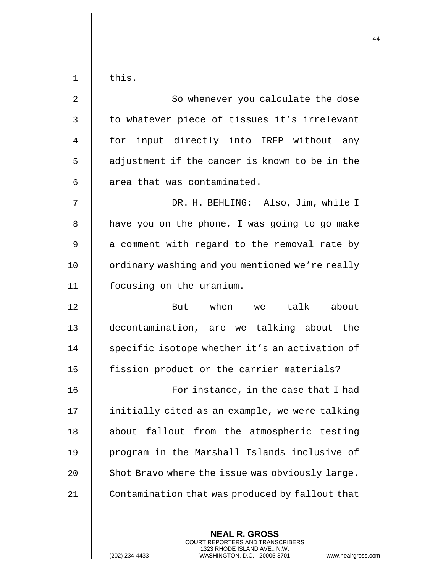$1$   $\parallel$  this. 2 || So whenever you calculate the dose 3 || to whatever piece of tissues it's irrelevant 4 || for input directly into IREP without any 5 | adjustment if the cancer is known to be in the  $6$  || area that was contaminated. 7 DR. H. BEHLING: Also, Jim, while I  $8$  | have you on the phone, I was going to go make  $9$  | a comment with regard to the removal rate by 10 | ordinary washing and you mentioned we're really 11 focusing on the uranium. 12 || But when we talk about 13 decontamination, are we talking about the 14 | specific isotope whether it's an activation of 15 | fission product or the carrier materials? 16 || For instance, in the case that I had 17 || initially cited as an example, we were talking 18 || about fallout from the atmospheric testing 19 || program in the Marshall Islands inclusive of 20  $\parallel$  Shot Bravo where the issue was obviously large. 21 | Contamination that was produced by fallout that

> **NEAL R. GROSS** COURT REPORTERS AND TRANSCRIBERS 1323 RHODE ISLAND AVE., N.W.

(202) 234-4433 WASHINGTON, D.C. 20005-3701 www.nealrgross.com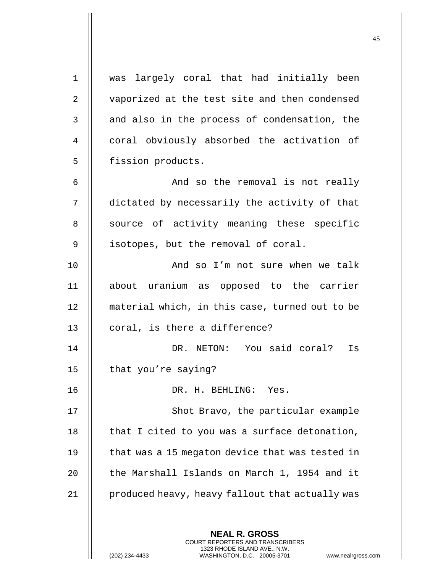**NEAL R. GROSS** COURT REPORTERS AND TRANSCRIBERS 1 was largely coral that had initially been 2 | vaporized at the test site and then condensed 3 || and also in the process of condensation, the 4 || coral obviously absorbed the activation of 5 | fission products. 6 || And so the removal is not really 7 dictated by necessarily the activity of that 8 || source of activity meaning these specific 9 | isotopes, but the removal of coral. 10 || And so I'm not sure when we talk 11 about uranium as opposed to the carrier 12 || material which, in this case, turned out to be  $13$  | coral, is there a difference? 14 DR. NETON: You said coral? Is 15  $\parallel$  that you're saying? 16 DR. H. BEHLING: Yes. 17 || Shot Bravo, the particular example 18  $\parallel$  that I cited to you was a surface detonation, 19  $\parallel$  that was a 15 megaton device that was tested in 20  $\parallel$  the Marshall Islands on March 1, 1954 and it 21 | produced heavy, heavy fallout that actually was

1323 RHODE ISLAND AVE., N.W.

(202) 234-4433 WASHINGTON, D.C. 20005-3701 www.nealrgross.com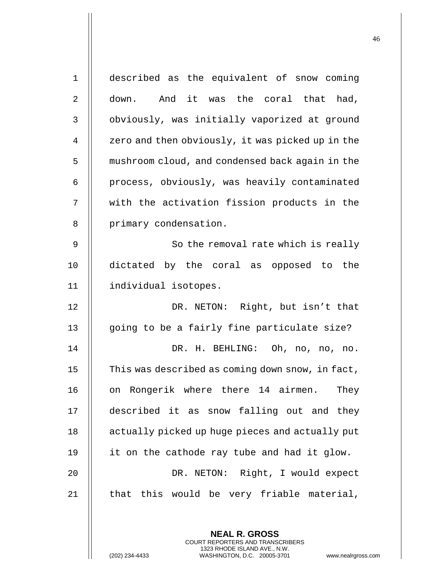| $\mathbf{1}$   | described as the equivalent of snow coming       |
|----------------|--------------------------------------------------|
| $\overline{2}$ | down. And it was the coral that had,             |
| 3              | obviously, was initially vaporized at ground     |
| 4              | zero and then obviously, it was picked up in the |
| 5              | mushroom cloud, and condensed back again in the  |
| 6              | process, obviously, was heavily contaminated     |
| 7              | with the activation fission products in the      |
| 8              | primary condensation.                            |
| 9              | So the removal rate which is really              |
| 10             | dictated by the coral as opposed to the          |
| 11             | individual isotopes.                             |
| 12             | DR. NETON: Right, but isn't that                 |
| 13             | going to be a fairly fine particulate size?      |
| 14             | DR. H. BEHLING: Oh, no, no, no.                  |
| 15             | This was described as coming down snow, in fact, |
| 16             | on Rongerik where there 14 airmen. They          |
| 17             | described it as snow falling out and they        |
| 18             | actually picked up huge pieces and actually put  |
| 19             | it on the cathode ray tube and had it glow.      |
| 20             | DR. NETON: Right, I would expect                 |
| 21             | that this would be very friable material,        |
|                |                                                  |
|                | <b>NEAL R. GROSS</b>                             |

COURT REPORTERS AND TRANSCRIBERS 1323 RHODE ISLAND AVE., N.W.

 $\mathsf{II}$ 

(202) 234-4433 WASHINGTON, D.C. 20005-3701 www.nealrgross.com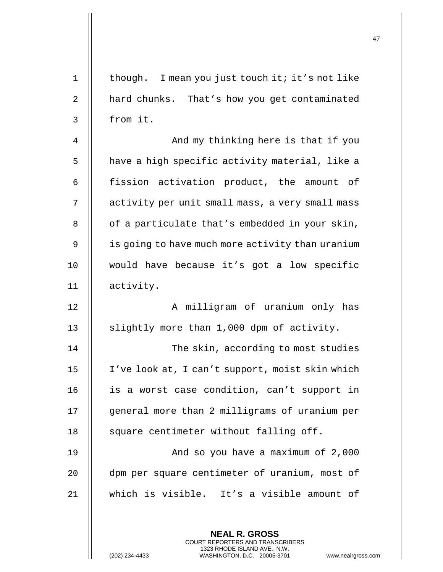| $\mathbf 1$ | though. I mean you just touch it; it's not like                                                 |
|-------------|-------------------------------------------------------------------------------------------------|
| $\sqrt{2}$  | hard chunks. That's how you get contaminated                                                    |
| 3           | from it.                                                                                        |
| 4           | And my thinking here is that if you                                                             |
| 5           | have a high specific activity material, like a                                                  |
| 6           | fission activation product, the amount<br>of                                                    |
| 7           | activity per unit small mass, a very small mass                                                 |
| 8           | of a particulate that's embedded in your skin,                                                  |
| 9           | is going to have much more activity than uranium                                                |
| 10          | would have because it's got a low specific                                                      |
| 11          | activity.                                                                                       |
| 12          | A milligram of uranium only has                                                                 |
| 13          | slightly more than 1,000 dpm of activity.                                                       |
| 14          | The skin, according to most studies                                                             |
| 15          | I've look at, I can't support, moist skin which                                                 |
| 16          | is a worst case condition, can't support in                                                     |
| 17          | general more than 2 milligrams of uranium per                                                   |
| 18          | square centimeter without falling off.                                                          |
| 19          | And so you have a maximum of 2,000                                                              |
| 20          | dpm per square centimeter of uranium, most of                                                   |
| 21          | which is visible. It's a visible amount of                                                      |
|             |                                                                                                 |
|             | <b>NEAL R. GROSS</b><br>COURT REPORTERS AND TRANSCRIBERS                                        |
|             | 1323 RHODE ISLAND AVE., N.W.<br>(202) 234-4433<br>WASHINGTON, D.C. 20005-3701<br>www.nealrgross |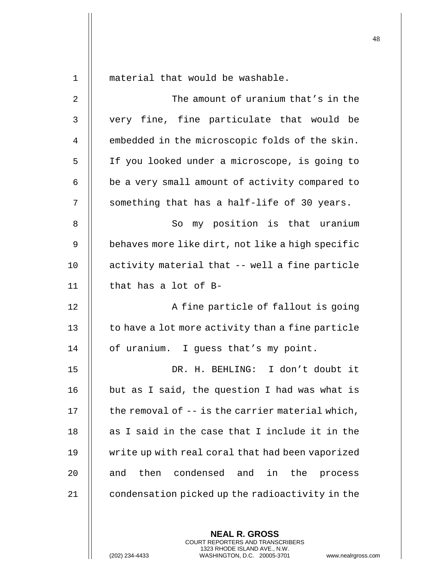| $\mathbf 1$ | material that would be washable.                     |
|-------------|------------------------------------------------------|
| 2           | The amount of uranium that's in the                  |
| 3           | very fine, fine particulate that would be            |
| 4           | embedded in the microscopic folds of the skin.       |
| 5           | If you looked under a microscope, is going to        |
| 6           | be a very small amount of activity compared to       |
| 7           | something that has a half-life of 30 years.          |
| 8           | my position is that uranium<br>So                    |
| 9           | behaves more like dirt, not like a high specific     |
| 10          | activity material that -- well a fine particle       |
| 11          | that has a lot of B-                                 |
| 12          | A fine particle of fallout is going                  |
| 13          | to have a lot more activity than a fine particle     |
| 14          | of uranium. I guess that's my point.                 |
| 15          | DR. H. BEHLING:<br>I don't doubt it                  |
| 16          | but as I said, the question I had was what is        |
| 17          | the removal of -- is the carrier material which,     |
| 18          | as I said in the case that I include it in the       |
| 19          | write up with real coral that had been vaporized     |
| 20          | condensed and<br>then<br>in<br>the<br>and<br>process |
| 21          | condensation picked up the radioactivity in the      |
|             |                                                      |

**NEAL R. GROSS** COURT REPORTERS AND TRANSCRIBERS 1323 RHODE ISLAND AVE., N.W.

(202) 234-4433 WASHINGTON, D.C. 20005-3701 www.nealrgross.com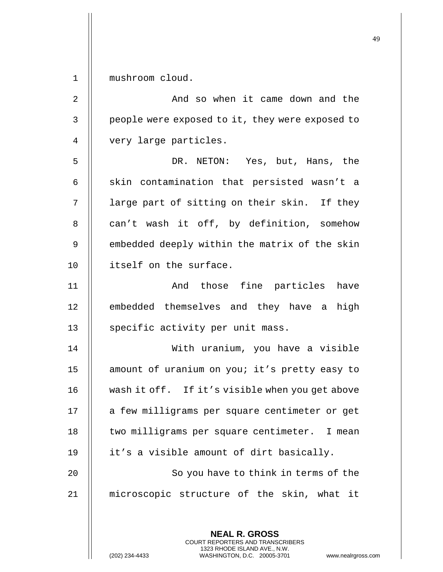1 mushroom cloud.

**NEAL R. GROSS** 2 || The Bookhall So when it came down and the 3 | people were exposed to it, they were exposed to 4 || very large particles. 5 DR. NETON: Yes, but, Hans, the  $6$  || skin contamination that persisted wasn't a  $7$  || large part of sitting on their skin. If they 8 || can't wash it off, by definition, somehow 9 | embedded deeply within the matrix of the skin 10 || itself on the surface. 11 || And those fine particles have 12 || embedded themselves and they have a high 13 || specific activity per unit mass. 14 With uranium, you have a visible 15 || amount of uranium on you; it's pretty easy to 16 | wash it off. If it's visible when you get above 17 || a few milligrams per square centimeter or get 18 || two milligrams per square centimeter. I mean 19 | it's a visible amount of dirt basically. 20 || So you have to think in terms of the 21 microscopic structure of the skin, what it

> COURT REPORTERS AND TRANSCRIBERS 1323 RHODE ISLAND AVE., N.W.

(202) 234-4433 WASHINGTON, D.C. 20005-3701 www.nealrgross.com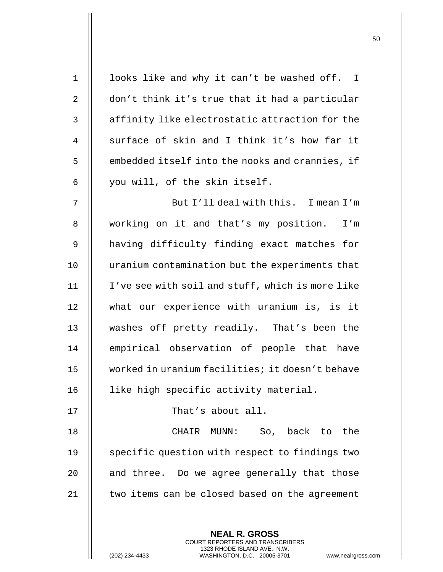| $1\,$          | looks like and why it can't be washed off. I                                                                                                                      |
|----------------|-------------------------------------------------------------------------------------------------------------------------------------------------------------------|
| 2              | don't think it's true that it had a particular                                                                                                                    |
| 3              | affinity like electrostatic attraction for the                                                                                                                    |
| $\overline{4}$ | surface of skin and I think it's how far it                                                                                                                       |
| 5              | embedded itself into the nooks and crannies, if                                                                                                                   |
| 6              | you will, of the skin itself.                                                                                                                                     |
| 7              | But I'll deal with this. I mean I'm                                                                                                                               |
| 8              | working on it and that's my position. I'm                                                                                                                         |
| $\mathsf 9$    | having difficulty finding exact matches for                                                                                                                       |
| 10             | uranium contamination but the experiments that                                                                                                                    |
| 11             | I've see with soil and stuff, which is more like                                                                                                                  |
| 12             | what our experience with uranium is, is it                                                                                                                        |
| 13             | washes off pretty readily. That's been the                                                                                                                        |
| 14             | empirical observation of people that have                                                                                                                         |
| 15             | worked in uranium facilities; it doesn't behave                                                                                                                   |
| 16             | like high specific activity material.                                                                                                                             |
| 17             | That's about all.                                                                                                                                                 |
| 18             | So, back to the<br>CHAIR MUNN:                                                                                                                                    |
| 19             | specific question with respect to findings two                                                                                                                    |
| 20             | and three. Do we agree generally that those                                                                                                                       |
| 21             | two items can be closed based on the agreement                                                                                                                    |
|                |                                                                                                                                                                   |
|                | <b>NEAL R. GROSS</b><br><b>COURT REPORTERS AND TRANSCRIBERS</b><br>1323 RHODE ISLAND AVE., N.W.<br>(202) 234-4433<br>WASHINGTON, D.C. 20005-3701<br>www.nealrgros |

(202) 234-4433 WASHINGTON, D.C. 20005-3701 www.nealrgross.com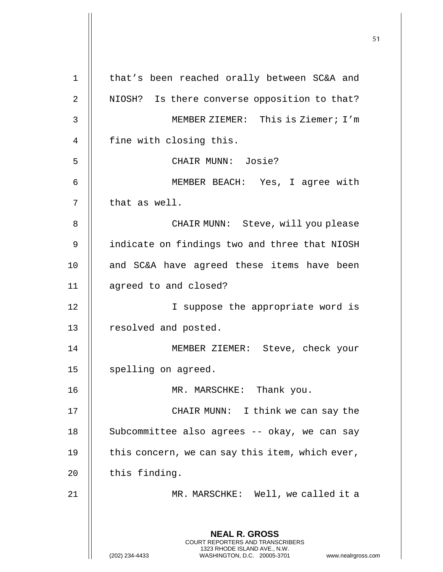**NEAL R. GROSS** COURT REPORTERS AND TRANSCRIBERS 1323 RHODE ISLAND AVE., N.W. (202) 234-4433 WASHINGTON, D.C. 20005-3701 www.nealrgross.com 1 || that's been reached orally between SC&A and 2 | NIOSH? Is there converse opposition to that? 3 || MEMBER ZIEMER: This is Ziemer; I'm 4 | fine with closing this. 5 CHAIR MUNN: Josie? 6 MEMBER BEACH: Yes, I agree with  $7$   $\parallel$  that as well. 8 CHAIR MUNN: Steve, will you please 9 | indicate on findings two and three that NIOSH 10 || and SC&A have agreed these items have been 11 agreed to and closed? 12 || I suppose the appropriate word is 13 | resolved and posted. 14 || MEMBER ZIEMER: Steve, check your 15 | spelling on agreed. 16 || MR. MARSCHKE: Thank you. 17 || CHAIR MUNN: I think we can say the 18 || Subcommittee also agrees -- okay, we can say 19  $\parallel$  this concern, we can say this item, which ever,  $20$  | this finding. 21 || MR. MARSCHKE: Well, we called it a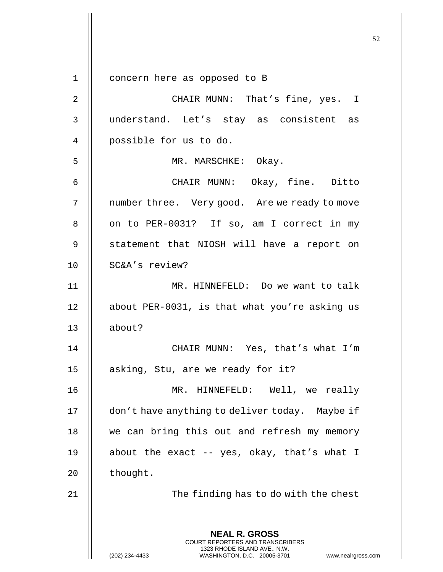**NEAL R. GROSS** COURT REPORTERS AND TRANSCRIBERS 1323 RHODE ISLAND AVE., N.W. 1 concern here as opposed to B 2 || CHAIR MUNN: That's fine, yes. I 3 understand. Let's stay as consistent as 4 || possible for us to do. 5 || MR. MARSCHKE: Okay. 6 CHAIR MUNN: Okay, fine. Ditto 7 | number three. Very good. Are we ready to move 8 | on to PER-0031? If so, am I correct in my 9 || statement that NIOSH will have a report on 10 SC&A's review? 11 MR. HINNEFELD: Do we want to talk 12 || about PER-0031, is that what you're asking us 13 about? 14 CHAIR MUNN: Yes, that's what I'm 15 | asking, Stu, are we ready for it? 16 MR. HINNEFELD: Well, we really 17 | don't have anything to deliver today. Maybe if 18 || we can bring this out and refresh my memory 19  $\parallel$  about the exact -- yes, okay, that's what I  $20$  | thought. 21 || The finding has to do with the chest

(202) 234-4433 WASHINGTON, D.C. 20005-3701 www.nealrgross.com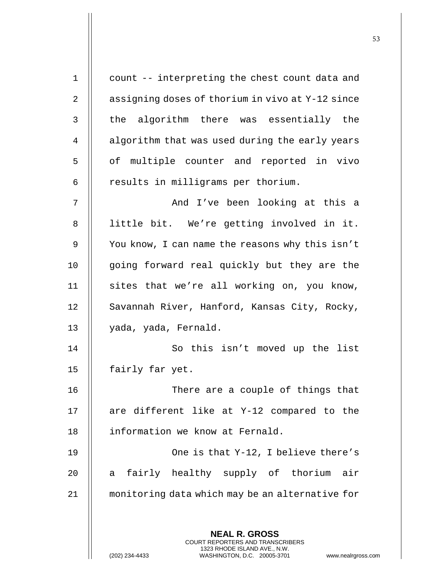| $\mathbf 1$  | count -- interpreting the chest count data and                                                  |
|--------------|-------------------------------------------------------------------------------------------------|
| 2            | assigning doses of thorium in vivo at Y-12 since                                                |
| $\mathbf{3}$ | the algorithm there was essentially the                                                         |
| 4            | algorithm that was used during the early years                                                  |
| 5            | of multiple counter and reported in vivo                                                        |
| 6            | results in milligrams per thorium.                                                              |
| 7            | And I've been looking at this a                                                                 |
| 8            | little bit. We're getting involved in it.                                                       |
| 9            | You know, I can name the reasons why this isn't                                                 |
| 10           | going forward real quickly but they are the                                                     |
| 11           | sites that we're all working on, you know,                                                      |
| 12           | Savannah River, Hanford, Kansas City, Rocky,                                                    |
| 13           | yada, yada, Fernald.                                                                            |
| 14           | So this isn't moved up the list                                                                 |
| 15           | fairly far yet.                                                                                 |
| 16           | There are a couple of things that                                                               |
| 17           | are different like at Y-12 compared to the                                                      |
| 18           | information we know at Fernald.                                                                 |
| 19           | One is that Y-12, I believe there's                                                             |
| 20           | a fairly healthy supply of thorium air                                                          |
| 21           | monitoring data which may be an alternative for                                                 |
|              |                                                                                                 |
|              | <b>NEAL R. GROSS</b><br>COURT REPORTERS AND TRANSCRIBERS                                        |
|              | 1323 RHODE ISLAND AVE., N.W.<br>(202) 234-4433<br>WASHINGTON, D.C. 20005-3701<br>www.nealrgross |

(202) 234-4433 WASHINGTON, D.C. 20005-3701 www.nealrgross.com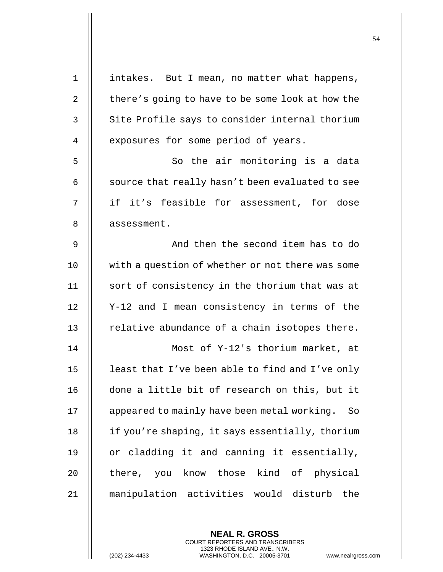| $\mathbf 1$ | intakes. But I mean, no matter what happens,      |
|-------------|---------------------------------------------------|
| 2           | there's going to have to be some look at how the  |
| 3           | Site Profile says to consider internal thorium    |
| 4           | exposures for some period of years.               |
| 5           | So the air monitoring is a data                   |
| 6           | source that really hasn't been evaluated to see   |
| 7           | if it's feasible for assessment, for dose         |
| 8           | assessment.                                       |
| 9           | And then the second item has to do                |
| 10          | with a question of whether or not there was some  |
| 11          | sort of consistency in the thorium that was at    |
| 12          | Y-12 and I mean consistency in terms of the       |
| 13          | relative abundance of a chain isotopes there.     |
| 14          | Most of Y-12's thorium market, at                 |
| 15          | least that I've been able to find and I've only   |
| 16          | done a little bit of research on this, but it     |
| 17          | appeared to mainly have been metal working.<br>So |
| 18          | if you're shaping, it says essentially, thorium   |
| 19          | or cladding it and canning it essentially,        |
| 20          | there, you know those kind of physical            |
| 21          | manipulation activities would disturb the         |
|             |                                                   |

**NEAL R. GROSS** COURT REPORTERS AND TRANSCRIBERS 1323 RHODE ISLAND AVE., N.W.

(202) 234-4433 WASHINGTON, D.C. 20005-3701 www.nealrgross.com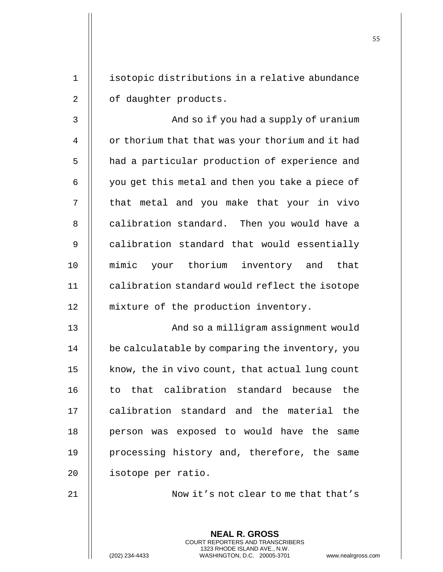1 | isotopic distributions in a relative abundance 2 | of daughter products.

3 | Robert And so if you had a supply of uranium 4 | or thorium that that was your thorium and it had 5 | had a particular production of experience and  $6 \parallel$  you get this metal and then you take a piece of 7 || that metal and you make that your in vivo 8 || calibration standard. Then you would have a 9 | calibration standard that would essentially 10 mimic your thorium inventory and that 11 | calibration standard would reflect the isotope 12 || mixture of the production inventory.

13 || And so a milligram assignment would 14 | be calculatable by comparing the inventory, you 15  $\parallel$  know, the in vivo count, that actual lung count 16 || to that calibration standard because the 17 || calibration standard and the material the 18 || person was exposed to would have the same 19 || processing history and, therefore, the same 20 | isotope per ratio.

21 || Now it's not clear to me that that's

**NEAL R. GROSS** COURT REPORTERS AND TRANSCRIBERS 1323 RHODE ISLAND AVE., N.W.

(202) 234-4433 WASHINGTON, D.C. 20005-3701 www.nealrgross.com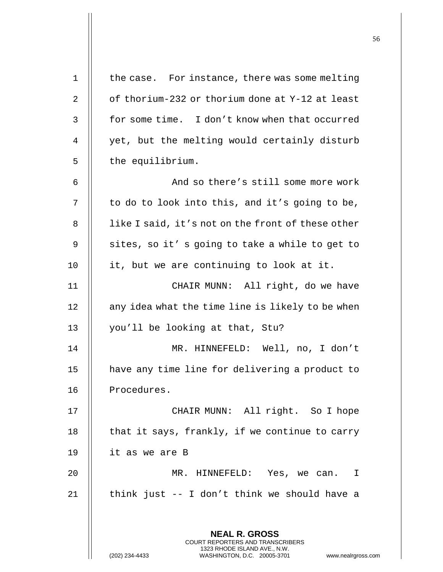| $\mathbf 1$    | the case. For instance, there was some melting                                                                                                              |
|----------------|-------------------------------------------------------------------------------------------------------------------------------------------------------------|
| 2              | of thorium-232 or thorium done at Y-12 at least                                                                                                             |
| 3              | for some time. I don't know when that occurred                                                                                                              |
| $\overline{4}$ | yet, but the melting would certainly disturb                                                                                                                |
| 5              | the equilibrium.                                                                                                                                            |
| 6              | And so there's still some more work                                                                                                                         |
| 7              | to do to look into this, and it's going to be,                                                                                                              |
| 8              | like I said, it's not on the front of these other                                                                                                           |
| 9              | sites, so it's going to take a while to get to                                                                                                              |
| 10             | it, but we are continuing to look at it.                                                                                                                    |
| 11             | CHAIR MUNN: All right, do we have                                                                                                                           |
| 12             | any idea what the time line is likely to be when                                                                                                            |
| 13             | you'll be looking at that, Stu?                                                                                                                             |
| 14             | MR. HINNEFELD: Well, no, I don't                                                                                                                            |
| 15             | have any time line for delivering a product to                                                                                                              |
| 16             | Procedures.                                                                                                                                                 |
| 17             | CHAIR MUNN: All right. So I hope                                                                                                                            |
| 18             | that it says, frankly, if we continue to carry                                                                                                              |
| 19             | it as we are B                                                                                                                                              |
| 20             | MR. HINNEFELD: Yes, we can. I                                                                                                                               |
| 21             | think just -- I don't think we should have a                                                                                                                |
|                | <b>NEAL R. GROSS</b><br>COURT REPORTERS AND TRANSCRIBERS<br>1323 RHODE ISLAND AVE., N.W.<br>(202) 234-4433<br>WASHINGTON, D.C. 20005-3701<br>www.nealrgross |

(202) 234-4433 WASHINGTON, D.C. 20005-3701 www.nealrgross.com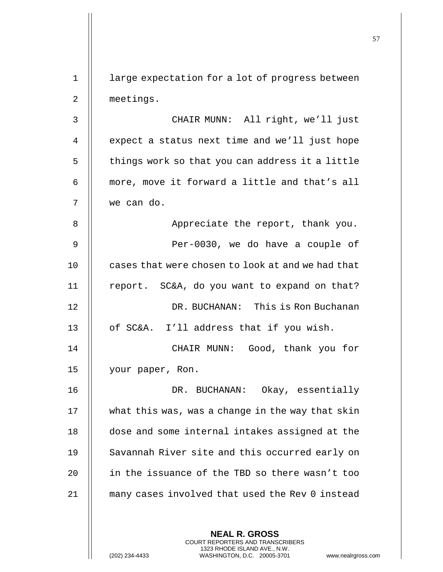**NEAL R. GROSS** COURT REPORTERS AND TRANSCRIBERS 1 || large expectation for a lot of progress between 2 | meetings. 3 || CHAIR MUNN: All right, we'll just 4 | expect a status next time and we'll just hope  $5$   $\parallel$  things work so that you can address it a little 6 || more, move it forward a little and that's all 7 we can do. 8 || Appreciate the report, thank you. 9 Per-0030, we do have a couple of 10 **let** cases that were chosen to look at and we had that 11  $\parallel$  report. SC&A, do you want to expand on that? 12 DR. BUCHANAN: This is Ron Buchanan 13 || of SC&A. I'll address that if you wish. 14 CHAIR MUNN: Good, thank you for 15 || your paper, Ron. 16 DR. BUCHANAN: Okay, essentially 17 what this was, was a change in the way that skin 18 **dose and some internal intakes assigned at the** 19 || Savannah River site and this occurred early on 20 || in the issuance of the TBD so there wasn't too 21 many cases involved that used the Rev 0 instead

1323 RHODE ISLAND AVE., N.W.

(202) 234-4433 WASHINGTON, D.C. 20005-3701 www.nealrgross.com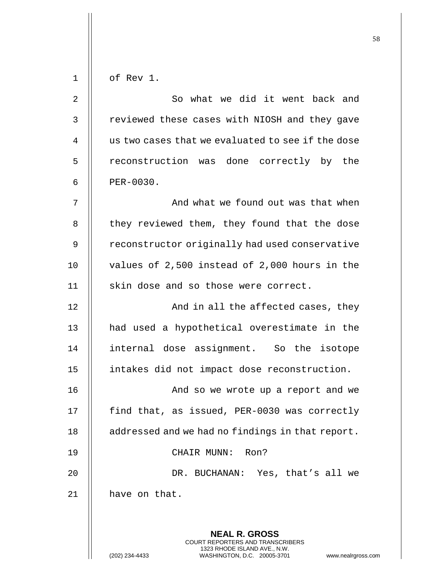| $\mathbf 1$    | of Rev 1.                                                                                       |
|----------------|-------------------------------------------------------------------------------------------------|
| 2              | So what we did it went back and                                                                 |
| $\mathsf 3$    | reviewed these cases with NIOSH and they gave                                                   |
| $\overline{4}$ | us two cases that we evaluated to see if the dose                                               |
| 5              | reconstruction was done correctly by the                                                        |
| 6              | PER-0030.                                                                                       |
| 7              | And what we found out was that when                                                             |
| 8              | they reviewed them, they found that the dose                                                    |
| 9              | reconstructor originally had used conservative                                                  |
| 10             | values of 2,500 instead of 2,000 hours in the                                                   |
| 11             | skin dose and so those were correct.                                                            |
| 12             | And in all the affected cases, they                                                             |
| 13             | had used a hypothetical overestimate in the                                                     |
| 14             | internal dose assignment. So the isotope                                                        |
| 15             | intakes did not impact dose reconstruction.                                                     |
| 16             | And so we wrote up a report and we                                                              |
| 17             | find that, as issued, PER-0030 was correctly                                                    |
| 18             | addressed and we had no findings in that report.                                                |
| 19             | CHAIR MUNN: Ron?                                                                                |
| 20             | DR. BUCHANAN: Yes, that's all we                                                                |
| 21             | have on that.                                                                                   |
|                |                                                                                                 |
|                | <b>NEAL R. GROSS</b><br>COURT REPORTERS AND TRANSCRIBERS                                        |
|                | 1323 RHODE ISLAND AVE., N.W.<br>(202) 234-4433<br>WASHINGTON, D.C. 20005-3701<br>www.nealrgross |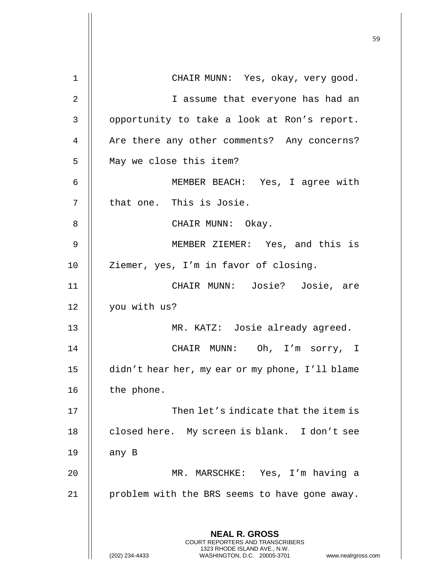| 1  | CHAIR MUNN: Yes, okay, very good.                                                                   |
|----|-----------------------------------------------------------------------------------------------------|
| 2  | I assume that everyone has had an                                                                   |
| 3  | opportunity to take a look at Ron's report.                                                         |
| 4  | Are there any other comments? Any concerns?                                                         |
| 5  | May we close this item?                                                                             |
| 6  | MEMBER BEACH: Yes, I agree with                                                                     |
| 7  | that one. This is Josie.                                                                            |
| 8  | CHAIR MUNN: Okay.                                                                                   |
| 9  | MEMBER ZIEMER: Yes, and this is                                                                     |
| 10 | Ziemer, yes, I'm in favor of closing.                                                               |
| 11 | CHAIR MUNN: Josie? Josie, are                                                                       |
| 12 | you with us?                                                                                        |
| 13 | MR. KATZ: Josie already agreed.                                                                     |
| 14 | CHAIR MUNN: Oh, I'm sorry, I                                                                        |
| 15 | didn't hear her, my ear or my phone, I'll blame                                                     |
| 16 | the phone.                                                                                          |
| 17 | Then let's indicate that the item is                                                                |
| 18 | closed here. My screen is blank. I don't see                                                        |
| 19 | any B                                                                                               |
| 20 | MR. MARSCHKE: Yes, I'm having a                                                                     |
| 21 | problem with the BRS seems to have gone away.                                                       |
|    |                                                                                                     |
|    | <b>NEAL R. GROSS</b><br><b>COURT REPORTERS AND TRANSCRIBERS</b>                                     |
|    | 1323 RHODE ISLAND AVE., N.W.<br>(202) 234-4433<br>WASHINGTON, D.C. 20005-3701<br>www.nealrgross.com |

 $\mathsf{I}$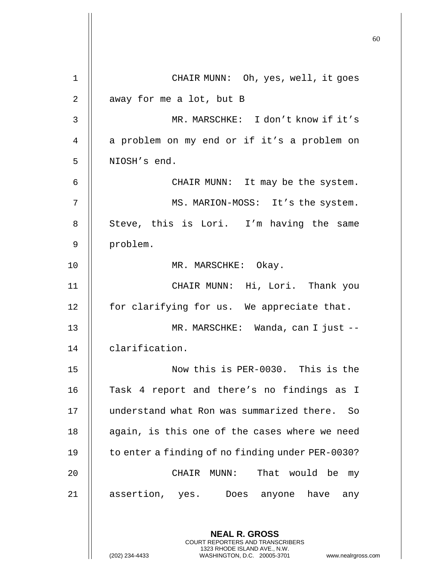**NEAL R. GROSS** COURT REPORTERS AND TRANSCRIBERS 1323 RHODE ISLAND AVE., N.W. 1 CHAIR MUNN: Oh, yes, well, it goes 2 | away for me a lot, but B 3 MR. MARSCHKE: I don't know if it's 4 || a problem on my end or if it's a problem on 5 | NIOSH's end. 6 CHAIR MUNN: It may be the system. 7 || MS. MARION-MOSS: It's the system. 8 || Steve, this is Lori. I'm having the same 9 problem. 10 || MR. MARSCHKE: Okay. 11 CHAIR MUNN: Hi, Lori. Thank you  $12$  | for clarifying for us. We appreciate that. 13 || MR. MARSCHKE: Wanda, can I just --14 clarification. 15 Now this is PER-0030. This is the 16 || Task 4 report and there's no findings as I 17 understand what Ron was summarized there. So 18  $\parallel$  again, is this one of the cases where we need 19 | to enter a finding of no finding under PER-0030? 20 CHAIR MUNN: That would be my 21 || assertion, yes. Does anyone have any

(202) 234-4433 WASHINGTON, D.C. 20005-3701 www.nealrgross.com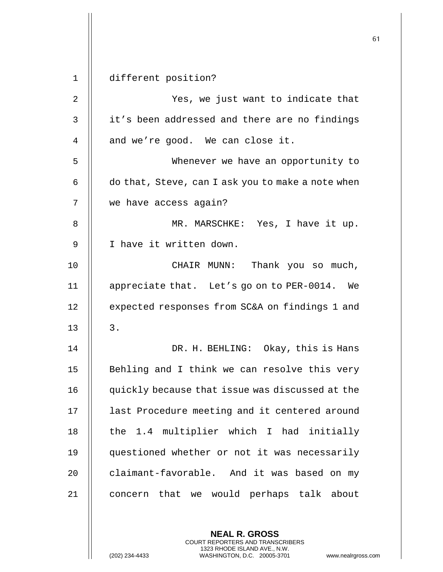1 different position? 2 Yes, we just want to indicate that 3 | it's been addressed and there are no findings  $4 \parallel$  and we're good. We can close it. 5 Whenever we have an opportunity to  $6 \parallel$  do that, Steve, can I ask you to make a note when 7 we have access again? 8 || MR. MARSCHKE: Yes, I have it up. 9 || I have it written down. 10 CHAIR MUNN: Thank you so much, 11 appreciate that. Let's go on to PER-0014. We 12 | expected responses from SC&A on findings 1 and  $13 \parallel 3$ . 14 DR. H. BEHLING: Okay, this is Hans 15 || Behling and I think we can resolve this very 16 | quickly because that issue was discussed at the 17 || last Procedure meeting and it centered around 18  $\parallel$  the 1.4 multiplier which I had initially 19 questioned whether or not it was necessarily 20  $\parallel$  claimant-favorable. And it was based on my 21 || concern that we would perhaps talk about

> **NEAL R. GROSS** COURT REPORTERS AND TRANSCRIBERS 1323 RHODE ISLAND AVE., N.W.

(202) 234-4433 WASHINGTON, D.C. 20005-3701 www.nealrgross.com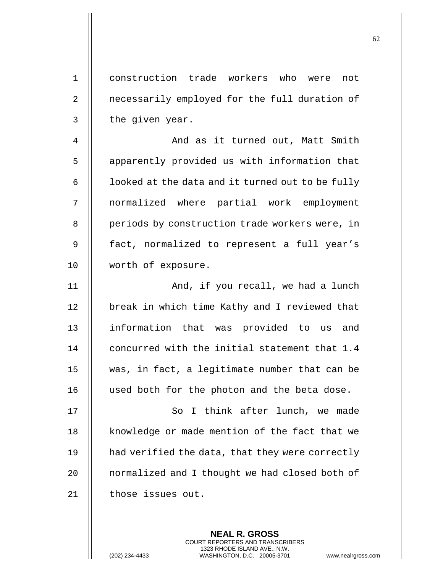1 construction trade workers who were not 2 | necessarily employed for the full duration of  $3 \parallel$  the given year. 4 And as it turned out, Matt Smith 5 | apparently provided us with information that  $6$  |  $\blacksquare$  looked at the data and it turned out to be fully 7 normalized where partial work employment 8 | periods by construction trade workers were, in 9 || fact, normalized to represent a full year's 10 worth of exposure. 11 || And, if you recall, we had a lunch 12 | break in which time Kathy and I reviewed that 13 || information that was provided to us and 14 || concurred with the initial statement that 1.4 15 was, in fact, a legitimate number that can be 16 used both for the photon and the beta dose. 17 || So I think after lunch, we made 18 || knowledge or made mention of the fact that we 19 | had verified the data, that they were correctly 20 | normalized and I thought we had closed both of 21 | those issues out.

> **NEAL R. GROSS** COURT REPORTERS AND TRANSCRIBERS 1323 RHODE ISLAND AVE., N.W.

(202) 234-4433 WASHINGTON, D.C. 20005-3701 www.nealrgross.com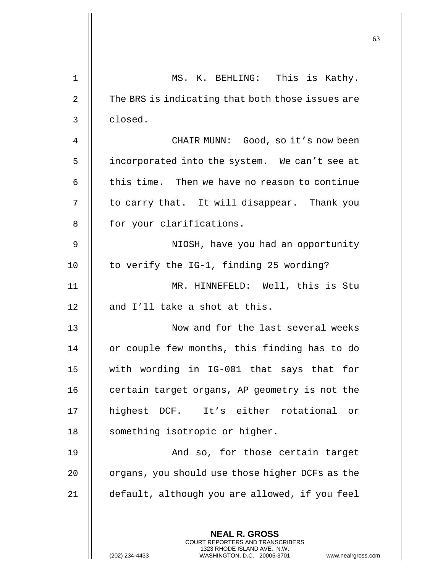| $\mathbf 1$    | MS. K. BEHLING: This is Kathy.                                                                                                                                |
|----------------|---------------------------------------------------------------------------------------------------------------------------------------------------------------|
| $\overline{a}$ | The BRS is indicating that both those issues are                                                                                                              |
| 3              | closed.                                                                                                                                                       |
| 4              | CHAIR MUNN: Good, so it's now been                                                                                                                            |
| 5              | incorporated into the system. We can't see at                                                                                                                 |
| 6              | this time. Then we have no reason to continue                                                                                                                 |
| 7              | to carry that. It will disappear. Thank you                                                                                                                   |
| 8              | for your clarifications.                                                                                                                                      |
| 9              | NIOSH, have you had an opportunity                                                                                                                            |
| 10             | to verify the IG-1, finding 25 wording?                                                                                                                       |
| 11             | MR. HINNEFELD: Well, this is Stu                                                                                                                              |
| 12             | and I'll take a shot at this.                                                                                                                                 |
| 13             | Now and for the last several weeks                                                                                                                            |
| 14             | or couple few months, this finding has to do                                                                                                                  |
| 15             | with wording in IG-001 that says that for                                                                                                                     |
| 16             | certain target organs, AP geometry is not the                                                                                                                 |
| 17             | highest DCF. It's either rotational or                                                                                                                        |
| 18             | something isotropic or higher.                                                                                                                                |
| 19             | And so, for those certain target                                                                                                                              |
| 20             | organs, you should use those higher DCFs as the                                                                                                               |
| 21             | default, although you are allowed, if you feel                                                                                                                |
|                | <b>NEAL R. GROSS</b><br>COURT REPORTERS AND TRANSCRIBERS<br>1323 RHODE ISLAND AVE., N.W.<br>(202) 234-4433<br>WASHINGTON, D.C. 20005-3701<br>www.nealrgross.o |

 $\mathsf{l}\mathsf{l}$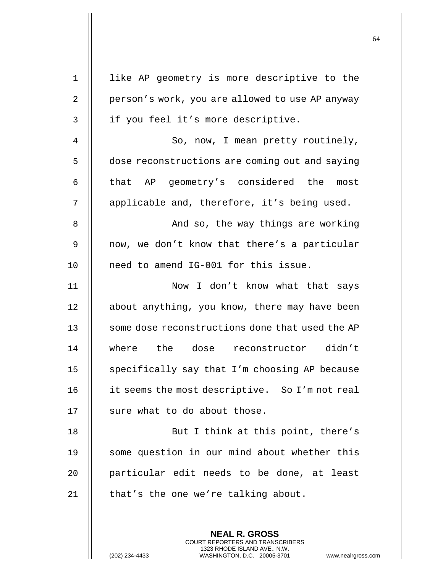| $\mathbf 1$    | like AP geometry is more descriptive to the     |
|----------------|-------------------------------------------------|
| $\overline{2}$ | person's work, you are allowed to use AP anyway |
| 3              | if you feel it's more descriptive.              |
| 4              | So, now, I mean pretty routinely,               |
| 5              | dose reconstructions are coming out and saying  |
| 6              | that AP geometry's considered the most          |
| 7              | applicable and, therefore, it's being used.     |
| 8              | And so, the way things are working              |
| 9              | now, we don't know that there's a particular    |
| 10             | need to amend IG-001 for this issue.            |
| 11             | Now I don't know what that says                 |
| 12             | about anything, you know, there may have been   |
| 13             | some dose reconstructions done that used the AP |
| 14             | where the dose reconstructor didn't             |
| 15             | specifically say that I'm choosing AP because   |
| 16             | it seems the most descriptive. So I'm not real  |
| 17             | sure what to do about those.                    |
| 18             | But I think at this point, there's              |
| 19             | some question in our mind about whether this    |
| 20             | particular edit needs to be done, at least      |
| 21             | that's the one we're talking about.             |
|                |                                                 |
|                | <b>NEAL R. GROSS</b>                            |

COURT REPORTERS AND TRANSCRIBERS 1323 RHODE ISLAND AVE., N.W.

(202) 234-4433 WASHINGTON, D.C. 20005-3701 www.nealrgross.com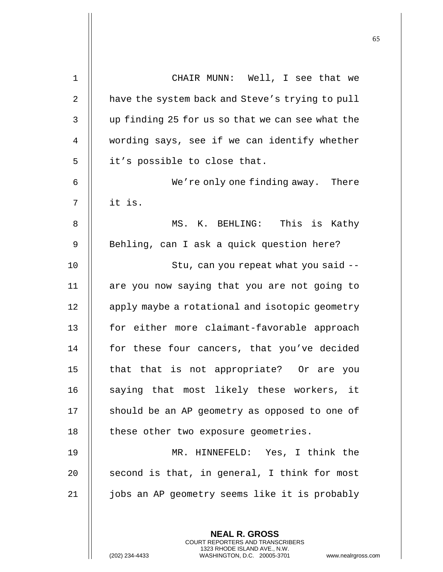| 1              | CHAIR MUNN: Well, I see that we                          |
|----------------|----------------------------------------------------------|
| 2              | have the system back and Steve's trying to pull          |
| 3              | up finding 25 for us so that we can see what the         |
| $\overline{4}$ | wording says, see if we can identify whether             |
| 5              | it's possible to close that.                             |
| 6              | We're only one finding away. There                       |
| 7              | it is.                                                   |
| 8              | MS. K. BEHLING: This is Kathy                            |
| 9              | Behling, can I ask a quick question here?                |
| 10             | Stu, can you repeat what you said --                     |
| 11             | are you now saying that you are not going to             |
| 12             | apply maybe a rotational and isotopic geometry           |
| 13             | for either more claimant-favorable approach              |
| 14             | for these four cancers, that you've decided              |
| 15             | that that is not appropriate? Or are you                 |
| 16             | saying that most likely these workers, it                |
| 17             | should be an AP geometry as opposed to one of            |
| 18             | these other two exposure geometries.                     |
| 19             | MR. HINNEFELD: Yes, I think the                          |
| 20             | second is that, in general, I think for most             |
| 21             | jobs an AP geometry seems like it is probably            |
|                |                                                          |
|                | <b>NEAL R. GROSS</b><br>COURT REPORTERS AND TRANSCRIBERS |

1323 RHODE ISLAND AVE., N.W.

 $\prod$ 

(202) 234-4433 WASHINGTON, D.C. 20005-3701 www.nealrgross.com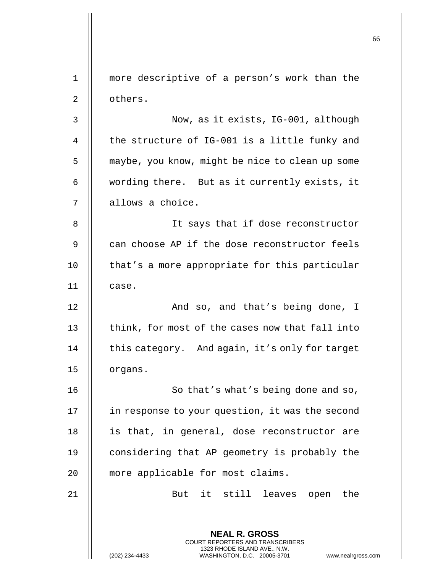**NEAL R. GROSS** COURT REPORTERS AND TRANSCRIBERS 1323 RHODE ISLAND AVE., N.W. 1 more descriptive of a person's work than the 2 | others. 3 || Now, as it exists, IG-001, although 4  $\parallel$  the structure of IG-001 is a little funky and 5 | maybe, you know, might be nice to clean up some 6 | wording there. But as it currently exists, it 7 | allows a choice. 8 || It says that if dose reconstructor 9 || can choose AP if the dose reconstructor feels 10 || that's a more appropriate for this particular 11 case. 12 || And so, and that's being done, I 13  $\parallel$  think, for most of the cases now that fall into 14 | this category. And again, it's only for target 15 | organs. 16 || So that's what's being done and so, 17 | in response to your question, it was the second 18 || is that, in general, dose reconstructor are 19 | considering that AP geometry is probably the 20 || more applicable for most claims. 21 || But it still leaves open the

(202) 234-4433 WASHINGTON, D.C. 20005-3701 www.nealrgross.com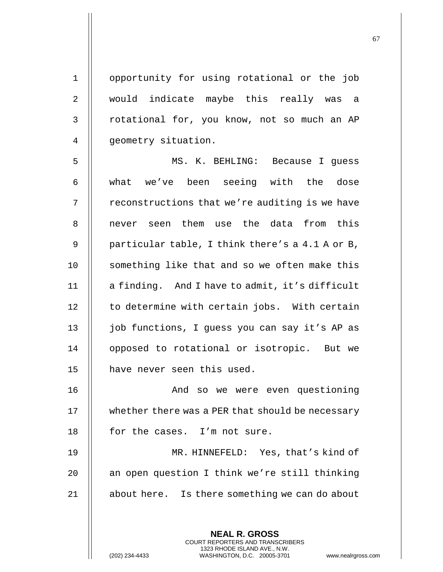1 opportunity for using rotational or the job 2 || would indicate maybe this really was a  $3$  | rotational for, you know, not so much an AP 4 || geometry situation.

5 MS. K. BEHLING: Because I guess 6 || what we've been seeing with the dose  $7$  | reconstructions that we're auditing is we have 8 || never seen them use the data from this 9  $\parallel$  particular table, I think there's a 4.1 A or B, 10 || something like that and so we often make this 11 | a finding. And I have to admit, it's difficult  $12$   $\parallel$  to determine with certain jobs. With certain 13 || job functions, I quess you can say it's AP as 14 | opposed to rotational or isotropic. But we 15 || have never seen this used.

16 || And so we were even questioning 17 | whether there was a PER that should be necessary 18 || for the cases. I'm not sure.

19 MR. HINNEFELD: Yes, that's kind of 20  $\parallel$  an open question I think we're still thinking 21 | about here. Is there something we can do about

> **NEAL R. GROSS** COURT REPORTERS AND TRANSCRIBERS 1323 RHODE ISLAND AVE., N.W.

(202) 234-4433 WASHINGTON, D.C. 20005-3701 www.nealrgross.com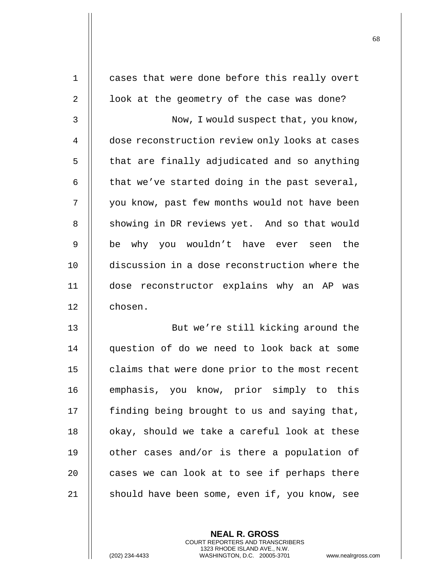| cases that were done before this really overt  |
|------------------------------------------------|
| look at the geometry of the case was done?     |
| Now, I would suspect that, you know,           |
| dose reconstruction review only looks at cases |
| that are finally adjudicated and so anything   |
| that we've started doing in the past several,  |
| you know, past few months would not have been  |
| showing in DR reviews yet. And so that would   |
| be why you wouldn't have ever seen<br>the      |
| discussion in a dose reconstruction where the  |
| dose reconstructor explains why an AP was      |
| chosen.                                        |
| But we're still kicking around the             |
| question of do we need to look back at some    |
| claims that were done prior to the most recent |
| emphasis, you know, prior simply to this       |
| finding being brought to us and saying that,   |
| okay, should we take a careful look at these   |
| other cases and/or is there a population of    |
| cases we can look at to see if perhaps there   |
| should have been some, even if, you know, see  |
|                                                |

**NEAL R. GROSS** COURT REPORTERS AND TRANSCRIBERS 1323 RHODE ISLAND AVE., N.W.

(202) 234-4433 WASHINGTON, D.C. 20005-3701 www.nealrgross.com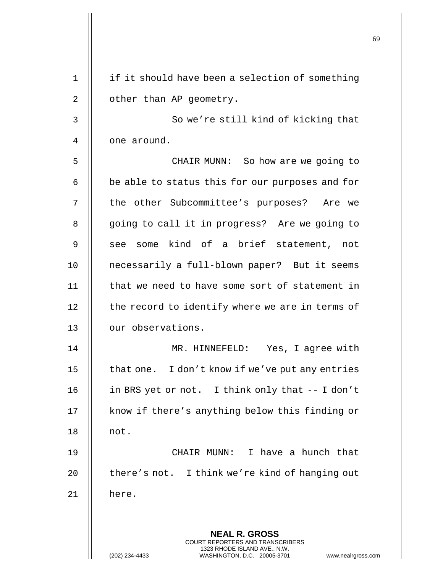|             |                                                                                                                                                | פט |
|-------------|------------------------------------------------------------------------------------------------------------------------------------------------|----|
| $\mathbf 1$ | if it should have been a selection of something                                                                                                |    |
| 2           | other than AP geometry.                                                                                                                        |    |
| 3           | So we're still kind of kicking that                                                                                                            |    |
| 4           | one around.                                                                                                                                    |    |
| 5           | CHAIR MUNN: So how are we going to                                                                                                             |    |
| 6           | be able to status this for our purposes and for                                                                                                |    |
| 7           | the other Subcommittee's purposes? Are we                                                                                                      |    |
|             |                                                                                                                                                |    |
| 8           | going to call it in progress? Are we going to                                                                                                  |    |
| 9           | see some kind of a brief statement, not                                                                                                        |    |
| 10          | necessarily a full-blown paper? But it seems                                                                                                   |    |
| 11          | that we need to have some sort of statement in                                                                                                 |    |
| 12          | the record to identify where we are in terms of                                                                                                |    |
| 13          | our observations.                                                                                                                              |    |
| 14          | MR. HINNEFELD: Yes, I agree with                                                                                                               |    |
| 15          | that one. I don't know if we've put any entries                                                                                                |    |
| 16          | in BRS yet or not. I think only that -- I don't                                                                                                |    |
| 17          | know if there's anything below this finding or                                                                                                 |    |
| 18          | not.                                                                                                                                           |    |
| 19          | CHAIR MUNN: I have a hunch that                                                                                                                |    |
| 20          | there's not. I think we're kind of hanging out                                                                                                 |    |
| 21          | here.                                                                                                                                          |    |
|             |                                                                                                                                                |    |
|             | <b>NEAL R. GROSS</b>                                                                                                                           |    |
|             | <b>COURT REPORTERS AND TRANSCRIBERS</b><br>1323 RHODE ISLAND AVE., N.W.<br>(202) 234-4433<br>WASHINGTON, D.C. 20005-3701<br>www.nealrgross.com |    |

 $\mathbf{\mathsf{H}}$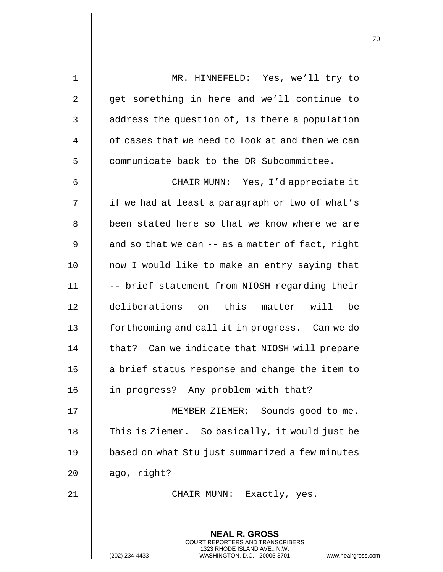| $1\,$          | MR. HINNEFELD: Yes, we'll try to                                                         |
|----------------|------------------------------------------------------------------------------------------|
| 2              | get something in here and we'll continue to                                              |
| $\mathfrak{Z}$ | address the question of, is there a population                                           |
| $\overline{4}$ | of cases that we need to look at and then we can                                         |
| 5              | communicate back to the DR Subcommittee.                                                 |
| 6              | CHAIR MUNN: Yes, I'd appreciate it                                                       |
| 7              | if we had at least a paragraph or two of what's                                          |
| 8              | been stated here so that we know where we are                                            |
| 9              | and so that we can -- as a matter of fact, right                                         |
| 10             | now I would like to make an entry saying that                                            |
| 11             | -- brief statement from NIOSH regarding their                                            |
| 12             | deliberations on this matter will<br>be                                                  |
| 13             | forthcoming and call it in progress. Can we do                                           |
| 14             | that? Can we indicate that NIOSH will prepare                                            |
| 15             | a brief status response and change the item to                                           |
| 16             | in progress? Any problem with that?                                                      |
| 17             | MEMBER ZIEMER: Sounds good to me.                                                        |
| 18             | This is Ziemer. So basically, it would just be                                           |
| 19             | based on what Stu just summarized a few minutes                                          |
| 20             | ago, right?                                                                              |
| 21             | CHAIR MUNN: Exactly, yes.                                                                |
|                |                                                                                          |
|                | <b>NEAL R. GROSS</b><br>COURT REPORTERS AND TRANSCRIBERS<br>1323 RHODE ISLAND AVE., N.W. |
|                | (202) 234-4433<br>WASHINGTON, D.C. 20005-3701<br>www.nealrgros                           |

(202) 234-4433 WASHINGTON, D.C. 20005-3701 www.nealrgross.com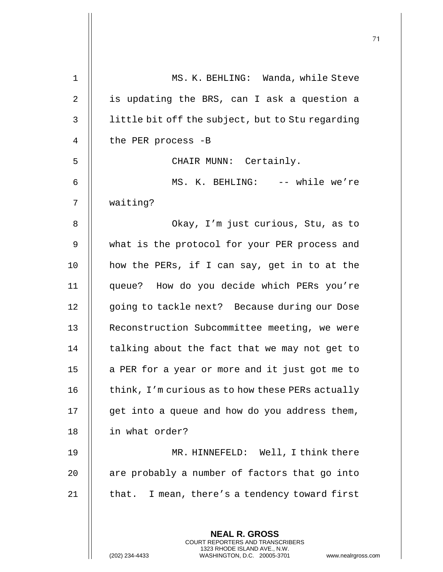| 1              | MS. K. BEHLING: Wanda, while Steve                                                                  |
|----------------|-----------------------------------------------------------------------------------------------------|
| 2              | is updating the BRS, can I ask a question a                                                         |
| 3              | little bit off the subject, but to Stu regarding                                                    |
| $\overline{4}$ | the PER process -B                                                                                  |
| 5              | CHAIR MUNN: Certainly.                                                                              |
| 6              | MS. K. BEHLING: -- while we're                                                                      |
| 7              | waiting?                                                                                            |
| 8              | Okay, I'm just curious, Stu, as to                                                                  |
| 9              | what is the protocol for your PER process and                                                       |
| 10             | how the PERs, if I can say, get in to at the                                                        |
| 11             | queue? How do you decide which PERs you're                                                          |
| 12             | going to tackle next? Because during our Dose                                                       |
| 13             | Reconstruction Subcommittee meeting, we were                                                        |
| 14             | talking about the fact that we may not get to                                                       |
| 15             | a PER for a year or more and it just got me to                                                      |
| 16             | think, I'm curious as to how these PERs actually                                                    |
| 17             | get into a queue and how do you address them,                                                       |
| 18             | in what order?                                                                                      |
| 19             | MR. HINNEFELD: Well, I think there                                                                  |
| 20             | are probably a number of factors that go into                                                       |
| 21             | that. I mean, there's a tendency toward first                                                       |
|                |                                                                                                     |
|                | <b>NEAL R. GROSS</b><br><b>COURT REPORTERS AND TRANSCRIBERS</b>                                     |
|                | 1323 RHODE ISLAND AVE., N.W.<br>(202) 234-4433<br>WASHINGTON, D.C. 20005-3701<br>www.nealrgross.com |

 $\mathbf{I}$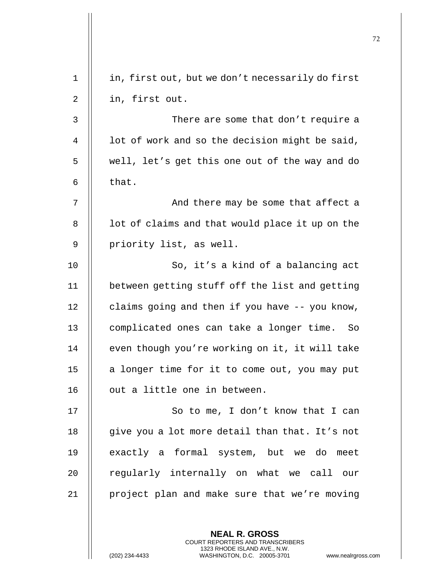| $\mathbf 1$ | in, first out, but we don't necessarily do first |
|-------------|--------------------------------------------------|
| 2           | in, first out.                                   |
| 3           | There are some that don't require a              |
| 4           | lot of work and so the decision might be said,   |
| 5           | well, let's get this one out of the way and do   |
| 6           | that.                                            |
| 7           | And there may be some that affect a              |
| 8           | lot of claims and that would place it up on the  |
| 9           | priority list, as well.                          |
| 10          | So, it's a kind of a balancing act               |
| 11          | between getting stuff off the list and getting   |
| 12          | claims going and then if you have -- you know,   |
| 13          | complicated ones can take a longer time.<br>So   |
| 14          | even though you're working on it, it will take   |
| 15          | a longer time for it to come out, you may put    |
| 16          | out a little one in between.                     |
| 17          | So to me, I don't know that I can                |
| 18          | give you a lot more detail than that. It's not   |
| 19          | exactly a formal system, but we do meet          |
| 20          | regularly internally on what we call our         |
| 21          | project plan and make sure that we're moving     |
|             |                                                  |

**NEAL R. GROSS** COURT REPORTERS AND TRANSCRIBERS 1323 RHODE ISLAND AVE., N.W.

(202) 234-4433 WASHINGTON, D.C. 20005-3701 www.nealrgross.com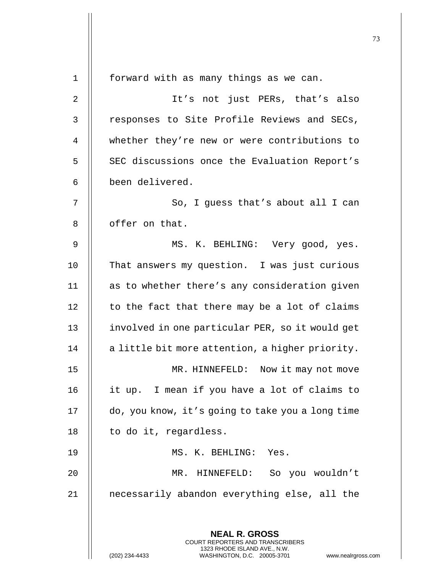**NEAL R. GROSS** COURT REPORTERS AND TRANSCRIBERS 1323 RHODE ISLAND AVE., N.W. 1 || forward with as many things as we can. 2 || It's not just PERs, that's also 3 || responses to Site Profile Reviews and SECs, 4 whether they're new or were contributions to 5 | SEC discussions once the Evaluation Report's 6 been delivered.  $7 \parallel$  So, I quess that's about all I can 8 | offer on that. 9 MS. K. BEHLING: Very good, yes. 10 || That answers my question. I was just curious 11 || as to whether there's any consideration given  $12$  | to the fact that there may be a lot of claims 13 | involved in one particular PER, so it would get  $14$  | a little bit more attention, a higher priority. 15 || MR. HINNEFELD: Now it may not move 16 it up. I mean if you have a lot of claims to 17 do, you know, it's going to take you a long time  $18$  || to do it, regardless. 19 MS. K. BEHLING: Yes. 20 MR. HINNEFELD: So you wouldn't 21 necessarily abandon everything else, all the

(202) 234-4433 WASHINGTON, D.C. 20005-3701 www.nealrgross.com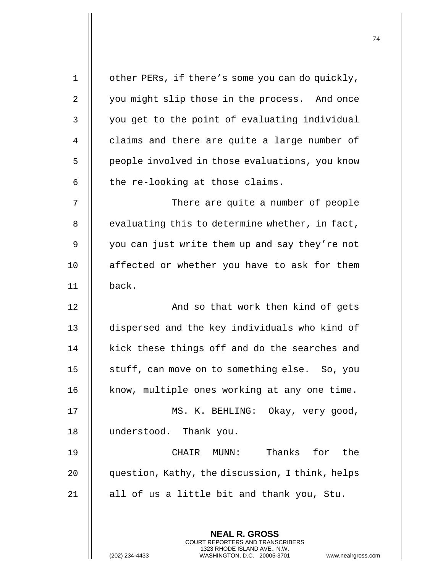| $1\,$ | other PERs, if there's some you can do quickly,                                                 |
|-------|-------------------------------------------------------------------------------------------------|
| 2     | you might slip those in the process. And once                                                   |
| 3     | you get to the point of evaluating individual                                                   |
| 4     | claims and there are quite a large number of                                                    |
| 5     | people involved in those evaluations, you know                                                  |
| 6     | the re-looking at those claims.                                                                 |
| 7     | There are quite a number of people                                                              |
| 8     | evaluating this to determine whether, in fact,                                                  |
| 9     | you can just write them up and say they're not                                                  |
| 10    | affected or whether you have to ask for them                                                    |
| 11    | back.                                                                                           |
| 12    | And so that work then kind of gets                                                              |
| 13    | dispersed and the key individuals who kind of                                                   |
| 14    | kick these things off and do the searches and                                                   |
| 15    | stuff, can move on to something else. So, you                                                   |
| 16    | know, multiple ones working at any one time.                                                    |
| 17    | MS. K. BEHLING: Okay, very good,                                                                |
| 18    | understood. Thank you.                                                                          |
| 19    | Thanks for the<br>CHAIR MUNN:                                                                   |
| 20    | question, Kathy, the discussion, I think, helps                                                 |
| 21    | all of us a little bit and thank you, Stu.                                                      |
|       |                                                                                                 |
|       | <b>NEAL R. GROSS</b><br>COURT REPORTERS AND TRANSCRIBERS                                        |
|       | 1323 RHODE ISLAND AVE., N.W.<br>(202) 234-4433<br>WASHINGTON, D.C. 20005-3701<br>www.nealrgross |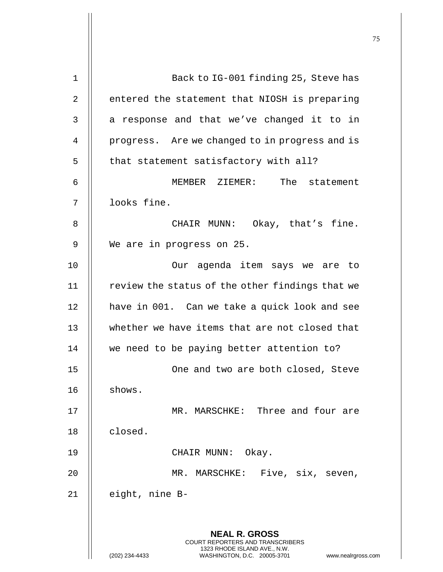| $\mathbf 1$ | Back to IG-001 finding 25, Steve has                                                                |
|-------------|-----------------------------------------------------------------------------------------------------|
| 2           | entered the statement that NIOSH is preparing                                                       |
| 3           | a response and that we've changed it to in                                                          |
| 4           | progress. Are we changed to in progress and is                                                      |
| 5           | that statement satisfactory with all?                                                               |
| 6           | The statement<br>MEMBER ZIEMER:                                                                     |
| 7           | looks fine.                                                                                         |
| 8           | CHAIR MUNN: Okay, that's fine.                                                                      |
| 9           | We are in progress on 25.                                                                           |
| 10          | Our agenda item says we are to                                                                      |
| 11          | review the status of the other findings that we                                                     |
| 12          | have in 001. Can we take a quick look and see                                                       |
| 13          | whether we have items that are not closed that                                                      |
| 14          | we need to be paying better attention to?                                                           |
| 15          | One and two are both closed, Steve                                                                  |
| 16          | shows.                                                                                              |
| 17          | MR. MARSCHKE: Three and four are                                                                    |
| 18          | closed.                                                                                             |
| 19          | CHAIR MUNN:<br>Okay.                                                                                |
| 20          | Five, six, seven,<br>MR. MARSCHKE:                                                                  |
| 21          | eight, nine B-                                                                                      |
|             |                                                                                                     |
|             | <b>NEAL R. GROSS</b><br>COURT REPORTERS AND TRANSCRIBERS                                            |
|             | 1323 RHODE ISLAND AVE., N.W.<br>(202) 234-4433<br>WASHINGTON, D.C. 20005-3701<br>www.nealrgross.com |

 $\mathbf{I}$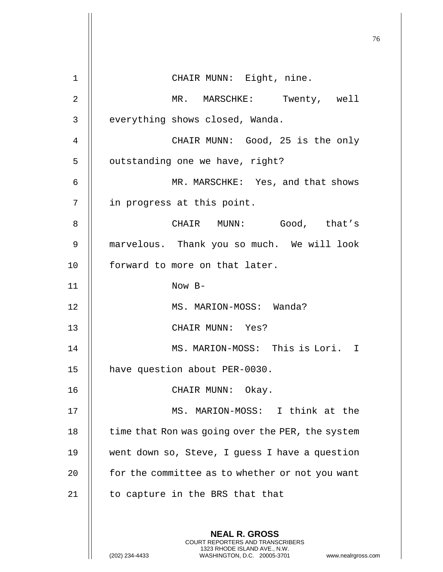|                |                                                                                                                                                                 | 76 |
|----------------|-----------------------------------------------------------------------------------------------------------------------------------------------------------------|----|
| $\mathbf 1$    | CHAIR MUNN: Eight, nine.                                                                                                                                        |    |
| $\overline{2}$ |                                                                                                                                                                 |    |
|                | MR. MARSCHKE: Twenty, well                                                                                                                                      |    |
| 3              | everything shows closed, Wanda.                                                                                                                                 |    |
| 4              | CHAIR MUNN: Good, 25 is the only                                                                                                                                |    |
| 5              | outstanding one we have, right?                                                                                                                                 |    |
| 6              | MR. MARSCHKE: Yes, and that shows                                                                                                                               |    |
| 7              | in progress at this point.                                                                                                                                      |    |
| 8              | CHAIR MUNN: Good, that's                                                                                                                                        |    |
| 9              | marvelous. Thank you so much. We will look                                                                                                                      |    |
| 10             | forward to more on that later.                                                                                                                                  |    |
| 11             | Now B-                                                                                                                                                          |    |
| 12             | MS. MARION-MOSS: Wanda?                                                                                                                                         |    |
| 13             | CHAIR MUNN: Yes?                                                                                                                                                |    |
| 14             | MS. MARION-MOSS: This is Lori.<br>$\top$                                                                                                                        |    |
| 15             | have question about PER-0030.                                                                                                                                   |    |
| 16             | CHAIR MUNN: Okay.                                                                                                                                               |    |
| 17             | MS. MARION-MOSS: I think at the                                                                                                                                 |    |
| 18             | time that Ron was going over the PER, the system                                                                                                                |    |
| 19             | went down so, Steve, I guess I have a question                                                                                                                  |    |
| 20             | for the committee as to whether or not you want                                                                                                                 |    |
| 21             | to capture in the BRS that that                                                                                                                                 |    |
|                | <b>NEAL R. GROSS</b><br>COURT REPORTERS AND TRANSCRIBERS<br>1323 RHODE ISLAND AVE., N.W.<br>(202) 234-4433<br>WASHINGTON, D.C. 20005-3701<br>www.nealrgross.com |    |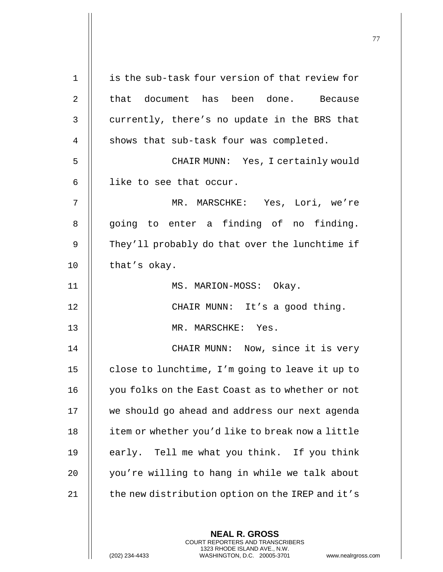| $\mathbf 1$ | is the sub-task four version of that review for                                                                                                                    |
|-------------|--------------------------------------------------------------------------------------------------------------------------------------------------------------------|
| 2           | that document has been done. Because                                                                                                                               |
| 3           | currently, there's no update in the BRS that                                                                                                                       |
| 4           | shows that sub-task four was completed.                                                                                                                            |
| 5           | CHAIR MUNN: Yes, I certainly would                                                                                                                                 |
| 6           | like to see that occur.                                                                                                                                            |
| 7           | MR. MARSCHKE: Yes, Lori, we're                                                                                                                                     |
| 8           | going to enter a finding of no finding.                                                                                                                            |
| 9           | They'll probably do that over the lunchtime if                                                                                                                     |
| 10          | that's okay.                                                                                                                                                       |
| 11          | MS. MARION-MOSS: Okay.                                                                                                                                             |
| 12          | CHAIR MUNN: It's a good thing.                                                                                                                                     |
| 13          | MR. MARSCHKE: Yes.                                                                                                                                                 |
| 14          | CHAIR MUNN: Now, since it is very                                                                                                                                  |
| 15          | close to lunchtime, I'm going to leave it up to                                                                                                                    |
| 16          | you folks on the East Coast as to whether or not                                                                                                                   |
| 17          | we should go ahead and address our next agenda                                                                                                                     |
| 18          | item or whether you'd like to break now a little                                                                                                                   |
| 19          | early. Tell me what you think. If you think                                                                                                                        |
| 20          | you're willing to hang in while we talk about                                                                                                                      |
| 21          | the new distribution option on the IREP and it's                                                                                                                   |
|             | <b>NEAL R. GROSS</b><br><b>COURT REPORTERS AND TRANSCRIBERS</b><br>1323 RHODE ISLAND AVE., N.W.<br>(202) 234-4433<br>WASHINGTON, D.C. 20005-3701<br>www.nealrgross |

 $\mathbf{\mathsf{I}}$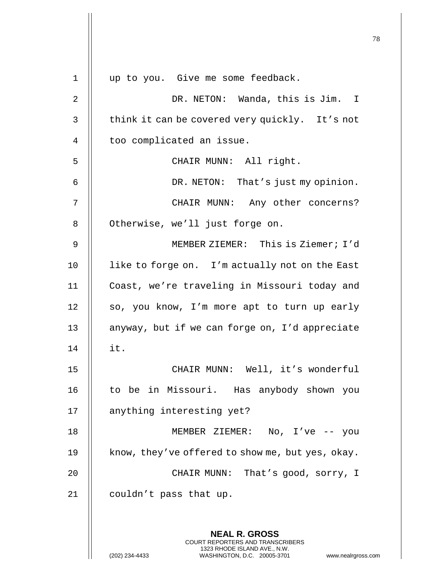| $\mathbf 1$    | up to you. Give me some feedback.                                                                                                                                   |
|----------------|---------------------------------------------------------------------------------------------------------------------------------------------------------------------|
| $\overline{2}$ | DR. NETON: Wanda, this is Jim. I                                                                                                                                    |
| 3              | think it can be covered very quickly. It's not                                                                                                                      |
| 4              | too complicated an issue.                                                                                                                                           |
| 5              | CHAIR MUNN: All right.                                                                                                                                              |
| 6              | DR. NETON: That's just my opinion.                                                                                                                                  |
| 7              | CHAIR MUNN: Any other concerns?                                                                                                                                     |
| 8              | Otherwise, we'll just forge on.                                                                                                                                     |
| 9              | MEMBER ZIEMER: This is Ziemer; I'd                                                                                                                                  |
| 10             | like to forge on. I'm actually not on the East                                                                                                                      |
| 11             | Coast, we're traveling in Missouri today and                                                                                                                        |
| 12             | so, you know, I'm more apt to turn up early                                                                                                                         |
| 13             | anyway, but if we can forge on, I'd appreciate                                                                                                                      |
| 14             | it.                                                                                                                                                                 |
| 15             | CHAIR MUNN: Well, it's wonderful                                                                                                                                    |
| 16             | to be in Missouri. Has anybody shown you                                                                                                                            |
| 17             | anything interesting yet?                                                                                                                                           |
| 18             | MEMBER ZIEMER: No, I've -- you                                                                                                                                      |
| 19             | know, they've offered to show me, but yes, okay.                                                                                                                    |
| 20             | CHAIR MUNN: That's good, sorry, I                                                                                                                                   |
| 21             | couldn't pass that up.                                                                                                                                              |
|                |                                                                                                                                                                     |
|                | <b>NEAL R. GROSS</b><br><b>COURT REPORTERS AND TRANSCRIBERS</b><br>1323 RHODE ISLAND AVE., N.W.<br>(202) 234-4433<br>WASHINGTON, D.C. 20005-3701<br>www.nealrgross. |

 $\parallel$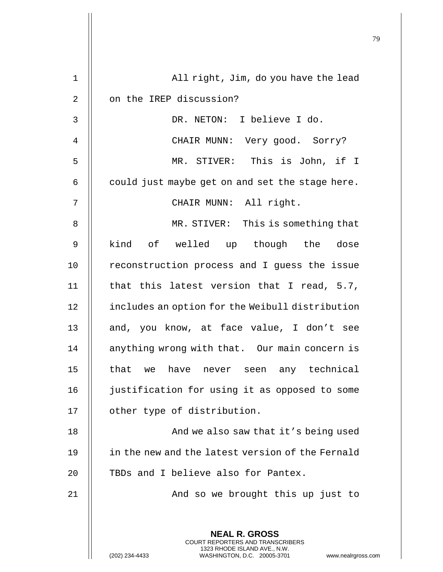| 1  | All right, Jim, do you have the lead                                                                                                                                |
|----|---------------------------------------------------------------------------------------------------------------------------------------------------------------------|
| 2  | on the IREP discussion?                                                                                                                                             |
| 3  | DR. NETON: I believe I do.                                                                                                                                          |
| 4  | CHAIR MUNN: Very good. Sorry?                                                                                                                                       |
| 5  | MR. STIVER: This is John, if I                                                                                                                                      |
| 6  | could just maybe get on and set the stage here.                                                                                                                     |
| 7  | CHAIR MUNN: All right.                                                                                                                                              |
| 8  | MR. STIVER: This is something that                                                                                                                                  |
| 9  | kind of welled up though the dose                                                                                                                                   |
| 10 | reconstruction process and I guess the issue                                                                                                                        |
| 11 | that this latest version that I read, 5.7,                                                                                                                          |
| 12 | includes an option for the Weibull distribution                                                                                                                     |
| 13 | and, you know, at face value, I don't see                                                                                                                           |
| 14 | anything wrong with that. Our main concern is                                                                                                                       |
| 15 | that<br>any technical<br>have<br>we<br>seen<br>never                                                                                                                |
| 16 | justification for using it as opposed to some                                                                                                                       |
| 17 | other type of distribution.                                                                                                                                         |
| 18 | And we also saw that it's being used                                                                                                                                |
| 19 | in the new and the latest version of the Fernald                                                                                                                    |
| 20 | TBDs and I believe also for Pantex.                                                                                                                                 |
| 21 | And so we brought this up just to                                                                                                                                   |
|    | <b>NEAL R. GROSS</b><br><b>COURT REPORTERS AND TRANSCRIBERS</b><br>1323 RHODE ISLAND AVE., N.W.<br>(202) 234-4433<br>WASHINGTON, D.C. 20005-3701<br>www.nealrgross. |

 $\mathsf{I}$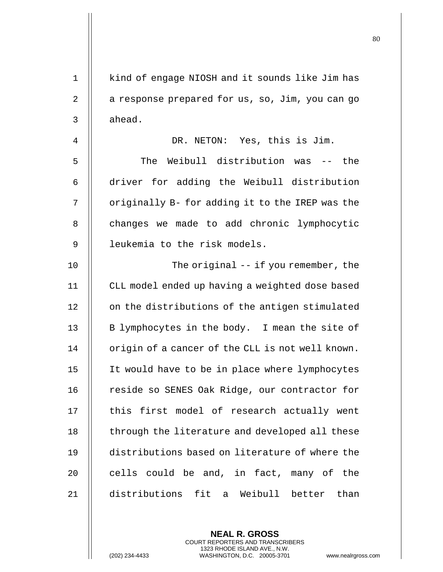1 || kind of engage NIOSH and it sounds like Jim has 2  $\parallel$  a response prepared for us, so, Jim, you can go  $3 \parallel$  ahead. 4 DR. NETON: Yes, this is Jim. 5 The Weibull distribution was -- the 6 | driver for adding the Weibull distribution  $7$   $\parallel$  originally B- for adding it to the IREP was the 8 | changes we made to add chronic lymphocytic 9 || leukemia to the risk models. 10 || The original -- if you remember, the 11 CLL model ended up having a weighted dose based 12 | on the distributions of the antigen stimulated 13  $\parallel$  B lymphocytes in the body. I mean the site of  $14$  | origin of a cancer of the CLL is not well known. 15 It would have to be in place where lymphocytes 16 | reside so SENES Oak Ridge, our contractor for 17 || this first model of research actually went 18 | through the literature and developed all these 19 distributions based on literature of where the 20  $\parallel$  cells could be and, in fact, many of the 21 distributions fit a Weibull better than

> **NEAL R. GROSS** COURT REPORTERS AND TRANSCRIBERS 1323 RHODE ISLAND AVE., N.W.

(202) 234-4433 WASHINGTON, D.C. 20005-3701 www.nealrgross.com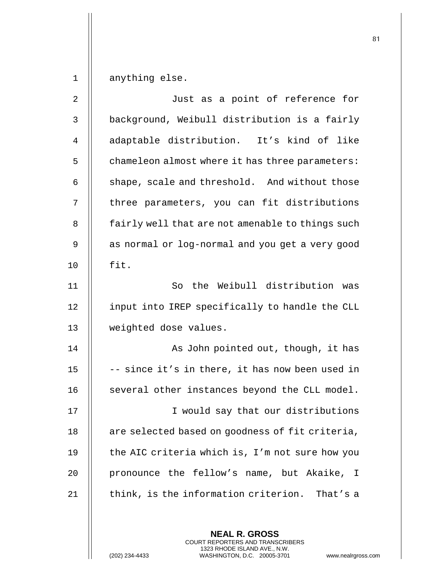1 anything else.

| 2  | Just as a point of reference for                 |
|----|--------------------------------------------------|
| 3  | background, Weibull distribution is a fairly     |
| 4  | adaptable distribution. It's kind of like        |
| 5  | chameleon almost where it has three parameters:  |
| 6  | shape, scale and threshold. And without those    |
| 7  | three parameters, you can fit distributions      |
| 8  | fairly well that are not amenable to things such |
| 9  | as normal or log-normal and you get a very good  |
| 10 | fit.                                             |
| 11 | the Weibull distribution was<br>So               |
| 12 | input into IREP specifically to handle the CLL   |
| 13 | weighted dose values.                            |
| 14 | As John pointed out, though, it has              |
| 15 | -- since it's in there, it has now been used in  |
| 16 | several other instances beyond the CLL model.    |
| 17 | I would say that our distributions               |
| 18 | are selected based on goodness of fit criteria,  |
| 19 | the AIC criteria which is, I'm not sure how you  |
| 20 | pronounce the fellow's name, but Akaike, I       |
| 21 | think, is the information criterion. That's a    |
|    |                                                  |
|    | <b>NEAL R. GROSS</b>                             |

COURT REPORTERS AND TRANSCRIBERS 1323 RHODE ISLAND AVE., N.W.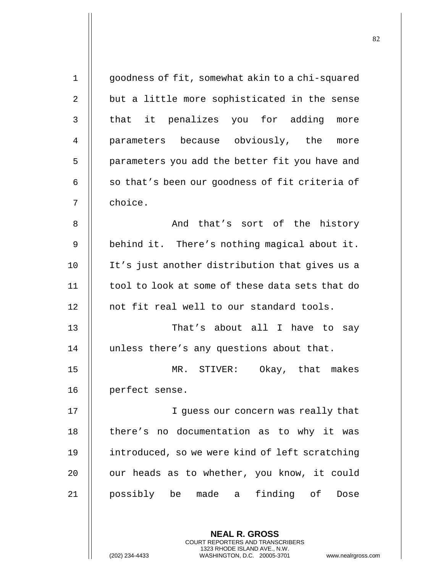| $\mathbf{1}$ | goodness of fit, somewhat akin to a chi-squared |
|--------------|-------------------------------------------------|
| 2            | but a little more sophisticated in the sense    |
| 3            | that it penalizes you for adding more           |
| 4            | parameters because obviously, the more          |
| 5            | parameters you add the better fit you have and  |
| 6            | so that's been our goodness of fit criteria of  |
| 7            | choice.                                         |
| 8            | And that's sort of the history                  |
| $\mathsf 9$  | behind it. There's nothing magical about it.    |
| 10           | It's just another distribution that gives us a  |
| 11           | tool to look at some of these data sets that do |
| 12           | not fit real well to our standard tools.        |
| 13           | That's about all I have to say                  |
| 14           | unless there's any questions about that.        |
| 15           | MR.<br>STIVER: Okay, that makes                 |
| 16           | perfect sense.                                  |
| 17           | I guess our concern was really that             |
| 18           | there's no documentation as to why it was       |
| 19           | introduced, so we were kind of left scratching  |
| 20           | our heads as to whether, you know, it could     |
| 21           | possibly be made a finding of<br>Dose           |
|              |                                                 |
|              | <b>NEAL R. GROSS</b>                            |

COURT REPORTERS AND TRANSCRIBERS 1323 RHODE ISLAND AVE., N.W.

 $\mathsf{II}$ 

(202) 234-4433 WASHINGTON, D.C. 20005-3701 www.nealrgross.com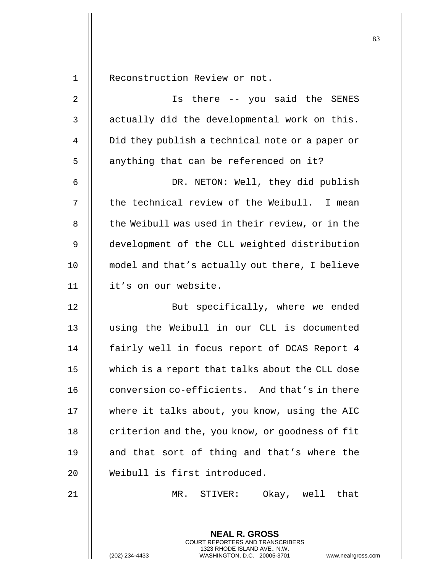1 Reconstruction Review or not.

2 || South Is there -- you said the SENES  $\parallel$  actually did the developmental work on this. 4 | Did they publish a technical note or a paper or || anything that can be referenced on it? DR. NETON: Well, they did publish || the technical review of the Weibull. I mean 8 || the Weibull was used in their review, or in the development of the CLL weighted distribution model and that's actually out there, I believe it's on our website. 12 || But specifically, where we ended using the Weibull in our CLL is documented 14 || fairly well in focus report of DCAS Report 4 which is a report that talks about the CLL dose **conversion co-efficients.** And that's in there 17 || where it talks about, you know, using the AIC 18 | criterion and the, you know, or goodness of fit  $\parallel$  and that sort of thing and that's where the Weibull is first introduced.

21 MR. STIVER: Okay, well that

**NEAL R. GROSS** COURT REPORTERS AND TRANSCRIBERS 1323 RHODE ISLAND AVE., N.W.

(202) 234-4433 WASHINGTON, D.C. 20005-3701 www.nealrgross.com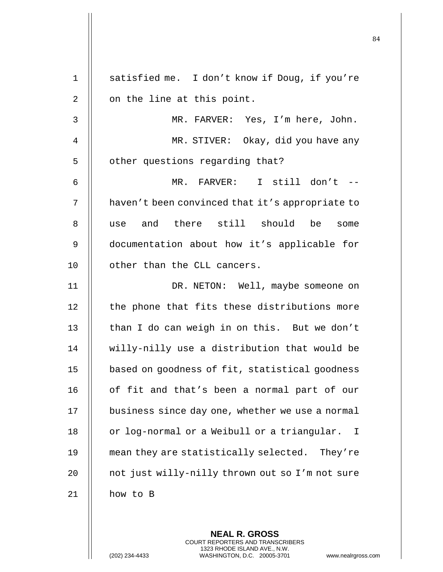1 | satisfied me. I don't know if Doug, if you're  $2 \parallel$  on the line at this point. 3 MR. FARVER: Yes, I'm here, John. 4 || MR. STIVER: Okay, did you have any 5 | other questions regarding that? 6 MR. FARVER: I still don't -- 7 | haven't been convinced that it's appropriate to 8 || use and there still should be some 9 documentation about how it's applicable for 10 | other than the CLL cancers. 11 || DR. NETON: Well, maybe someone on 12 || the phone that fits these distributions more 13  $\parallel$  than I do can weigh in on this. But we don't 14 willy-nilly use a distribution that would be 15 | based on goodness of fit, statistical goodness 16 || of fit and that's been a normal part of our 17 | business since day one, whether we use a normal 18 | or log-normal or a Weibull or a triangular. I 19 || mean they are statistically selected. They're 20 || not just willy-nilly thrown out so I'm not sure 21 how to B

> **NEAL R. GROSS** COURT REPORTERS AND TRANSCRIBERS 1323 RHODE ISLAND AVE., N.W.

(202) 234-4433 WASHINGTON, D.C. 20005-3701 www.nealrgross.com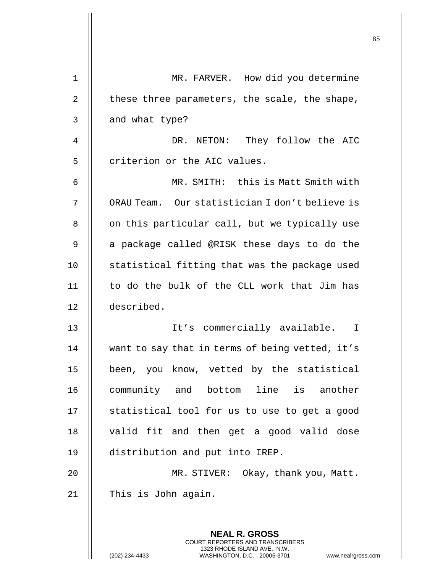| 1  | MR. FARVER. How did you determine                                                                |
|----|--------------------------------------------------------------------------------------------------|
| 2  | these three parameters, the scale, the shape,                                                    |
| 3  | and what type?                                                                                   |
| 4  | They follow the AIC<br>DR. NETON:                                                                |
| 5  | criterion or the AIC values.                                                                     |
| 6  | MR. SMITH: this is Matt Smith with                                                               |
| 7  | ORAU Team. Our statistician I don't believe is                                                   |
| 8  | on this particular call, but we typically use                                                    |
| 9  | a package called @RISK these days to do the                                                      |
| 10 | statistical fitting that was the package used                                                    |
| 11 | to do the bulk of the CLL work that Jim has                                                      |
| 12 | described.                                                                                       |
| 13 | It's commercially available. I                                                                   |
| 14 | want to say that in terms of being vetted, it's                                                  |
| 15 | been, you know, vetted by the statistical                                                        |
| 16 | community and bottom line is another                                                             |
| 17 | statistical tool for us to use to get a good                                                     |
| 18 | valid fit and then get a good valid dose                                                         |
| 19 | distribution and put into IREP.                                                                  |
| 20 | MR. STIVER: Okay, thank you, Matt.                                                               |
| 21 | This is John again.                                                                              |
|    | <b>NEAL R. GROSS</b><br><b>COURT REPORTERS AND TRANSCRIBERS</b>                                  |
|    | 1323 RHODE ISLAND AVE., N.W.<br>(202) 234-4433<br>WASHINGTON, D.C. 20005-3701<br>www.nealrgross. |

 $\mathbf{I}$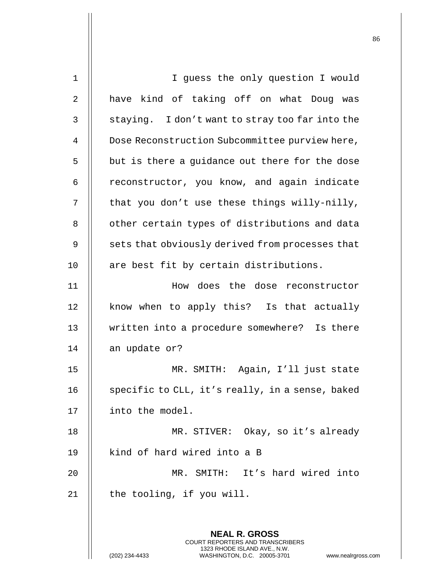| $\mathbf 1$ | I guess the only question I would                                                               |
|-------------|-------------------------------------------------------------------------------------------------|
| 2           | have kind of taking off on what Doug was                                                        |
| 3           | staying. I don't want to stray too far into the                                                 |
| 4           | Dose Reconstruction Subcommittee purview here,                                                  |
| 5           | but is there a guidance out there for the dose                                                  |
| 6           | reconstructor, you know, and again indicate                                                     |
| 7           | that you don't use these things willy-nilly,                                                    |
| 8           | other certain types of distributions and data                                                   |
| 9           | sets that obviously derived from processes that                                                 |
| 10          | are best fit by certain distributions.                                                          |
| 11          | How does the dose reconstructor                                                                 |
| 12          | know when to apply this? Is that actually                                                       |
| 13          | written into a procedure somewhere? Is there                                                    |
| 14          | an update or?                                                                                   |
| 15          | MR. SMITH: Again, I'll just state                                                               |
| 16          | specific to CLL, it's really, in a sense, baked                                                 |
| 17          | into the model.                                                                                 |
| 18          | MR. STIVER: Okay, so it's already                                                               |
| 19          | kind of hard wired into a B                                                                     |
| 20          | MR. SMITH:<br>It's hard wired into                                                              |
| 21          | the tooling, if you will.                                                                       |
|             |                                                                                                 |
|             | <b>NEAL R. GROSS</b><br><b>COURT REPORTERS AND TRANSCRIBERS</b><br>1323 RHODE ISLAND AVE., N.W. |
|             | (202) 234-4433<br>WASHINGTON, D.C. 20005-3701<br>www.nealrgross                                 |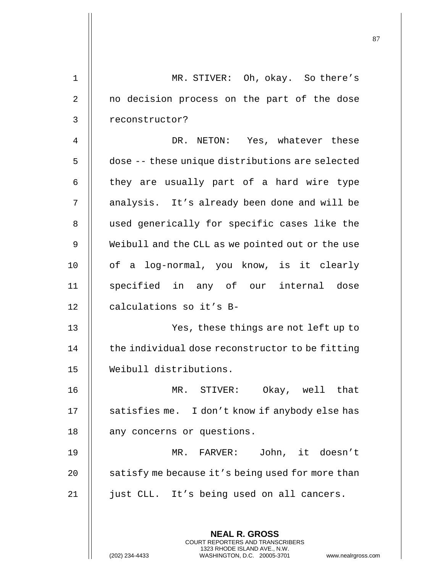| $\mathbf 1$    | MR. STIVER: Oh, okay. So there's                                                                |
|----------------|-------------------------------------------------------------------------------------------------|
| $\overline{2}$ | no decision process on the part of the dose                                                     |
| 3              | reconstructor?                                                                                  |
| $\overline{4}$ | DR. NETON: Yes, whatever these                                                                  |
| 5              | dose -- these unique distributions are selected                                                 |
| 6              | they are usually part of a hard wire type                                                       |
| 7              | analysis. It's already been done and will be                                                    |
| 8              | used generically for specific cases like the                                                    |
| $\mathsf 9$    | Weibull and the CLL as we pointed out or the use                                                |
| 10             | of a log-normal, you know, is it clearly                                                        |
| 11             | specified in any of our internal dose                                                           |
| 12             | calculations so it's B-                                                                         |
| 13             | Yes, these things are not left up to                                                            |
| 14             | the individual dose reconstructor to be fitting                                                 |
| 15             | Weibull distributions.                                                                          |
| 16             | Okay, well that<br>MR. STIVER:                                                                  |
| 17             | satisfies me. I don't know if anybody else has                                                  |
| 18             | any concerns or questions.                                                                      |
| 19             | MR. FARVER: John, it doesn't                                                                    |
| 20             | satisfy me because it's being used for more than                                                |
| 21             | just CLL. It's being used on all cancers.                                                       |
|                | <b>NEAL R. GROSS</b><br>COURT REPORTERS AND TRANSCRIBERS                                        |
|                | 1323 RHODE ISLAND AVE., N.W.<br>(202) 234-4433<br>WASHINGTON, D.C. 20005-3701<br>www.nealrgross |

Η

(202) 234-4433 WASHINGTON, D.C. 20005-3701 www.nealrgross.com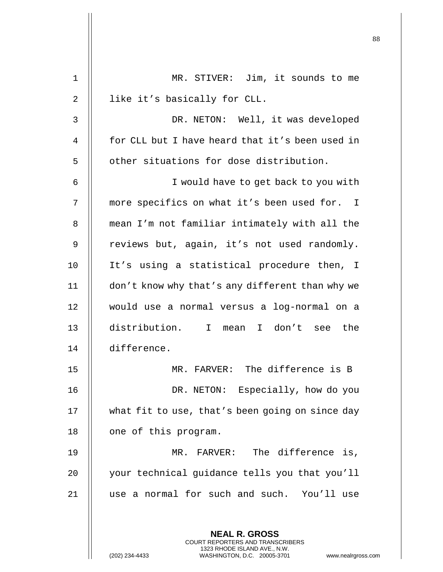| 1              | MR. STIVER: Jim, it sounds to me                                                                                                                                   |
|----------------|--------------------------------------------------------------------------------------------------------------------------------------------------------------------|
| $\overline{2}$ | like it's basically for CLL.                                                                                                                                       |
| 3              | DR. NETON: Well, it was developed                                                                                                                                  |
| 4              | for CLL but I have heard that it's been used in                                                                                                                    |
| 5              | other situations for dose distribution.                                                                                                                            |
| 6              | I would have to get back to you with                                                                                                                               |
| 7              | more specifics on what it's been used for. I                                                                                                                       |
| 8              | mean I'm not familiar intimately with all the                                                                                                                      |
| 9              | reviews but, again, it's not used randomly.                                                                                                                        |
| 10             | It's using a statistical procedure then, I                                                                                                                         |
| 11             | don't know why that's any different than why we                                                                                                                    |
| 12             | would use a normal versus a log-normal on a                                                                                                                        |
| 13             | distribution. I mean<br>I don't see the                                                                                                                            |
| 14             | difference.                                                                                                                                                        |
| 15             | MR. FARVER: The difference is B                                                                                                                                    |
| 16             | DR. NETON: Especially, how do you                                                                                                                                  |
| 17             | what fit to use, that's been going on since day                                                                                                                    |
| 18             | one of this program.                                                                                                                                               |
| 19             | MR. FARVER: The difference is,                                                                                                                                     |
| 20             | your technical guidance tells you that you'll                                                                                                                      |
| 21             | use a normal for such and such. You'll use                                                                                                                         |
|                | <b>NEAL R. GROSS</b><br><b>COURT REPORTERS AND TRANSCRIBERS</b><br>1323 RHODE ISLAND AVE., N.W.<br>WASHINGTON, D.C. 20005-3701<br>(202) 234-4433<br>www.nealrgross |

 $\mathbf{I}$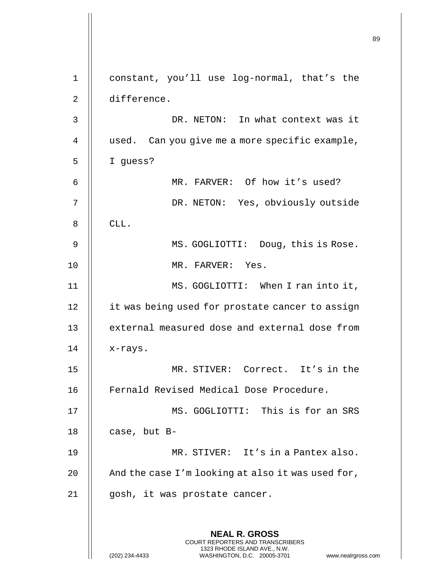**NEAL R. GROSS** COURT REPORTERS AND TRANSCRIBERS 1323 RHODE ISLAND AVE., N.W. (202) 234-4433 WASHINGTON, D.C. 20005-3701 www.nealrgross.com constant, you'll use log-normal, that's the difference. DR. NETON: In what context was it 4 | used. Can you give me a more specific example, I guess? MR. FARVER: Of how it's used? DR. NETON: Yes, obviously outside  $\parallel$  CLL. 9 || MS. GOGLIOTTI: Doug, this is Rose. MR. FARVER: Yes. MS. GOGLIOTTI: When I ran into it, 12 | it was being used for prostate cancer to assign 13 || external measured dose and external dose from | x-rays. MR. STIVER: Correct. It's in the Fernald Revised Medical Dose Procedure. MS. GOGLIOTTI: This is for an SRS | case, but B-19 || MR. STIVER: It's in a Pantex also.  $\parallel$  And the case I'm looking at also it was used for, gosh, it was prostate cancer.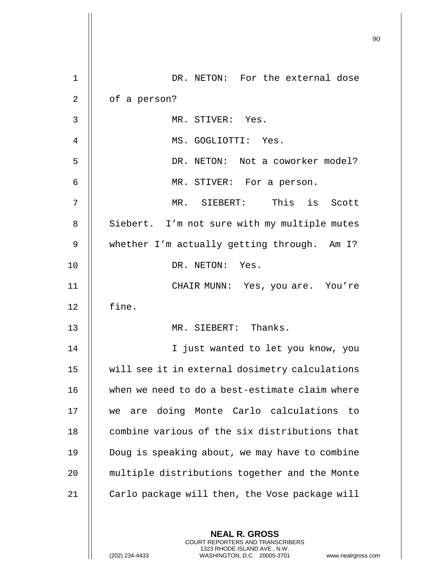| $\mathbf 1$ | DR. NETON: For the external dose                                                                                                                                    |
|-------------|---------------------------------------------------------------------------------------------------------------------------------------------------------------------|
| 2           | of a person?                                                                                                                                                        |
| 3           | MR. STIVER: Yes.                                                                                                                                                    |
| 4           | MS. GOGLIOTTI: Yes.                                                                                                                                                 |
| 5           | DR. NETON: Not a coworker model?                                                                                                                                    |
| 6           | MR. STIVER: For a person.                                                                                                                                           |
| 7           | MR. SIEBERT: This is Scott                                                                                                                                          |
| 8           | Siebert. I'm not sure with my multiple mutes                                                                                                                        |
| 9           | whether I'm actually getting through. Am I?                                                                                                                         |
| 10          | DR. NETON: Yes.                                                                                                                                                     |
| 11          | CHAIR MUNN: Yes, you are. You're                                                                                                                                    |
| 12          | fine.                                                                                                                                                               |
| 13          | MR. SIEBERT: Thanks.                                                                                                                                                |
| 14          | I just wanted to let you know, you                                                                                                                                  |
| 15          | will see it in external dosimetry calculations                                                                                                                      |
| 16          | when we need to do a best-estimate claim where                                                                                                                      |
| 17          | are doing Monte Carlo calculations to<br>we                                                                                                                         |
| 18          | combine various of the six distributions that                                                                                                                       |
| 19          | Doug is speaking about, we may have to combine                                                                                                                      |
| 20          | multiple distributions together and the Monte                                                                                                                       |
| 21          | Carlo package will then, the Vose package will                                                                                                                      |
|             | <b>NEAL R. GROSS</b><br><b>COURT REPORTERS AND TRANSCRIBERS</b><br>1323 RHODE ISLAND AVE., N.W.<br>(202) 234-4433<br>WASHINGTON, D.C. 20005-3701<br>www.nealrgross. |

 $\mathsf{l}$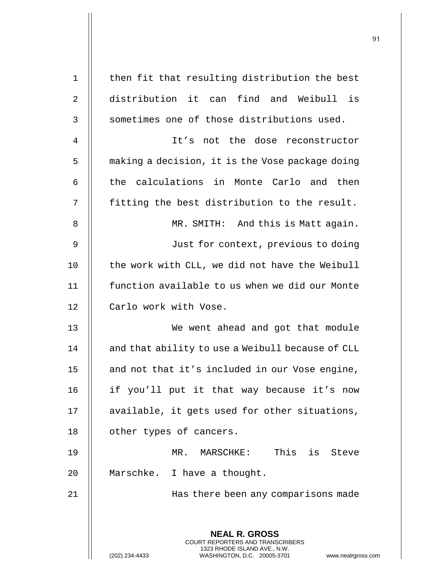| 1              | then fit that resulting distribution the best                                                       |
|----------------|-----------------------------------------------------------------------------------------------------|
| 2              | distribution it can find and Weibull is                                                             |
| 3              | sometimes one of those distributions used.                                                          |
| $\overline{4}$ | It's not the dose reconstructor                                                                     |
| 5              | making a decision, it is the Vose package doing                                                     |
| 6              | the calculations in Monte Carlo and then                                                            |
| 7              | fitting the best distribution to the result.                                                        |
| 8              | MR. SMITH: And this is Matt again.                                                                  |
| 9              | Just for context, previous to doing                                                                 |
| 10             | the work with CLL, we did not have the Weibull                                                      |
| 11             | function available to us when we did our Monte                                                      |
| 12             | Carlo work with Vose.                                                                               |
| 13             | We went ahead and got that module                                                                   |
| 14             | and that ability to use a Weibull because of CLL                                                    |
| 15             | and not that it's included in our Vose engine,                                                      |
| 16             | if you'll put it that way because it's now                                                          |
| 17             | available, it gets used for other situations,                                                       |
| 18             | other types of cancers.                                                                             |
| 19             | MR. MARSCHKE: This is Steve                                                                         |
| 20             | Marschke. I have a thought.                                                                         |
| 21             | Has there been any comparisons made                                                                 |
|                | <b>NEAL R. GROSS</b><br>COURT REPORTERS AND TRANSCRIBERS                                            |
|                | 1323 RHODE ISLAND AVE., N.W.<br>(202) 234-4433<br>WASHINGTON, D.C. 20005-3701<br>www.nealrgross.com |

 $\overline{1}$ 

 $\mathop{||}$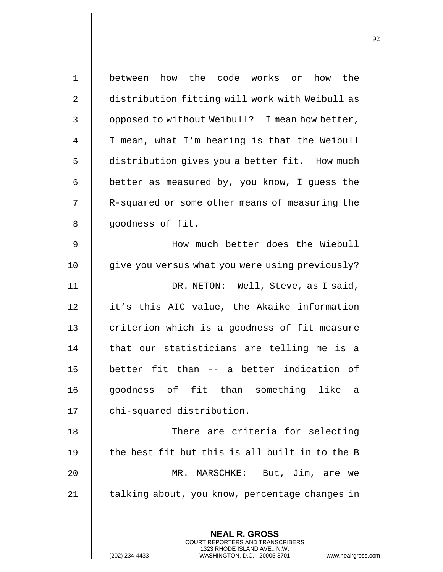| $\mathbf 1$ | between how the code works or<br>how the        |
|-------------|-------------------------------------------------|
| 2           | distribution fitting will work with Weibull as  |
| 3           | opposed to without Weibull? I mean how better,  |
| 4           | I mean, what I'm hearing is that the Weibull    |
| 5           | distribution gives you a better fit. How much   |
| 6           | better as measured by, you know, I guess the    |
| 7           | R-squared or some other means of measuring the  |
| 8           | goodness of fit.                                |
| $\mathsf 9$ | How much better does the Wiebull                |
| 10          | give you versus what you were using previously? |
| 11          | DR. NETON: Well, Steve, as I said,              |
| 12          | it's this AIC value, the Akaike information     |
| 13          | criterion which is a goodness of fit measure    |
| 14          | that our statisticians are telling me is a      |
| 15          | better fit than -- a better indication of       |
| 16          | goodness of fit than something like a           |
| 17          | chi-squared distribution.                       |
| 18          | There are criteria for selecting                |
| 19          | the best fit but this is all built in to the B  |
| 20          | MR. MARSCHKE: But, Jim, are we                  |
| 21          | talking about, you know, percentage changes in  |
|             |                                                 |
|             | <b>NEAL R. GROSS</b>                            |

COURT REPORTERS AND TRANSCRIBERS 1323 RHODE ISLAND AVE., N.W.

 $\mathsf{II}$ 

(202) 234-4433 WASHINGTON, D.C. 20005-3701 www.nealrgross.com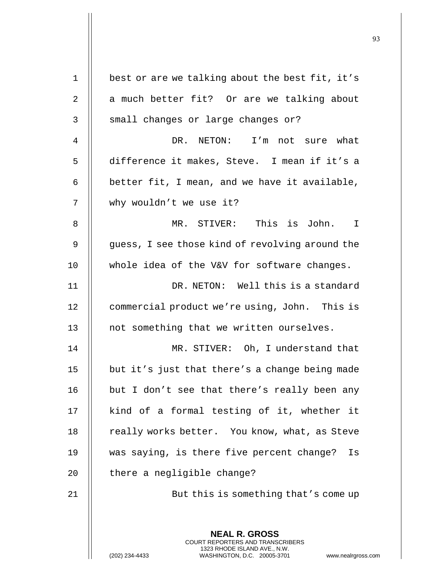| $\mathbf 1$    | best or are we talking about the best fit, it's                                                                                                                    |
|----------------|--------------------------------------------------------------------------------------------------------------------------------------------------------------------|
| $\sqrt{2}$     | a much better fit? Or are we talking about                                                                                                                         |
| 3              | small changes or large changes or?                                                                                                                                 |
| $\overline{4}$ | DR. NETON: I'm not sure what                                                                                                                                       |
| 5              | difference it makes, Steve. I mean if it's a                                                                                                                       |
| 6              | better fit, I mean, and we have it available,                                                                                                                      |
| 7              | why wouldn't we use it?                                                                                                                                            |
| 8              | MR. STIVER: This is John. I                                                                                                                                        |
| $\mathsf 9$    | guess, I see those kind of revolving around the                                                                                                                    |
| 10             | whole idea of the V&V for software changes.                                                                                                                        |
| 11             | DR. NETON: Well this is a standard                                                                                                                                 |
| 12             | commercial product we're using, John. This is                                                                                                                      |
| 13             | not something that we written ourselves.                                                                                                                           |
| 14             | MR. STIVER: Oh, I understand that                                                                                                                                  |
| 15             | but it's just that there's a change being made                                                                                                                     |
| 16             | but I don't see that there's really been any                                                                                                                       |
| 17             | kind of a formal testing of it, whether it                                                                                                                         |
| 18             | really works better. You know, what, as Steve                                                                                                                      |
| 19             | was saying, is there five percent change?<br>Is                                                                                                                    |
| 20             | there a negligible change?                                                                                                                                         |
| 21             | But this is something that's come up                                                                                                                               |
|                |                                                                                                                                                                    |
|                | <b>NEAL R. GROSS</b><br><b>COURT REPORTERS AND TRANSCRIBERS</b><br>1323 RHODE ISLAND AVE., N.W.<br>(202) 234-4433<br>WASHINGTON, D.C. 20005-3701<br>www.nealrgross |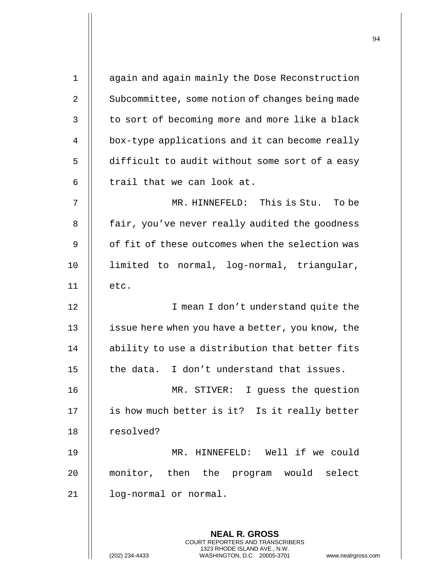| $\mathbf{1}$   | again and again mainly the Dose Reconstruction                                                  |
|----------------|-------------------------------------------------------------------------------------------------|
| $\overline{2}$ | Subcommittee, some notion of changes being made                                                 |
| 3              | to sort of becoming more and more like a black                                                  |
| 4              | box-type applications and it can become really                                                  |
| 5              | difficult to audit without some sort of a easy                                                  |
| 6              | trail that we can look at.                                                                      |
| 7              | MR. HINNEFELD: This is Stu. To be                                                               |
| 8              | fair, you've never really audited the goodness                                                  |
| 9              | of fit of these outcomes when the selection was                                                 |
| 10             | limited to normal, log-normal, triangular,                                                      |
| 11             | etc.                                                                                            |
| 12             | I mean I don't understand quite the                                                             |
| 13             | issue here when you have a better, you know, the                                                |
| 14             | ability to use a distribution that better fits                                                  |
| 15             | I don't understand that issues.<br>the data.                                                    |
| 16             | MR. STIVER: I guess the question                                                                |
| 17             | is how much better is it? Is it really better                                                   |
| 18             | resolved?                                                                                       |
| 19             | MR. HINNEFELD: Well if we could                                                                 |
| 20             | monitor, then the program would select                                                          |
| 21             | log-normal or normal.                                                                           |
|                |                                                                                                 |
|                | <b>NEAL R. GROSS</b><br><b>COURT REPORTERS AND TRANSCRIBERS</b><br>1323 RHODE ISLAND AVE., N.W. |
|                | WASHINGTON, D.C. 20005-3701<br>(202) 234-4433<br>www.nealrgross                                 |

(202) 234-4433 WASHINGTON, D.C. 20005-3701 www.nealrgross.com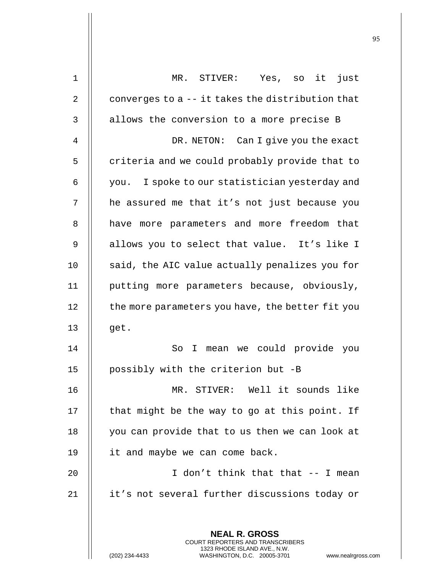| $\mathbf 1$ | Yes, so it just<br>MR. STIVER:                                                                  |
|-------------|-------------------------------------------------------------------------------------------------|
| 2           | converges to a -- it takes the distribution that                                                |
| 3           | allows the conversion to a more precise B                                                       |
| 4           | DR. NETON: Can I give you the exact                                                             |
| 5           | criteria and we could probably provide that to                                                  |
| 6           | you. I spoke to our statistician yesterday and                                                  |
| 7           | he assured me that it's not just because you                                                    |
| 8           | have more parameters and more freedom that                                                      |
| 9           | allows you to select that value. It's like I                                                    |
| 10          | said, the AIC value actually penalizes you for                                                  |
| 11          | putting more parameters because, obviously,                                                     |
| 12          | the more parameters you have, the better fit you                                                |
| 13          | get.                                                                                            |
| 14          | mean we could provide<br>So<br>I.<br>you                                                        |
| 15          | possibly with the criterion but -B                                                              |
| 16          | MR. STIVER: Well it sounds like                                                                 |
| 17          | that might be the way to go at this point. If                                                   |
| 18          | you can provide that to us then we can look at                                                  |
| 19          | it and maybe we can come back.                                                                  |
| 20          | I don't think that that -- I mean                                                               |
| 21          | it's not several further discussions today or                                                   |
|             |                                                                                                 |
|             | <b>NEAL R. GROSS</b><br>COURT REPORTERS AND TRANSCRIBERS                                        |
|             | 1323 RHODE ISLAND AVE., N.W.<br>(202) 234-4433<br>WASHINGTON, D.C. 20005-3701<br>www.nealrgross |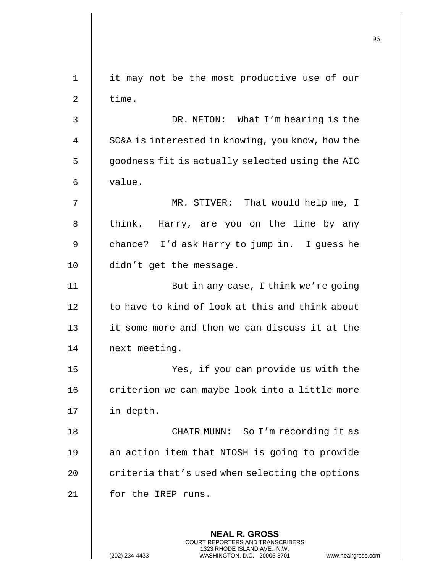**NEAL R. GROSS** COURT REPORTERS AND TRANSCRIBERS 1323 RHODE ISLAND AVE., N.W. (202) 234-4433 WASHINGTON, D.C. 20005-3701 www.nealrgross.com 1 || it may not be the most productive use of our  $2 \parallel$  time. 3 DR. NETON: What I'm hearing is the 4 || SC&A is interested in knowing, you know, how the 5 | goodness fit is actually selected using the AIC  $6 \parallel$  value. 7 || MR. STIVER: That would help me, I  $8$  || think. Harry, are you on the line by any 9 || chance? I'd ask Harry to jump in. I guess he 10 didn't get the message. 11 But in any case, I think we're going 12 | to have to kind of look at this and think about 13 | it some more and then we can discuss it at the 14 || next meeting. 15 Yes, if you can provide us with the 16 | criterion we can maybe look into a little more 17 in depth. 18 CHAIR MUNN: So I'm recording it as 19 || an action item that NIOSH is going to provide 20  $\parallel$  criteria that's used when selecting the options 21 | for the IREP runs.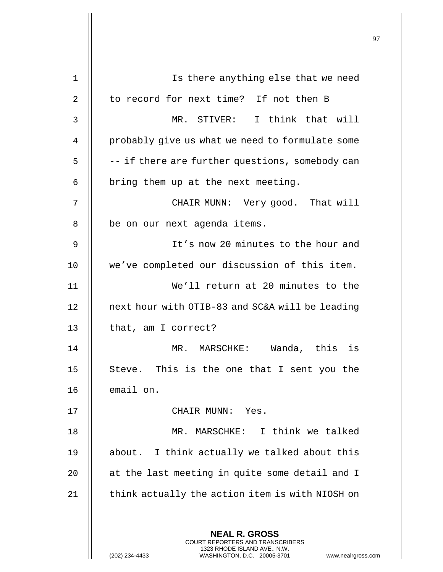| 1  | Is there anything else that we need                                                                                                                             |
|----|-----------------------------------------------------------------------------------------------------------------------------------------------------------------|
| 2  | to record for next time? If not then B                                                                                                                          |
| 3  | MR. STIVER: I think that will                                                                                                                                   |
| 4  | probably give us what we need to formulate some                                                                                                                 |
| 5  | -- if there are further questions, somebody can                                                                                                                 |
| 6  | bring them up at the next meeting.                                                                                                                              |
| 7  | CHAIR MUNN: Very good. That will                                                                                                                                |
| 8  | be on our next agenda items.                                                                                                                                    |
| 9  | It's now 20 minutes to the hour and                                                                                                                             |
| 10 | we've completed our discussion of this item.                                                                                                                    |
| 11 | We'll return at 20 minutes to the                                                                                                                               |
| 12 | next hour with OTIB-83 and SC&A will be leading                                                                                                                 |
| 13 | that, am I correct?                                                                                                                                             |
| 14 | Wanda, this is<br>MR. MARSCHKE:                                                                                                                                 |
| 15 | Steve. This is the one that I sent you the                                                                                                                      |
| 16 | email on.                                                                                                                                                       |
| 17 | CHAIR MUNN: Yes.                                                                                                                                                |
| 18 | MR. MARSCHKE: I think we talked                                                                                                                                 |
| 19 | about. I think actually we talked about this                                                                                                                    |
| 20 | at the last meeting in quite some detail and I                                                                                                                  |
| 21 | think actually the action item is with NIOSH on                                                                                                                 |
|    |                                                                                                                                                                 |
|    | <b>NEAL R. GROSS</b><br>COURT REPORTERS AND TRANSCRIBERS<br>1323 RHODE ISLAND AVE., N.W.<br>(202) 234-4433<br>WASHINGTON, D.C. 20005-3701<br>www.nealrgross.com |

 $\mathsf{I}$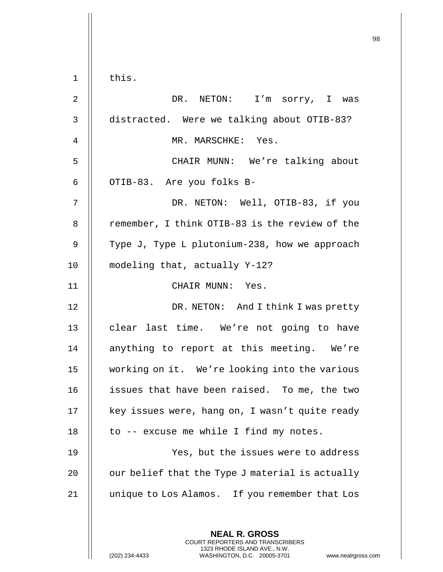|                | this.                                                                                                                                                        |
|----------------|--------------------------------------------------------------------------------------------------------------------------------------------------------------|
| $\mathbf 1$    |                                                                                                                                                              |
| $\overline{2}$ | DR. NETON: I'm sorry, I was                                                                                                                                  |
| 3              | distracted. Were we talking about OTIB-83?                                                                                                                   |
| 4              | MR. MARSCHKE: Yes.                                                                                                                                           |
| 5              | CHAIR MUNN: We're talking about                                                                                                                              |
| 6              | OTIB-83. Are you folks B-                                                                                                                                    |
| 7              | DR. NETON: Well, OTIB-83, if you                                                                                                                             |
| 8              | remember, I think OTIB-83 is the review of the                                                                                                               |
| 9              | Type J, Type L plutonium-238, how we approach                                                                                                                |
| 10             | modeling that, actually Y-12?                                                                                                                                |
| 11             | CHAIR MUNN: Yes.                                                                                                                                             |
| 12             | DR. NETON: And I think I was pretty                                                                                                                          |
| 13             | clear last time. We're not going to have                                                                                                                     |
| 14             | anything to report at this meeting. We're                                                                                                                    |
| 15             | working on it. We're looking into the various                                                                                                                |
| 16             | issues that have been raised. To me, the two                                                                                                                 |
| 17             | key issues were, hang on, I wasn't quite ready                                                                                                               |
| 18             | to -- excuse me while I find my notes.                                                                                                                       |
| 19             | Yes, but the issues were to address                                                                                                                          |
| 20             | our belief that the Type J material is actually                                                                                                              |
| 21             | unique to Los Alamos. If you remember that Los                                                                                                               |
|                | <b>NEAL R. GROSS</b><br>COURT REPORTERS AND TRANSCRIBERS<br>1323 RHODE ISLAND AVE., N.W.<br>(202) 234-4433<br>WASHINGTON, D.C. 20005-3701<br>www.nealrgross. |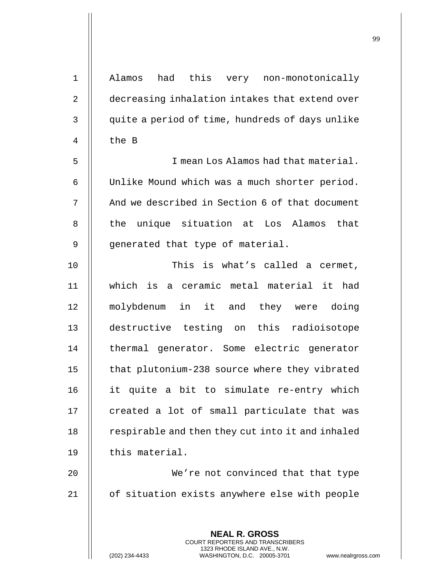| $1\,$          | Alamos had this very non-monotonically                                                                                                                            |
|----------------|-------------------------------------------------------------------------------------------------------------------------------------------------------------------|
| $\overline{2}$ | decreasing inhalation intakes that extend over                                                                                                                    |
| 3              | quite a period of time, hundreds of days unlike                                                                                                                   |
| 4              | the B                                                                                                                                                             |
| 5              | I mean Los Alamos had that material.                                                                                                                              |
| 6              | Unlike Mound which was a much shorter period.                                                                                                                     |
| 7              | And we described in Section 6 of that document                                                                                                                    |
| 8              | unique situation at Los Alamos that<br>the                                                                                                                        |
| 9              | generated that type of material.                                                                                                                                  |
| 10             | This is what's called a cermet,                                                                                                                                   |
| 11             | which is a ceramic metal material it had                                                                                                                          |
| 12             | molybdenum in it and they were doing                                                                                                                              |
| 13             | destructive testing on this radioisotope                                                                                                                          |
| 14             | thermal generator. Some electric generator                                                                                                                        |
| 15             | that plutonium-238 source where they vibrated                                                                                                                     |
| 16             | it quite a bit to simulate re-entry which                                                                                                                         |
| 17             | created a lot of small particulate that was                                                                                                                       |
| 18             | respirable and then they cut into it and inhaled                                                                                                                  |
| 19             | this material.                                                                                                                                                    |
| 20             | We're not convinced that that type                                                                                                                                |
| 21             | of situation exists anywhere else with people                                                                                                                     |
|                |                                                                                                                                                                   |
|                | <b>NEAL R. GROSS</b><br><b>COURT REPORTERS AND TRANSCRIBERS</b><br>1323 RHODE ISLAND AVE., N.W.<br>(202) 234-4433<br>WASHINGTON, D.C. 20005-3701<br>www.nealrgros |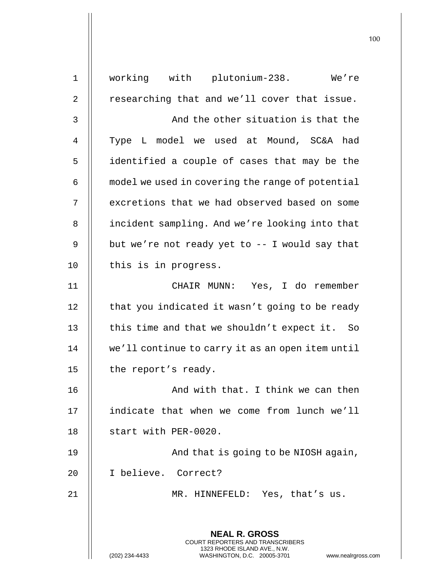**NEAL R. GROSS** COURT REPORTERS AND TRANSCRIBERS 1323 RHODE ISLAND AVE., N.W. (202) 234-4433 WASHINGTON, D.C. 20005-3701 www.nealrgross.com 1 working with plutonium-238. We're  $2 \parallel$  researching that and we'll cover that issue. 3 || And the other situation is that the 4 || Type L model we used at Mound, SC&A had 5 | identified a couple of cases that may be the  $6$   $\parallel$  model we used in covering the range of potential 7 | excretions that we had observed based on some 8 | incident sampling. And we're looking into that 9 | but we're not ready yet to  $-$  I would say that 10 | this is in progress. 11 CHAIR MUNN: Yes, I do remember 12 | that you indicated it wasn't going to be ready 13  $\parallel$  this time and that we shouldn't expect it. So 14 we'll continue to carry it as an open item until 15  $\parallel$  the report's ready. 16 || And with that. I think we can then 17 indicate that when we come from lunch we'll 18 || start with PER-0020. 19 || And that is going to be NIOSH again, 20 I believe. Correct? 21 MR. HINNEFELD: Yes, that's us.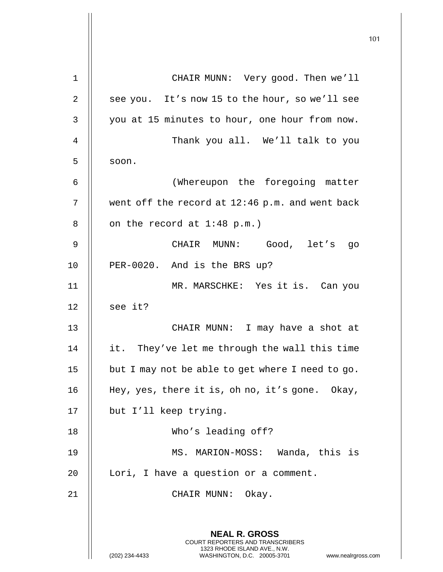|             |                                                                                                                                                                 | 101 |
|-------------|-----------------------------------------------------------------------------------------------------------------------------------------------------------------|-----|
|             |                                                                                                                                                                 |     |
| $\mathbf 1$ | CHAIR MUNN: Very good. Then we'll                                                                                                                               |     |
| 2           | see you. It's now 15 to the hour, so we'll see                                                                                                                  |     |
| 3           | you at 15 minutes to hour, one hour from now.                                                                                                                   |     |
| 4           | Thank you all. We'll talk to you                                                                                                                                |     |
| 5           | soon.                                                                                                                                                           |     |
| 6           | (Whereupon the foregoing matter                                                                                                                                 |     |
| 7           | went off the record at 12:46 p.m. and went back                                                                                                                 |     |
| 8           | on the record at $1:48$ p.m.)                                                                                                                                   |     |
| 9           | CHAIR MUNN: Good, let's go                                                                                                                                      |     |
| 10          | PER-0020. And is the BRS up?                                                                                                                                    |     |
| 11          | MR. MARSCHKE: Yes it is. Can you                                                                                                                                |     |
| 12          | see it?                                                                                                                                                         |     |
| 13          | CHAIR MUNN: I may have a shot at                                                                                                                                |     |
| 14          | it. They've let me through the wall this time                                                                                                                   |     |
| 15          | but I may not be able to get where I need to go.                                                                                                                |     |
| 16          | Hey, yes, there it is, oh no, it's gone. Okay,                                                                                                                  |     |
| 17          | but I'll keep trying.                                                                                                                                           |     |
| 18          | Who's leading off?                                                                                                                                              |     |
| 19          | MS. MARION-MOSS: Wanda, this is                                                                                                                                 |     |
| 20          | Lori, I have a question or a comment.                                                                                                                           |     |
| 21          | CHAIR MUNN: Okay.                                                                                                                                               |     |
|             | <b>NEAL R. GROSS</b><br>COURT REPORTERS AND TRANSCRIBERS<br>1323 RHODE ISLAND AVE., N.W.<br>(202) 234-4433<br>WASHINGTON, D.C. 20005-3701<br>www.nealrgross.com |     |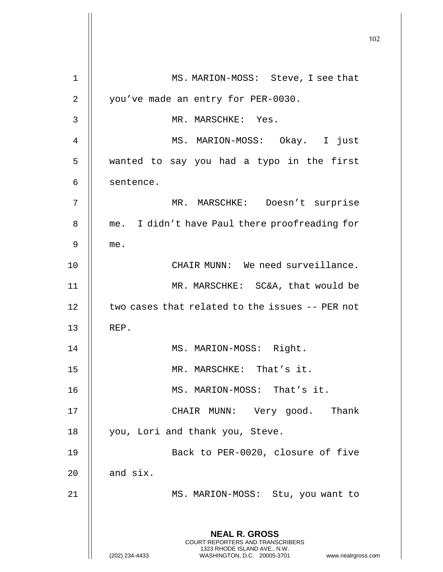|                |                                                                                                                                                                        | 102 |
|----------------|------------------------------------------------------------------------------------------------------------------------------------------------------------------------|-----|
| $\mathbf 1$    | MS. MARION-MOSS: Steve, I see that                                                                                                                                     |     |
| $\overline{2}$ | you've made an entry for PER-0030.                                                                                                                                     |     |
| 3              | MR. MARSCHKE: Yes.                                                                                                                                                     |     |
| 4              | MS. MARION-MOSS: Okay. I just                                                                                                                                          |     |
| 5              | wanted to say you had a typo in the first                                                                                                                              |     |
| 6              | sentence.                                                                                                                                                              |     |
| 7              | MR. MARSCHKE: Doesn't surprise                                                                                                                                         |     |
| 8              | me. I didn't have Paul there proofreading for                                                                                                                          |     |
| 9              | me.                                                                                                                                                                    |     |
| 10             | CHAIR MUNN: We need surveillance.                                                                                                                                      |     |
| 11             | MR. MARSCHKE: SC&A, that would be                                                                                                                                      |     |
| 12             | two cases that related to the issues -- PER not                                                                                                                        |     |
| 13             | REP.                                                                                                                                                                   |     |
| 14             | MS. MARION-MOSS: Right.                                                                                                                                                |     |
| 15             | MR. MARSCHKE: That's it.                                                                                                                                               |     |
| 16             | MS. MARION-MOSS: That's it.                                                                                                                                            |     |
| 17             | CHAIR MUNN: Very good. Thank                                                                                                                                           |     |
| 18             | you, Lori and thank you, Steve.                                                                                                                                        |     |
| 19             | Back to PER-0020, closure of five                                                                                                                                      |     |
| 20             | and six.                                                                                                                                                               |     |
| 21             | MS. MARION-MOSS: Stu, you want to                                                                                                                                      |     |
|                | <b>NEAL R. GROSS</b><br><b>COURT REPORTERS AND TRANSCRIBERS</b><br>1323 RHODE ISLAND AVE., N.W.<br>(202) 234-4433<br>WASHINGTON, D.C. 20005-3701<br>www.nealrgross.com |     |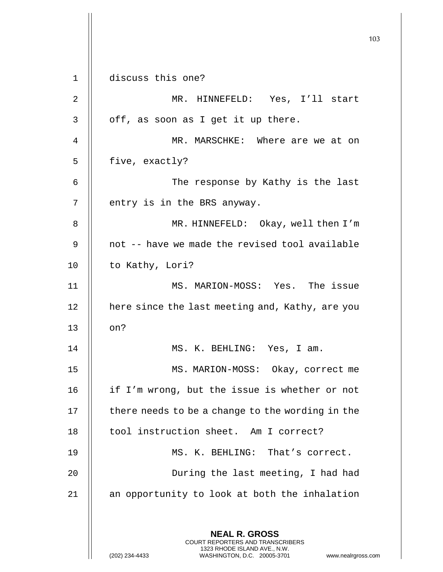103 **NEAL R. GROSS** COURT REPORTERS AND TRANSCRIBERS 1323 RHODE ISLAND AVE., N.W. (202) 234-4433 WASHINGTON, D.C. 20005-3701 www.nealrgross.com 1 discuss this one? 2 MR. HINNEFELD: Yes, I'll start  $3 \parallel$  off, as soon as I get it up there. 4 MR. MARSCHKE: Where are we at on 5 | five, exactly? 6 The response by Kathy is the last  $7$  | entry is in the BRS anyway. 8 MR. HINNEFELD: Okay, well then I'm 9 || not -- have we made the revised tool available 10 | to Kathy, Lori? 11 MS. MARION-MOSS: Yes. The issue 12 | here since the last meeting and, Kathy, are you  $13$   $\parallel$  on? 14 MS. K. BEHLING: Yes, I am. 15 || MS. MARION-MOSS: Okay, correct me 16 || if I'm wrong, but the issue is whether or not  $17$   $\parallel$  there needs to be a change to the wording in the 18 | tool instruction sheet. Am I correct? 19 || MS. K. BEHLING: That's correct. 20 || During the last meeting, I had had 21 || an opportunity to look at both the inhalation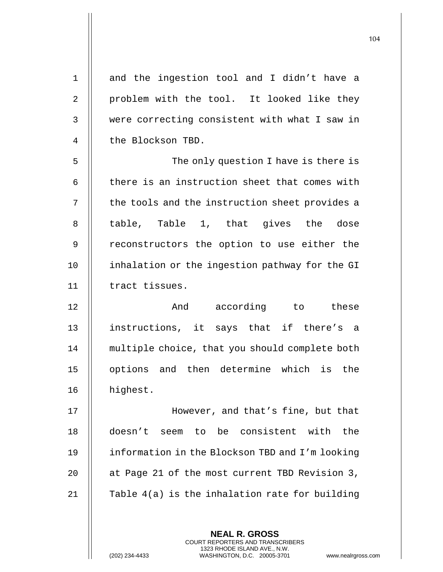| $\mathbf 1$    | and the ingestion tool and I didn't have a      |
|----------------|-------------------------------------------------|
| $\overline{2}$ | problem with the tool. It looked like they      |
| 3              | were correcting consistent with what I saw in   |
| 4              | the Blockson TBD.                               |
| 5              | The only question I have is there is            |
| 6              | there is an instruction sheet that comes with   |
| 7              | the tools and the instruction sheet provides a  |
| 8              | table, Table 1, that gives the dose             |
| $\mathsf 9$    | reconstructors the option to use either the     |
| 10             | inhalation or the ingestion pathway for the GI  |
| 11             | tract tissues.                                  |
| 12             | And according to these                          |
| 13             | instructions, it says that if there's a         |
| 14             | multiple choice, that you should complete both  |
| 15             | options and then determine which is the         |
| 16             | highest.                                        |
| 17             | However, and that's fine, but that              |
| 18             | seem to be consistent with<br>doesn't<br>the    |
| 19             | information in the Blockson TBD and I'm looking |
| 20             | at Page 21 of the most current TBD Revision 3,  |
| 21             | Table 4(a) is the inhalation rate for building  |
|                |                                                 |

**NEAL R. GROSS** COURT REPORTERS AND TRANSCRIBERS 1323 RHODE ISLAND AVE., N.W.

(202) 234-4433 WASHINGTON, D.C. 20005-3701 www.nealrgross.com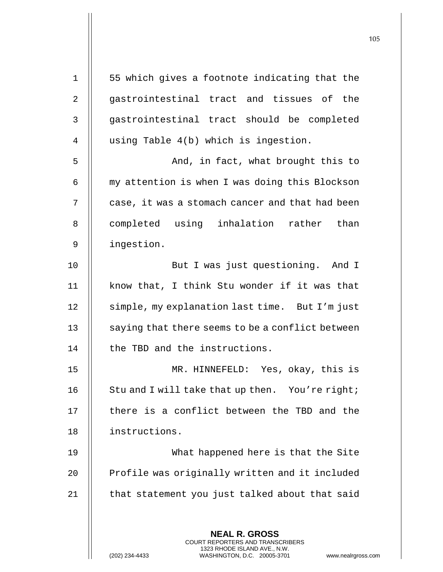| $\mathbf 1$    | 55 which gives a footnote indicating that the                                                                                                                     |
|----------------|-------------------------------------------------------------------------------------------------------------------------------------------------------------------|
| $\overline{2}$ | gastrointestinal tract and tissues of the                                                                                                                         |
| 3              | gastrointestinal tract should be completed                                                                                                                        |
| 4              | using Table 4(b) which is ingestion.                                                                                                                              |
| 5              | And, in fact, what brought this to                                                                                                                                |
| 6              | my attention is when I was doing this Blockson                                                                                                                    |
| 7              | case, it was a stomach cancer and that had been                                                                                                                   |
| 8              | completed using inhalation rather than                                                                                                                            |
| 9              | ingestion.                                                                                                                                                        |
| 10             | But I was just questioning. And I                                                                                                                                 |
| 11             | know that, I think Stu wonder if it was that                                                                                                                      |
| 12             | simple, my explanation last time. But I'm just                                                                                                                    |
| 13             | saying that there seems to be a conflict between                                                                                                                  |
| 14             | the TBD and the instructions.                                                                                                                                     |
| 15             | MR. HINNEFELD: Yes, okay, this is                                                                                                                                 |
| 16             | Stu and I will take that up then. You're right;                                                                                                                   |
| 17             | there is a conflict between the TBD and the                                                                                                                       |
| 18             | instructions.                                                                                                                                                     |
| 19             | What happened here is that the Site                                                                                                                               |
| 20             | Profile was originally written and it included                                                                                                                    |
| 21             | that statement you just talked about that said                                                                                                                    |
|                |                                                                                                                                                                   |
|                | <b>NEAL R. GROSS</b><br><b>COURT REPORTERS AND TRANSCRIBERS</b><br>1323 RHODE ISLAND AVE., N.W.<br>(202) 234-4433<br>WASHINGTON, D.C. 20005-3701<br>www.nealrgros |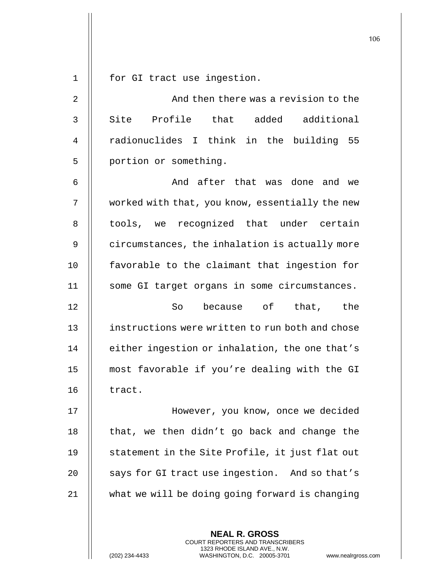1 || for GI tract use ingestion.

2 And then there was a revision to the  $3 \parallel$  Site Profile that added additional 4 || radionuclides I think in the building 55 5 | portion or something.

6 And after that was done and we 7 | worked with that, you know, essentially the new 8 || tools, we recognized that under certain 9 | circumstances, the inhalation is actually more 10 favorable to the claimant that ingestion for 11 || some GI target organs in some circumstances.

**So** because of that, the **instructions were written to run both and chose** 14 | either ingestion or inhalation, the one that's most favorable if you're dealing with the GI || tract.

17 However, you know, once we decided 18  $\parallel$  that, we then didn't go back and change the 19 || statement in the Site Profile, it just flat out 20 | says for GI tract use ingestion. And so that's 21 what we will be doing going forward is changing

> **NEAL R. GROSS** COURT REPORTERS AND TRANSCRIBERS 1323 RHODE ISLAND AVE., N.W.

(202) 234-4433 WASHINGTON, D.C. 20005-3701 www.nealrgross.com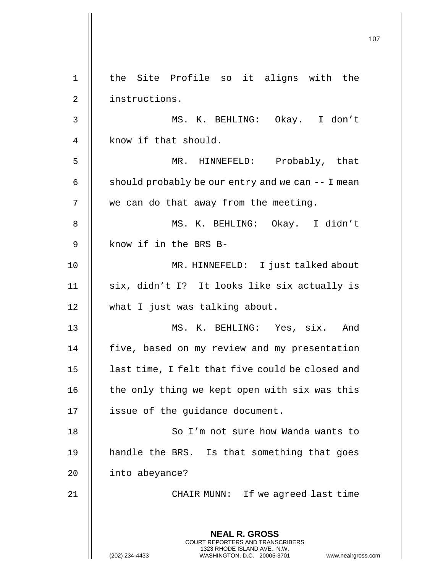107 **NEAL R. GROSS** COURT REPORTERS AND TRANSCRIBERS 1323 RHODE ISLAND AVE., N.W. (202) 234-4433 WASHINGTON, D.C. 20005-3701 www.nealrgross.com 1 || the Site Profile so it aligns with the 2 | instructions. 3 MS. K. BEHLING: Okay. I don't 4 | know if that should. 5 MR. HINNEFELD: Probably, that 6  $\parallel$  should probably be our entry and we can  $-$  I mean 7 | we can do that away from the meeting. 8 MS. K. BEHLING: Okay. I didn't 9 || know if in the BRS B-10 MR. HINNEFELD: I just talked about 11 || six, didn't I? It looks like six actually is 12 what I just was talking about. 13 || MS. K. BEHLING: Yes, six. And 14 | five, based on my review and my presentation  $15$  | last time, I felt that five could be closed and 16  $\parallel$  the only thing we kept open with six was this 17 || issue of the guidance document. 18 || So I'm not sure how Wanda wants to 19 || handle the BRS. Is that something that goes 20 | into abeyance? 21 || CHAIR MUNN: If we agreed last time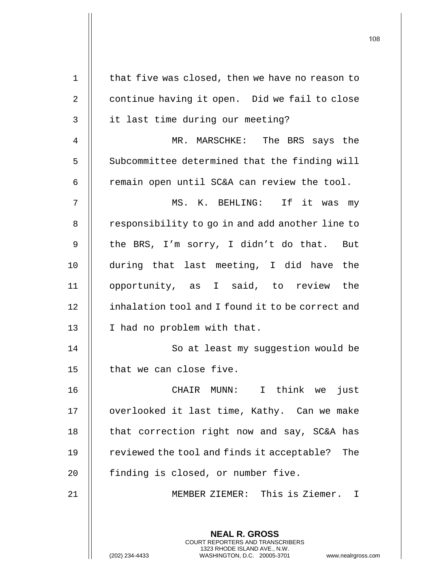|             |                                                                                                                                                                        | 108 |
|-------------|------------------------------------------------------------------------------------------------------------------------------------------------------------------------|-----|
| $\mathbf 1$ | that five was closed, then we have no reason to                                                                                                                        |     |
| 2           | continue having it open. Did we fail to close                                                                                                                          |     |
| 3           | it last time during our meeting?                                                                                                                                       |     |
| 4           | MR. MARSCHKE: The BRS says the                                                                                                                                         |     |
| 5           | Subcommittee determined that the finding will                                                                                                                          |     |
| 6           | remain open until SC&A can review the tool.                                                                                                                            |     |
| 7           | MS. K. BEHLING: If it was my                                                                                                                                           |     |
| 8           | responsibility to go in and add another line to                                                                                                                        |     |
| 9           | the BRS, I'm sorry, I didn't do that. But                                                                                                                              |     |
| 10          | during that last meeting, I did have the                                                                                                                               |     |
| 11          | opportunity, as I said, to review the                                                                                                                                  |     |
| 12          | inhalation tool and I found it to be correct and                                                                                                                       |     |
| 13          | I had no problem with that.                                                                                                                                            |     |
| 14          | So at least my suggestion would be                                                                                                                                     |     |
| 15          | that we can close five.                                                                                                                                                |     |
| 16          | CHAIR MUNN: I think we just                                                                                                                                            |     |
| 17          | overlooked it last time, Kathy. Can we make                                                                                                                            |     |
| 18          | that correction right now and say, SC&A has                                                                                                                            |     |
| 19          | reviewed the tool and finds it acceptable?<br>The                                                                                                                      |     |
| 20          | finding is closed, or number five.                                                                                                                                     |     |
| 21          | MEMBER ZIEMER: This is Ziemer. I                                                                                                                                       |     |
|             | <b>NEAL R. GROSS</b><br><b>COURT REPORTERS AND TRANSCRIBERS</b><br>1323 RHODE ISLAND AVE., N.W.<br>(202) 234-4433<br>WASHINGTON, D.C. 20005-3701<br>www.nealrgross.com |     |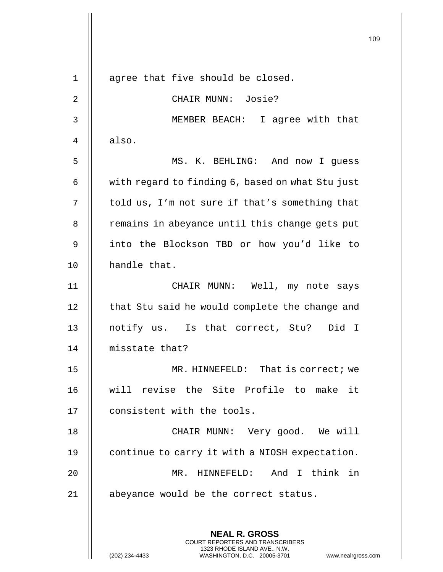109 **NEAL R. GROSS** COURT REPORTERS AND TRANSCRIBERS 1 || agree that five should be closed. 2 CHAIR MUNN: Josie? 3 MEMBER BEACH: I agree with that  $4 \parallel$  also. 5 MS. K. BEHLING: And now I guess 6 | with regard to finding 6, based on what Stu just  $7 \parallel$  told us, I'm not sure if that's something that 8 | remains in abeyance until this change gets put 9 || into the Blockson TBD or how you'd like to 10 handle that. 11 CHAIR MUNN: Well, my note says  $12$   $\parallel$  that Stu said he would complete the change and 13 || notify us. Is that correct, Stu? Did I 14 misstate that? 15 || MR. HINNEFELD: That is correct; we 16 will revise the Site Profile to make it 17 | consistent with the tools. 18 || CHAIR MUNN: Very good. We will 19 | continue to carry it with a NIOSH expectation. 20 MR. HINNEFELD: And I think in 21 || abeyance would be the correct status.

1323 RHODE ISLAND AVE., N.W.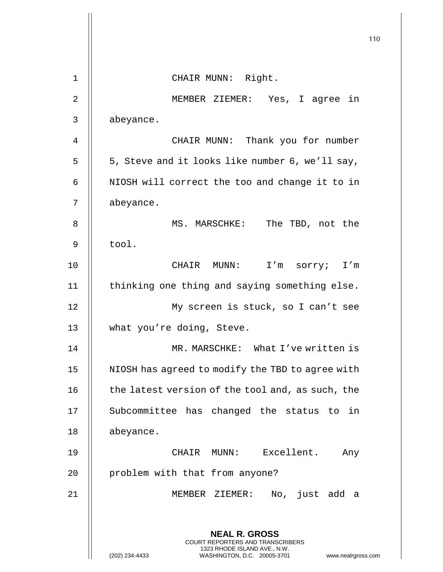|                |                                                                                                                                                                        | 110 |
|----------------|------------------------------------------------------------------------------------------------------------------------------------------------------------------------|-----|
|                |                                                                                                                                                                        |     |
| $\mathbf 1$    | CHAIR MUNN: Right.                                                                                                                                                     |     |
| $\overline{2}$ | MEMBER ZIEMER: Yes, I agree in                                                                                                                                         |     |
| 3              | abeyance.                                                                                                                                                              |     |
| $\overline{4}$ | CHAIR MUNN: Thank you for number                                                                                                                                       |     |
| 5              | 5, Steve and it looks like number 6, we'll say,                                                                                                                        |     |
| 6              | NIOSH will correct the too and change it to in                                                                                                                         |     |
| 7              | abeyance.                                                                                                                                                              |     |
| 8              | The TBD, not the<br>MS. MARSCHKE:                                                                                                                                      |     |
| 9              | tool.                                                                                                                                                                  |     |
| 10             | CHAIR MUNN:<br>I'm sorry; I'm                                                                                                                                          |     |
| 11             | thinking one thing and saying something else.                                                                                                                          |     |
| 12             | My screen is stuck, so I can't see                                                                                                                                     |     |
| 13             | what you're doing, Steve.                                                                                                                                              |     |
| 14             | MR. MARSCHKE: What I've written is                                                                                                                                     |     |
| 15             | NIOSH has agreed to modify the TBD to agree with                                                                                                                       |     |
| 16             | the latest version of the tool and, as such, the                                                                                                                       |     |
| 17             | Subcommittee has changed the status to in                                                                                                                              |     |
| 18             | abeyance.                                                                                                                                                              |     |
| 19             | CHAIR MUNN: Excellent.<br>Any                                                                                                                                          |     |
| 20             | problem with that from anyone?                                                                                                                                         |     |
| 21             | MEMBER ZIEMER:<br>No, just add a                                                                                                                                       |     |
|                | <b>NEAL R. GROSS</b><br><b>COURT REPORTERS AND TRANSCRIBERS</b><br>1323 RHODE ISLAND AVE., N.W.<br>(202) 234-4433<br>WASHINGTON, D.C. 20005-3701<br>www.nealrgross.com |     |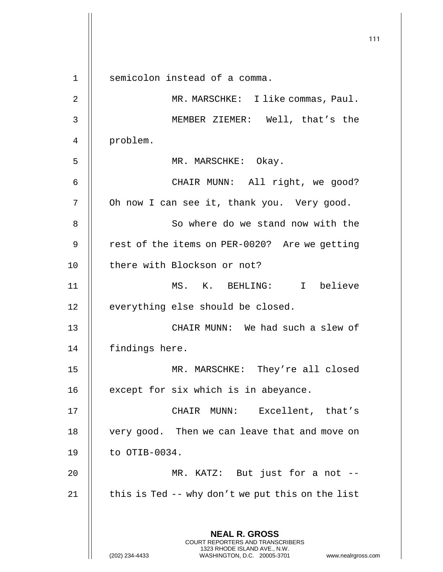**NEAL R. GROSS** COURT REPORTERS AND TRANSCRIBERS 1323 RHODE ISLAND AVE., N.W. 1 || semicolon instead of a comma. 2 || MR. MARSCHKE: I like commas, Paul. 3 MEMBER ZIEMER: Well, that's the 4 problem. 5 || MR. MARSCHKE: Okay. 6 CHAIR MUNN: All right, we good? 7 | Oh now I can see it, thank you. Very good. 8 || So where do we stand now with the 9 | rest of the items on PER-0020? Are we getting 10 || there with Blockson or not? 11 MS. K. BEHLING: I believe 12 | everything else should be closed. 13 CHAIR MUNN: We had such a slew of 14 | findings here. 15 || MR. MARSCHKE: They're all closed 16 | except for six which is in abeyance. 17 CHAIR MUNN: Excellent, that's 18 | very good. Then we can leave that and move on  $19$  | to OTIB-0034. 20 MR. KATZ: But just for a not -- 21  $\parallel$  this is Ted -- why don't we put this on the list

(202) 234-4433 WASHINGTON, D.C. 20005-3701 www.nealrgross.com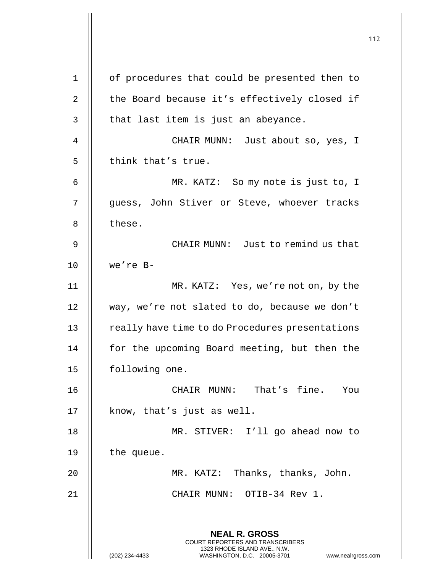112 **NEAL R. GROSS** COURT REPORTERS AND TRANSCRIBERS 1323 RHODE ISLAND AVE., N.W. (202) 234-4433 WASHINGTON, D.C. 20005-3701 www.nealrgross.com 1 | of procedures that could be presented then to 2 | the Board because it's effectively closed if  $3$  || that last item is just an abeyance. 4 CHAIR MUNN: Just about so, yes, I  $5$  || think that's true. 6 MR. KATZ: So my note is just to, I 7 || guess, John Stiver or Steve, whoever tracks 8 l these. 9 CHAIR MUNN: Just to remind us that 10 we're B-11 MR. KATZ: Yes, we're not on, by the 12 way, we're not slated to do, because we don't 13 | really have time to do Procedures presentations 14 || for the upcoming Board meeting, but then the 15 | following one. 16 CHAIR MUNN: That's fine. You 17 || know, that's just as well. 18 MR. STIVER: I'll go ahead now to 19 | the queue. 20 MR. KATZ: Thanks, thanks, John. 21 CHAIR MUNN: OTIB-34 Rev 1.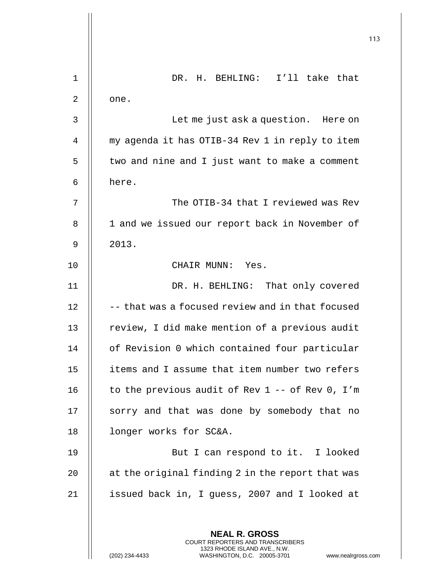|    |                                                                                                                                                                        | 113 |
|----|------------------------------------------------------------------------------------------------------------------------------------------------------------------------|-----|
|    |                                                                                                                                                                        |     |
| 1  | I'll take that<br>DR. H. BEHLING:                                                                                                                                      |     |
| 2  | one.                                                                                                                                                                   |     |
| 3  | Let me just ask a question. Here on                                                                                                                                    |     |
| 4  | my agenda it has OTIB-34 Rev 1 in reply to item                                                                                                                        |     |
| 5  | two and nine and I just want to make a comment                                                                                                                         |     |
| 6  | here.                                                                                                                                                                  |     |
| 7  | The OTIB-34 that I reviewed was Rev                                                                                                                                    |     |
| 8  | 1 and we issued our report back in November of                                                                                                                         |     |
| 9  | 2013.                                                                                                                                                                  |     |
| 10 | CHAIR MUNN: Yes.                                                                                                                                                       |     |
| 11 | DR. H. BEHLING: That only covered                                                                                                                                      |     |
| 12 | -- that was a focused review and in that focused                                                                                                                       |     |
| 13 | review, I did make mention of a previous audit                                                                                                                         |     |
| 14 | of Revision 0 which contained four particular                                                                                                                          |     |
| 15 | items and I assume that item number two refers                                                                                                                         |     |
| 16 | to the previous audit of Rev $1 - -$ of Rev 0, I'm                                                                                                                     |     |
| 17 | sorry and that was done by somebody that no                                                                                                                            |     |
| 18 | longer works for SC&A.                                                                                                                                                 |     |
| 19 | But I can respond to it. I looked                                                                                                                                      |     |
| 20 | at the original finding 2 in the report that was                                                                                                                       |     |
| 21 | issued back in, I guess, 2007 and I looked at                                                                                                                          |     |
|    |                                                                                                                                                                        |     |
|    | <b>NEAL R. GROSS</b><br><b>COURT REPORTERS AND TRANSCRIBERS</b><br>1323 RHODE ISLAND AVE., N.W.<br>(202) 234-4433<br>WASHINGTON, D.C. 20005-3701<br>www.nealrgross.com |     |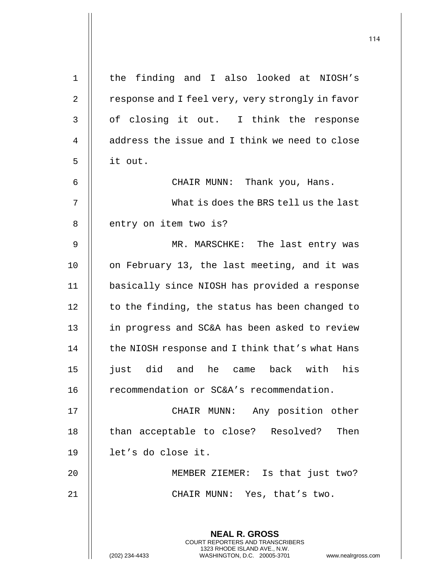| $\mathbf 1$    | the finding and I also looked at NIOSH's                                                        |
|----------------|-------------------------------------------------------------------------------------------------|
| $\overline{2}$ | response and I feel very, very strongly in favor                                                |
| 3              | of closing it out. I think the response                                                         |
| 4              | address the issue and I think we need to close                                                  |
| 5              | it out.                                                                                         |
| 6              | CHAIR MUNN: Thank you, Hans.                                                                    |
| 7              | What is does the BRS tell us the last                                                           |
| 8              | entry on item two is?                                                                           |
| 9              | MR. MARSCHKE: The last entry was                                                                |
| 10             | on February 13, the last meeting, and it was                                                    |
| 11             | basically since NIOSH has provided a response                                                   |
| 12             | to the finding, the status has been changed to                                                  |
| 13             | in progress and SC&A has been asked to review                                                   |
| 14             | the NIOSH response and I think that's what Hans                                                 |
| 15             | did<br>just<br>and<br>he<br>back<br>with<br>his<br>came                                         |
| 16             | recommendation or SC&A's recommendation.                                                        |
| 17             | Any position other<br>CHAIR MUNN:                                                               |
| 18             | Then<br>than acceptable to close? Resolved?                                                     |
| 19             | let's do close it.                                                                              |
| 20             | MEMBER ZIEMER: Is that just two?                                                                |
| 21             | CHAIR MUNN: Yes, that's two.                                                                    |
|                |                                                                                                 |
|                | <b>NEAL R. GROSS</b><br>COURT REPORTERS AND TRANSCRIBERS                                        |
|                | 1323 RHODE ISLAND AVE., N.W.<br>WASHINGTON, D.C. 20005-3701<br>(202) 234-4433<br>www.nealrgross |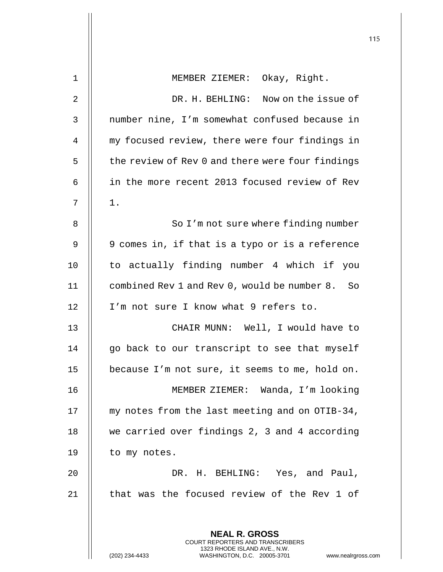|                |                                                                                                     | 115 |
|----------------|-----------------------------------------------------------------------------------------------------|-----|
| 1              | MEMBER ZIEMER: Okay, Right.                                                                         |     |
| $\overline{2}$ | DR. H. BEHLING: Now on the issue of                                                                 |     |
| 3              | number nine, I'm somewhat confused because in                                                       |     |
| 4              | my focused review, there were four findings in                                                      |     |
| 5              | the review of Rev 0 and there were four findings                                                    |     |
| 6              | in the more recent 2013 focused review of Rev                                                       |     |
| 7              | $1$ .                                                                                               |     |
| 8              | So I'm not sure where finding number                                                                |     |
| 9              | 9 comes in, if that is a typo or is a reference                                                     |     |
| 10             | to actually finding number 4 which if you                                                           |     |
| 11             | combined Rev 1 and Rev 0, would be number 8. So                                                     |     |
| 12             | I'm not sure I know what 9 refers to.                                                               |     |
| 13             | CHAIR MUNN: Well, I would have to                                                                   |     |
| 14             | go back to our transcript to see that myself                                                        |     |
| 15             | because I'm not sure, it seems to me, hold on.                                                      |     |
| 16             | MEMBER ZIEMER: Wanda, I'm looking                                                                   |     |
| 17             | my notes from the last meeting and on OTIB-34,                                                      |     |
| 18             | we carried over findings 2, 3 and 4 according                                                       |     |
| 19             | to my notes.                                                                                        |     |
| 20             | DR. H. BEHLING: Yes, and Paul,                                                                      |     |
| 21             | that was the focused review of the Rev 1 of                                                         |     |
|                |                                                                                                     |     |
|                | <b>NEAL R. GROSS</b><br><b>COURT REPORTERS AND TRANSCRIBERS</b>                                     |     |
|                | 1323 RHODE ISLAND AVE., N.W.<br>(202) 234-4433<br>WASHINGTON, D.C. 20005-3701<br>www.nealrgross.com |     |

 $\mathsf{l}\mathsf{l}$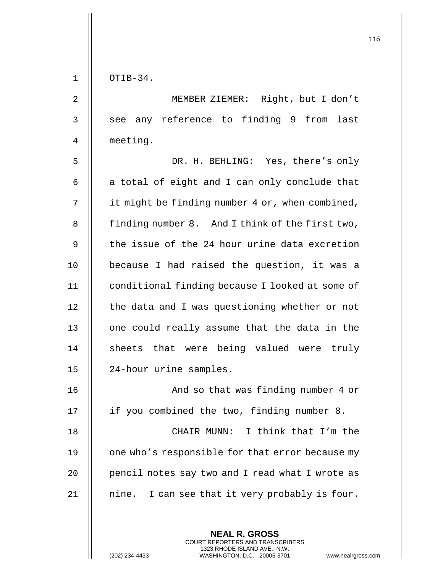| OTIB-34.              | $\mathbf 1$    |
|-----------------------|----------------|
| j                     | $\overline{a}$ |
| see any re            | 3              |
| meeting.              | 4              |
| j                     | 5              |
| a total of $\epsilon$ | б              |
| it might be :         | 7              |
| finding numb          | 8              |
| the issue of          | 9              |
| because I h           | 10             |
| conditional           | 11             |
| the data and          | 12             |
| one could re          | 13             |
| sheets that           | 14             |
| 24-hour uri           | 15             |
|                       | 16             |
| if you comb:          | 17             |
| ١                     | 18             |
| one who's re          | 19             |
| pencil notes          | 20             |
| nine. I car           | 21             |

2 MEMBER ZIEMER: Right, but I don't ference to finding 9 from last

DR. H. BEHLING: Yes, there's only eight and I can only conclude that finding number 4 or, when combined, er 8. And I think of the first two, f the 24 hour urine data excretion ad raised the question, it was a finding because I looked at some of d I was questioning whether or not eally assume that the data in the t were being valued were truly ne samples.

And so that was finding number 4 or ined the two, finding number 8. CHAIR MUNN: I think that I'm the sponsible for that error because my Exay two and I read what I wrote as 1 see that it very probably is four.

> **NEAL R. GROSS** COURT REPORTERS AND TRANSCRIBERS 1323 RHODE ISLAND AVE., N.W.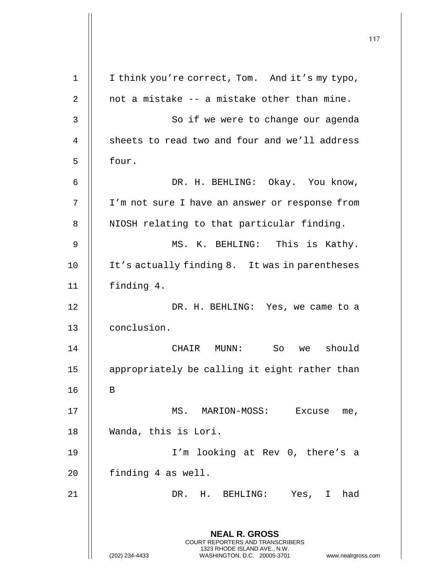**NEAL R. GROSS** COURT REPORTERS AND TRANSCRIBERS 1323 RHODE ISLAND AVE., N.W. (202) 234-4433 WASHINGTON, D.C. 20005-3701 www.nealrgross.com I think you're correct, Tom. And it's my typo,  $\parallel$  not a mistake  $-$  a mistake other than mine. 3 | So if we were to change our agenda 4 || sheets to read two and four and we'll address  $5 \parallel$  four. DR. H. BEHLING: Okay. You know, I'm not sure I have an answer or response from 8 | NIOSH relating to that particular finding. MS. K. BEHLING: This is Kathy. 10 || It's actually finding 8. It was in parentheses finding 4. DR. H. BEHLING: Yes, we came to a conclusion. CHAIR MUNN: So we should 15 || appropriately be calling it eight rather than B MS. MARION-MOSS: Excuse me, Wanda, this is Lori. I'm looking at Rev 0, there's a | finding 4 as well. DR. H. BEHLING: Yes, I had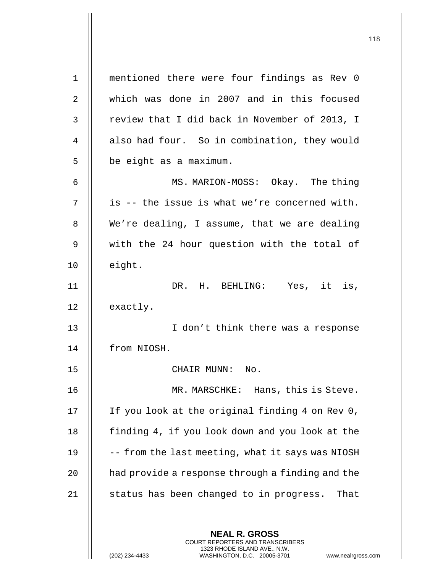**NEAL R. GROSS** COURT REPORTERS AND TRANSCRIBERS 1323 RHODE ISLAND AVE., N.W. (202) 234-4433 WASHINGTON, D.C. 20005-3701 www.nealrgross.com 1 mentioned there were four findings as Rev 0 2 which was done in 2007 and in this focused  $3$  | review that I did back in November of 2013, I 4 | also had four. So in combination, they would  $5 \parallel$  be eight as a maximum. 6 || MS. MARION-MOSS: Okay. The thing  $7 \parallel$  is -- the issue is what we're concerned with.  $8$  | We're dealing, I assume, that we are dealing 9 || with the 24 hour question with the total of  $10$   $\parallel$  eight. 11 || DR. H. BEHLING: Yes, it is, 12 | exactly. 13 || I don't think there was a response 14 from NIOSH. 15 || CHAIR MUNN: No. 16 || MR. MARSCHKE: Hans, this is Steve. 17 || If you look at the original finding 4 on Rev 0, 18 | finding 4, if you look down and you look at the 19  $\parallel$  -- from the last meeting, what it says was NIOSH 20 | had provide a response through a finding and the  $21$  || status has been changed to in progress. That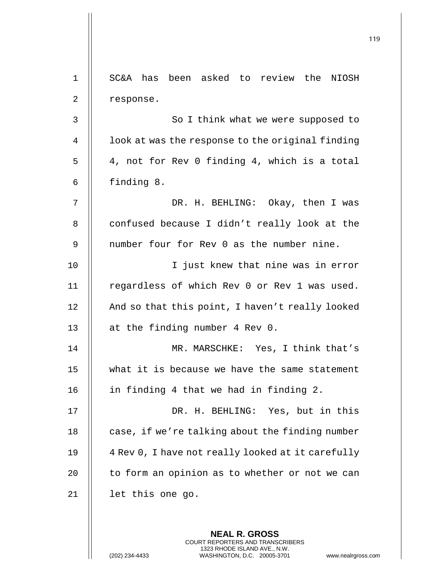| $\mathbf 1$ | SC&A has been asked to review the NIOSH           |
|-------------|---------------------------------------------------|
| 2           | response.                                         |
| 3           | So I think what we were supposed to               |
| 4           | look at was the response to the original finding  |
| 5           | 4, not for Rev 0 finding 4, which is a total      |
| 6           | finding 8.                                        |
| 7           | DR. H. BEHLING: Okay, then I was                  |
| 8           | confused because I didn't really look at the      |
| 9           | number four for Rev 0 as the number nine.         |
| 10          | I just knew that nine was in error                |
| 11          | regardless of which Rev 0 or Rev 1 was used.      |
| 12          | And so that this point, I haven't really looked   |
| 13          | at the finding number 4 Rev 0.                    |
| 14          | MR. MARSCHKE: Yes, I think that's                 |
| 15          | what it is because we have the same statement     |
| 16          | in finding 4 that we had in finding 2.            |
| 17          | DR. H. BEHLING: Yes, but in this                  |
| 18          | case, if we're talking about the finding number   |
| 19          | 4 Rev 0, I have not really looked at it carefully |
| 20          | to form an opinion as to whether or not we can    |
| 21          | let this one go.                                  |
|             |                                                   |

**NEAL R. GROSS** COURT REPORTERS AND TRANSCRIBERS 1323 RHODE ISLAND AVE., N.W.

 $\overline{\mathsf{I}}$  $\mathsf{l}$ 

(202) 234-4433 WASHINGTON, D.C. 20005-3701 www.nealrgross.com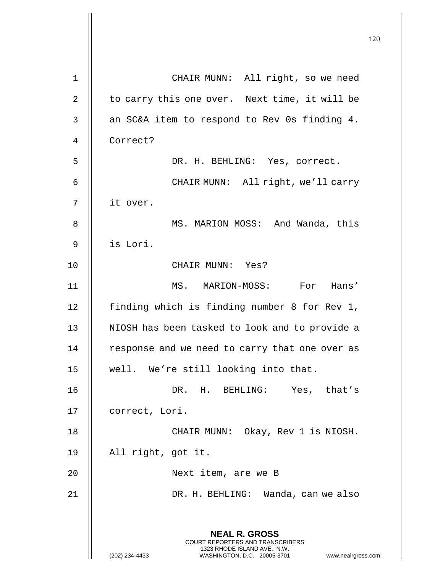|                |                                                                                                                                                                 | 120 |
|----------------|-----------------------------------------------------------------------------------------------------------------------------------------------------------------|-----|
| $\mathbf{1}$   | CHAIR MUNN: All right, so we need                                                                                                                               |     |
| $\overline{2}$ | to carry this one over. Next time, it will be                                                                                                                   |     |
| 3              | an SC&A item to respond to Rev Os finding 4.                                                                                                                    |     |
| 4              | Correct?                                                                                                                                                        |     |
| 5              | DR. H. BEHLING: Yes, correct.                                                                                                                                   |     |
| 6              | CHAIR MUNN: All right, we'll carry                                                                                                                              |     |
| 7              | it over.                                                                                                                                                        |     |
| 8              | MS. MARION MOSS: And Wanda, this                                                                                                                                |     |
| 9              | is Lori.                                                                                                                                                        |     |
| 10             | CHAIR MUNN: Yes?                                                                                                                                                |     |
|                |                                                                                                                                                                 |     |
| 11             | MS. MARION-MOSS: For Hans'                                                                                                                                      |     |
| 12             | finding which is finding number 8 for Rev 1,                                                                                                                    |     |
| 13             | NIOSH has been tasked to look and to provide a                                                                                                                  |     |
| 14             | response and we need to carry that one over as                                                                                                                  |     |
| 15             | well. We're still looking into that.                                                                                                                            |     |
| 16             | DR. H. BEHLING: Yes, that's                                                                                                                                     |     |
| 17             | correct, Lori.                                                                                                                                                  |     |
| 18             | CHAIR MUNN: Okay, Rev 1 is NIOSH.                                                                                                                               |     |
| 19             | All right, got it.                                                                                                                                              |     |
| 20             | Next item, are we B                                                                                                                                             |     |
| 21             | DR. H. BEHLING: Wanda, can we also                                                                                                                              |     |
|                | <b>NEAL R. GROSS</b><br>COURT REPORTERS AND TRANSCRIBERS<br>1323 RHODE ISLAND AVE., N.W.<br>WASHINGTON, D.C. 20005-3701<br>(202) 234-4433<br>www.nealrgross.com |     |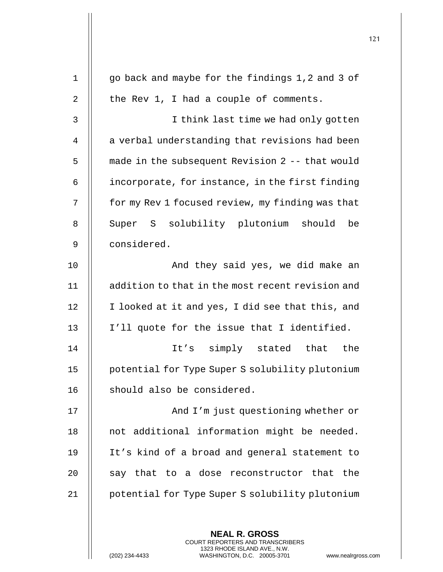|    |                                                          | 121 |
|----|----------------------------------------------------------|-----|
| 1  | go back and maybe for the findings 1,2 and 3 of          |     |
|    |                                                          |     |
| 2  | the Rev 1, I had a couple of comments.                   |     |
| 3  | I think last time we had only gotten                     |     |
| 4  | a verbal understanding that revisions had been           |     |
| 5  | made in the subsequent Revision 2 -- that would          |     |
| 6  | incorporate, for instance, in the first finding          |     |
| 7  | for my Rev 1 focused review, my finding was that         |     |
| 8  | Super S solubility plutonium should<br>be                |     |
| 9  | considered.                                              |     |
| 10 | And they said yes, we did make an                        |     |
| 11 | addition to that in the most recent revision and         |     |
| 12 | I looked at it and yes, I did see that this, and         |     |
| 13 | I'll quote for the issue that I identified.              |     |
| 14 | It's simply stated that<br>the                           |     |
| 15 | potential for Type Super S solubility plutonium          |     |
| 16 | should also be considered.                               |     |
| 17 | And I'm just questioning whether or                      |     |
| 18 | not additional information might be needed.              |     |
| 19 | It's kind of a broad and general statement to            |     |
| 20 | say that to a dose reconstructor that the                |     |
| 21 | potential for Type Super S solubility plutonium          |     |
|    |                                                          |     |
|    | <b>NEAL R. GROSS</b><br>COURT REPORTERS AND TRANSCRIBERS |     |

1323 RHODE ISLAND AVE., N.W.

 $\prod$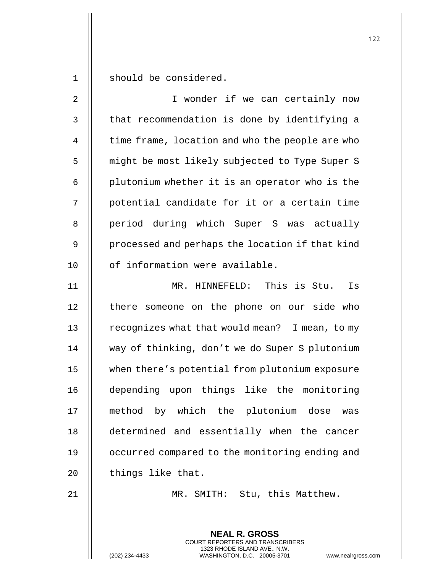1 | should be considered.

| $\overline{2}$ | I wonder if we can certainly now                |
|----------------|-------------------------------------------------|
| $\mathfrak{Z}$ | that recommendation is done by identifying a    |
| 4              | time frame, location and who the people are who |
| 5              | might be most likely subjected to Type Super S  |
| 6              | plutonium whether it is an operator who is the  |
| 7              | potential candidate for it or a certain time    |
| 8              | period during which Super S was actually        |
| $\mathsf 9$    | processed and perhaps the location if that kind |
| 10             | of information were available.                  |
| 11             | MR. HINNEFELD: This is Stu.<br>Is               |
| 12             | there someone on the phone on our side who      |
| 13             | recognizes what that would mean? I mean, to my  |
| 14             | way of thinking, don't we do Super S plutonium  |
| 15             | when there's potential from plutonium exposure  |
| 16             | depending upon things like the monitoring       |
| 17             | method by which the plutonium dose was          |
| 18             | determined and essentially when the cancer      |
| 19             | occurred compared to the monitoring ending and  |
| 20             | things like that.                               |
| 21             | SMITH: Stu, this Matthew.<br>$MR$ .             |

**NEAL R. GROSS** COURT REPORTERS AND TRANSCRIBERS 1323 RHODE ISLAND AVE., N.W.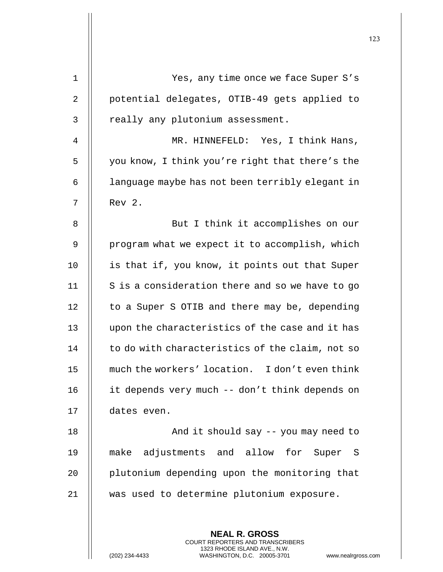|             |                                                                                                                                                                        | 123 |
|-------------|------------------------------------------------------------------------------------------------------------------------------------------------------------------------|-----|
| $\mathbf 1$ | Yes, any time once we face Super S's                                                                                                                                   |     |
|             |                                                                                                                                                                        |     |
| 2           | potential delegates, OTIB-49 gets applied to                                                                                                                           |     |
| 3           | really any plutonium assessment.                                                                                                                                       |     |
| 4           | MR. HINNEFELD: Yes, I think Hans,                                                                                                                                      |     |
| 5           | you know, I think you're right that there's the                                                                                                                        |     |
| 6           | language maybe has not been terribly elegant in                                                                                                                        |     |
| 7           | Rev 2.                                                                                                                                                                 |     |
| 8           | But I think it accomplishes on our                                                                                                                                     |     |
| 9           | program what we expect it to accomplish, which                                                                                                                         |     |
| 10          | is that if, you know, it points out that Super                                                                                                                         |     |
| 11          | S is a consideration there and so we have to go                                                                                                                        |     |
| 12          | to a Super S OTIB and there may be, depending                                                                                                                          |     |
| 13          | upon the characteristics of the case and it has                                                                                                                        |     |
| 14          | to do with characteristics of the claim, not so                                                                                                                        |     |
| 15          | much the workers' location. I don't even think                                                                                                                         |     |
| 16          | it depends very much -- don't think depends on                                                                                                                         |     |
| 17          | dates even.                                                                                                                                                            |     |
| 18          | And it should say -- you may need to                                                                                                                                   |     |
| 19          | make adjustments and allow for Super S                                                                                                                                 |     |
| 20          | plutonium depending upon the monitoring that                                                                                                                           |     |
| 21          | was used to determine plutonium exposure.                                                                                                                              |     |
|             |                                                                                                                                                                        |     |
|             | <b>NEAL R. GROSS</b><br><b>COURT REPORTERS AND TRANSCRIBERS</b><br>1323 RHODE ISLAND AVE., N.W.<br>(202) 234-4433<br>WASHINGTON, D.C. 20005-3701<br>www.nealrgross.com |     |

 $\overline{\phantom{a}}$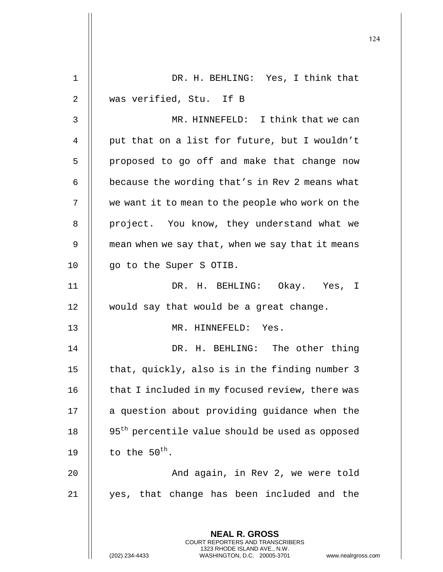|             |                                                                                                 | 124 |
|-------------|-------------------------------------------------------------------------------------------------|-----|
|             |                                                                                                 |     |
| $\mathbf 1$ | DR. H. BEHLING: Yes, I think that                                                               |     |
| 2           | was verified, Stu. If B                                                                         |     |
| 3           | MR. HINNEFELD: I think that we can                                                              |     |
| 4           | put that on a list for future, but I wouldn't                                                   |     |
| 5           | proposed to go off and make that change now                                                     |     |
| 6           | because the wording that's in Rev 2 means what                                                  |     |
| 7           | we want it to mean to the people who work on the                                                |     |
| 8           | project. You know, they understand what we                                                      |     |
| 9           | mean when we say that, when we say that it means                                                |     |
| 10          | go to the Super S OTIB.                                                                         |     |
| 11          | DR. H. BEHLING: Okay. Yes, I                                                                    |     |
| 12          | would say that would be a great change.                                                         |     |
| 13          | MR. HINNEFELD: Yes.                                                                             |     |
| 14          | DR. H. BEHLING: The other thing                                                                 |     |
| 15          | that, quickly, also is in the finding number 3                                                  |     |
| 16          | that I included in my focused review, there was                                                 |     |
| 17          | a question about providing guidance when the                                                    |     |
| 18          | 95 <sup>th</sup> percentile value should be used as opposed                                     |     |
| 19          | to the $50^{\text{th}}$ .                                                                       |     |
| 20          | And again, in Rev 2, we were told                                                               |     |
| 21          | yes, that change has been included and the                                                      |     |
|             | <b>NEAL R. GROSS</b><br><b>COURT REPORTERS AND TRANSCRIBERS</b><br>1323 RHODE ISLAND AVE., N.W. |     |
|             | (202) 234-4433<br>WASHINGTON, D.C. 20005-3701<br>www.nealrgross.com                             |     |

 $\mathsf{I}$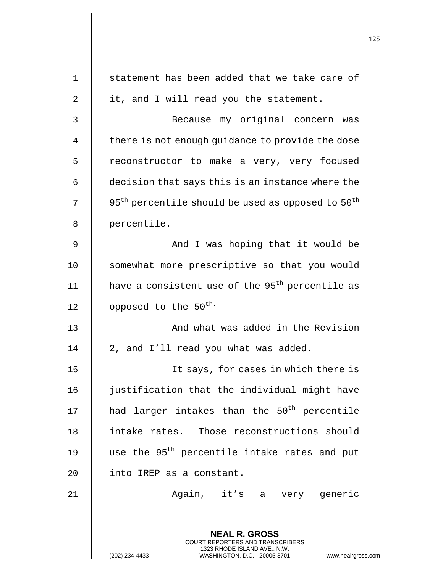125 **NEAL R. GROSS** COURT REPORTERS AND TRANSCRIBERS 1323 RHODE ISLAND AVE., N.W. 1 || statement has been added that we take care of  $2 \parallel$  it, and I will read you the statement. 3 Because my original concern was 4 | there is not enough quidance to provide the dose 5 | reconstructor to make a very, very focused  $6 \parallel$  decision that says this is an instance where the 7  $\parallel$  95<sup>th</sup> percentile should be used as opposed to 50<sup>th</sup> 8 | percentile. 9 And I was hoping that it would be 10 || somewhat more prescriptive so that you would 11  $\parallel$  have a consistent use of the 95<sup>th</sup> percentile as 12  $\parallel$  opposed to the 50<sup>th.</sup> 13 || And what was added in the Revision  $14$  | 2, and I'll read you what was added. 15 || It says, for cases in which there is 16 | justification that the individual might have 17  $\parallel$  had larger intakes than the 50<sup>th</sup> percentile 18 intake rates. Those reconstructions should 19  $\parallel$  use the 95<sup>th</sup> percentile intake rates and put 20 | into IREP as a constant. 21 || **Again, it's a very generic**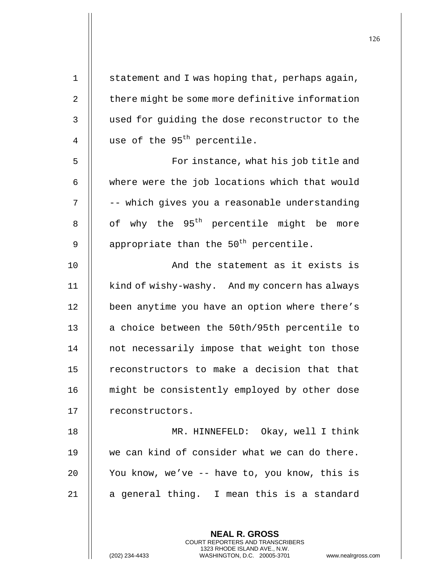| 1              | statement and I was hoping that, perhaps again,      |
|----------------|------------------------------------------------------|
| $\overline{2}$ | there might be some more definitive information      |
| 3              | used for guiding the dose reconstructor to the       |
| 4              | use of the 95 <sup>th</sup> percentile.              |
| 5              | For instance, what his job title and                 |
| 6              | where were the job locations which that would        |
| 7              | -- which gives you a reasonable understanding        |
| 8              | of why the 95 <sup>th</sup> percentile might be more |
| 9              | appropriate than the 50 <sup>th</sup> percentile.    |
| 10             | And the statement as it exists is                    |
| 11             | kind of wishy-washy. And my concern has always       |
| 12             | been anytime you have an option where there's        |
| 13             | a choice between the 50th/95th percentile to         |
| 14             | not necessarily impose that weight ton those         |
| 15             | reconstructors to make a decision that that          |
| 16             | might be consistently employed by other dose         |
| 17             | reconstructors.                                      |
| 18             | MR. HINNEFELD: Okay, well I think                    |
| 19             | we can kind of consider what we can do there.        |
| 20             | You know, we've -- have to, you know, this is        |
| 21             | a general thing. I mean this is a standard           |
|                |                                                      |
|                | <b>NEAL R. GROSS</b>                                 |

COURT REPORTERS AND TRANSCRIBERS 1323 RHODE ISLAND AVE., N.W.

(202) 234-4433 WASHINGTON, D.C. 20005-3701 www.nealrgross.com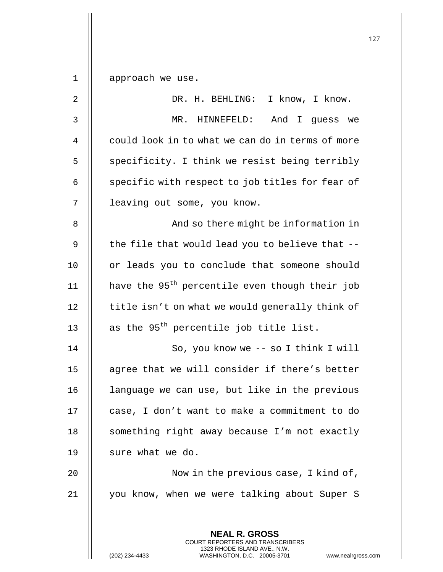1 | approach we use.

| $\sqrt{2}$ | DR. H. BEHLING: I know, I know.                                                                 |
|------------|-------------------------------------------------------------------------------------------------|
| 3          | MR. HINNEFELD:<br>And I guess we                                                                |
| 4          | could look in to what we can do in terms of more                                                |
| 5          | specificity. I think we resist being terribly                                                   |
| 6          | specific with respect to job titles for fear of                                                 |
| 7          | leaving out some, you know.                                                                     |
| 8          | And so there might be information in                                                            |
| 9          | the file that would lead you to believe that --                                                 |
| 10         | or leads you to conclude that someone should                                                    |
| 11         | have the 95 <sup>th</sup> percentile even though their job                                      |
| 12         | title isn't on what we would generally think of                                                 |
| 13         | as the 95 <sup>th</sup> percentile job title list.                                              |
| 14         | So, you know we -- so I think I will                                                            |
| 15         | agree that we will consider if there's better                                                   |
| 16         | language we can use, but like in the previous                                                   |
| 17         | case, I don't want to make a commitment to do                                                   |
| 18         | something right away because I'm not exactly                                                    |
| 19         | sure what we do.                                                                                |
| 20         | Now in the previous case, I kind of,                                                            |
| 21         | you know, when we were talking about Super S                                                    |
|            |                                                                                                 |
|            | <b>NEAL R. GROSS</b><br><b>COURT REPORTERS AND TRANSCRIBERS</b>                                 |
|            | 1323 RHODE ISLAND AVE., N.W.<br>(202) 234-4433<br>WASHINGTON, D.C. 20005-3701<br>www.nealrgross |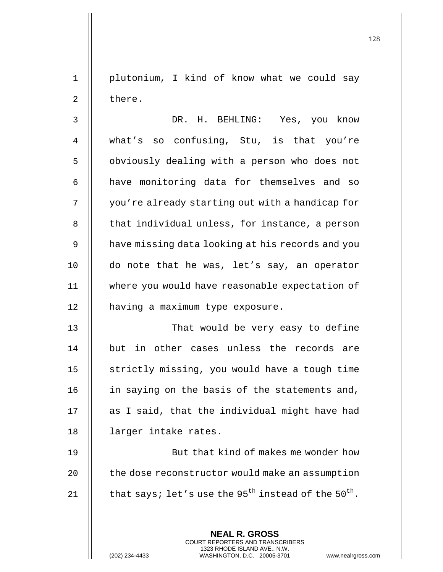1 plutonium, I kind of know what we could say 2 | there.

3 DR. H. BEHLING: Yes, you know 4 what's so confusing, Stu, is that you're 5 | obviously dealing with a person who does not 6 | have monitoring data for themselves and so 7 | you're already starting out with a handicap for  $8$   $\parallel$  that individual unless, for instance, a person 9 | have missing data looking at his records and you 10 do note that he was, let's say, an operator 11 where you would have reasonable expectation of 12 | having a maximum type exposure.

13 || That would be very easy to define 14 but in other cases unless the records are 15 | strictly missing, you would have a tough time 16 || in saying on the basis of the statements and,  $17$   $\parallel$  as I said, that the individual might have had 18 || larger intake rates.

19 || But that kind of makes me wonder how 20  $\parallel$  the dose reconstructor would make an assumption 21  $\parallel$  that says; let's use the 95<sup>th</sup> instead of the 50<sup>th</sup>.

> **NEAL R. GROSS** COURT REPORTERS AND TRANSCRIBERS 1323 RHODE ISLAND AVE., N.W.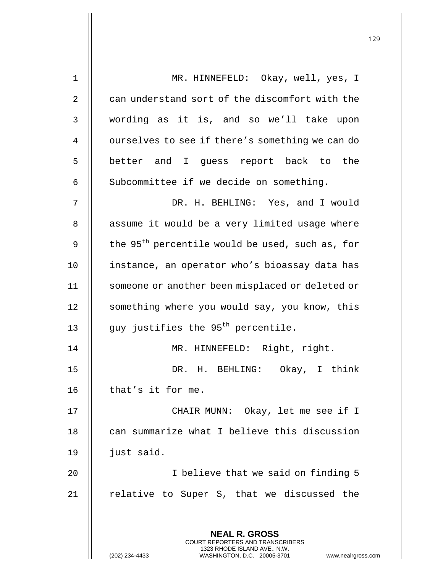| $\mathbf 1$ | MR. HINNEFELD: Okay, well, yes, I                                                               |
|-------------|-------------------------------------------------------------------------------------------------|
| 2           | can understand sort of the discomfort with the                                                  |
| 3           | wording as it is, and so we'll take upon                                                        |
| 4           | ourselves to see if there's something we can do                                                 |
| 5           | better and I guess report back to the                                                           |
| 6           | Subcommittee if we decide on something.                                                         |
| 7           | DR. H. BEHLING: Yes, and I would                                                                |
| 8           | assume it would be a very limited usage where                                                   |
| 9           | the 95 <sup>th</sup> percentile would be used, such as, for                                     |
| 10          | instance, an operator who's bioassay data has                                                   |
| 11          | someone or another been misplaced or deleted or                                                 |
| 12          | something where you would say, you know, this                                                   |
| 13          | guy justifies the 95 <sup>th</sup> percentile.                                                  |
| 14          | MR. HINNEFELD: Right, right.                                                                    |
| 15          | DR. H. BEHLING: Okay, I think                                                                   |
| 16          | that's it for me.                                                                               |
| 17          | CHAIR MUNN: Okay, let me see if I                                                               |
| 18          | can summarize what I believe this discussion                                                    |
| 19          | just said.                                                                                      |
| 20          | I believe that we said on finding 5                                                             |
| 21          | relative to Super S, that we discussed the                                                      |
|             |                                                                                                 |
|             | <b>NEAL R. GROSS</b><br><b>COURT REPORTERS AND TRANSCRIBERS</b><br>1323 RHODE ISLAND AVE., N.W. |
|             | (202) 234-4433<br>WASHINGTON, D.C. 20005-3701<br>www.nealrgross.com                             |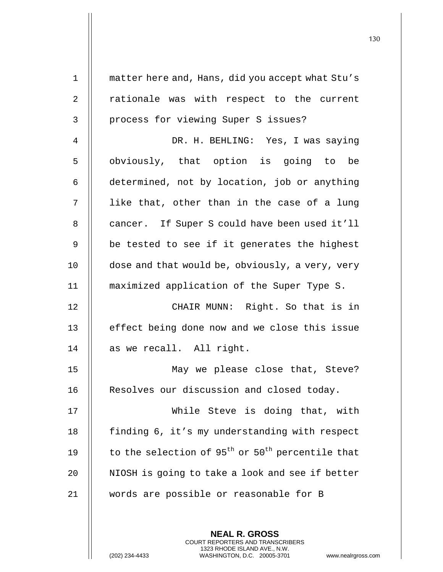| $\mathbf 1$ | matter here and, Hans, did you accept what Stu's                         |
|-------------|--------------------------------------------------------------------------|
| 2           | rationale was with respect to the current                                |
| 3           | process for viewing Super S issues?                                      |
| 4           | DR. H. BEHLING: Yes, I was saying                                        |
| 5           | obviously, that option is going to be                                    |
| 6           | determined, not by location, job or anything                             |
| 7           | like that, other than in the case of a lung                              |
| 8           | cancer. If Super S could have been used it'll                            |
| 9           | be tested to see if it generates the highest                             |
| 10          | dose and that would be, obviously, a very, very                          |
| 11          | maximized application of the Super Type S.                               |
| 12          | CHAIR MUNN: Right. So that is in                                         |
| 13          | effect being done now and we close this issue                            |
| 14          | as we recall. All right.                                                 |
| 15          | May we please close that, Steve?                                         |
| 16          | Resolves our discussion and closed today.                                |
| 17          | While Steve is doing that, with                                          |
| 18          | finding 6, it's my understanding with respect                            |
| 19          | to the selection of 95 <sup>th</sup> or 50 <sup>th</sup> percentile that |
| 20          | NIOSH is going to take a look and see if better                          |
| 21          | words are possible or reasonable for B                                   |
|             |                                                                          |
|             | <b>NEAL R. GROSS</b>                                                     |

COURT REPORTERS AND TRANSCRIBERS 1323 RHODE ISLAND AVE., N.W.

(202) 234-4433 WASHINGTON, D.C. 20005-3701 www.nealrgross.com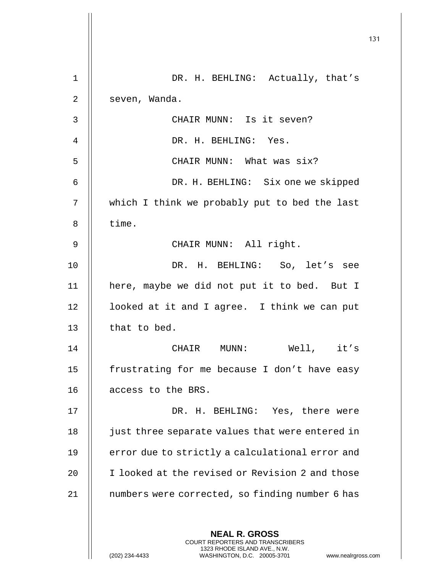|                |                                                                                                                                                                 | 131 |
|----------------|-----------------------------------------------------------------------------------------------------------------------------------------------------------------|-----|
| 1              |                                                                                                                                                                 |     |
|                | DR. H. BEHLING: Actually, that's                                                                                                                                |     |
| 2              | seven, Wanda.                                                                                                                                                   |     |
| $\mathsf{3}$   | CHAIR MUNN: Is it seven?                                                                                                                                        |     |
| $\overline{4}$ | DR. H. BEHLING: Yes.                                                                                                                                            |     |
| 5              | CHAIR MUNN: What was six?                                                                                                                                       |     |
| 6              | DR. H. BEHLING: Six one we skipped                                                                                                                              |     |
| 7              | which I think we probably put to bed the last                                                                                                                   |     |
| 8              | time.                                                                                                                                                           |     |
| 9              | CHAIR MUNN: All right.                                                                                                                                          |     |
| 10             | DR. H. BEHLING: So, let's see                                                                                                                                   |     |
| 11             | here, maybe we did not put it to bed. But I                                                                                                                     |     |
| 12             | looked at it and I agree. I think we can put                                                                                                                    |     |
| 13             | that to bed.                                                                                                                                                    |     |
| 14             | Well, it's<br>CHAIR MUNN:                                                                                                                                       |     |
| 15             | frustrating for me because I don't have easy                                                                                                                    |     |
| 16             | access to the BRS.                                                                                                                                              |     |
| 17             | DR. H. BEHLING: Yes, there were                                                                                                                                 |     |
| 18             | just three separate values that were entered in                                                                                                                 |     |
| 19             | error due to strictly a calculational error and                                                                                                                 |     |
| 20             | I looked at the revised or Revision 2 and those                                                                                                                 |     |
| 21             | numbers were corrected, so finding number 6 has                                                                                                                 |     |
|                | <b>NEAL R. GROSS</b><br>COURT REPORTERS AND TRANSCRIBERS<br>1323 RHODE ISLAND AVE., N.W.<br>(202) 234-4433<br>WASHINGTON, D.C. 20005-3701<br>www.nealrgross.com |     |

 $\begin{array}{c} \hline \end{array}$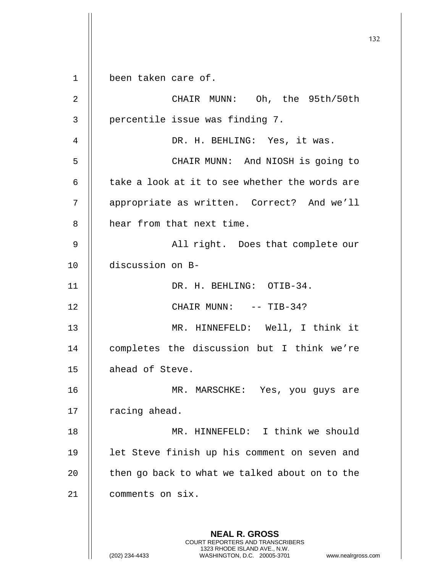**NEAL R. GROSS** COURT REPORTERS AND TRANSCRIBERS 1323 RHODE ISLAND AVE., N.W. (202) 234-4433 WASHINGTON, D.C. 20005-3701 www.nealrgross.com 1 been taken care of. 2 CHAIR MUNN: Oh, the 95th/50th  $3$  | percentile issue was finding 7. 4 || DR. H. BEHLING: Yes, it was. 5 CHAIR MUNN: And NIOSH is going to  $6$  || take a look at it to see whether the words are 7 | appropriate as written. Correct? And we'll 8 | hear from that next time. 9 All right. Does that complete our 10 discussion on B-11 || DR. H. BEHLING: OTIB-34. 12 || CHAIR MUNN: -- TIB-34? 13 MR. HINNEFELD: Well, I think it 14 || completes the discussion but I think we're 15 | ahead of Steve. 16 MR. MARSCHKE: Yes, you guys are  $17$  | racing ahead. 18 MR. HINNEFELD: I think we should 19 || let Steve finish up his comment on seven and  $20$  | then go back to what we talked about on to the 21 comments on six.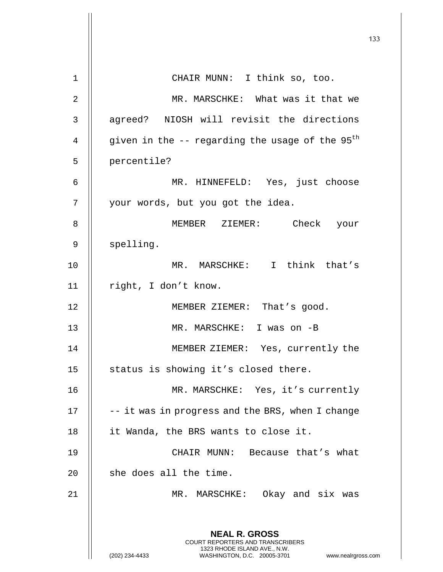133 **NEAL R. GROSS** COURT REPORTERS AND TRANSCRIBERS 1323 RHODE ISLAND AVE., N.W. (202) 234-4433 WASHINGTON, D.C. 20005-3701 www.nealrgross.com 1 || CHAIR MUNN: I think so, too. 2 MR. MARSCHKE: What was it that we 3 || agreed? NIOSH will revisit the directions 4  $\parallel$  given in the -- regarding the usage of the 95<sup>th</sup> 5 | percentile? 6 MR. HINNEFELD: Yes, just choose 7 || your words, but you got the idea. 8 || MEMBER ZIEMER: Check your 9 | spelling. 10 MR. MARSCHKE: I think that's 11 || right, I don't know. 12 || MEMBER ZIEMER: That's good. 13 || MR. MARSCHKE: I was on -B 14 || MEMBER ZIEMER: Yes, currently the 15  $\parallel$  status is showing it's closed there. 16 MR. MARSCHKE: Yes, it's currently  $17$   $\parallel$  -- it was in progress and the BRS, when I change 18 | it Wanda, the BRS wants to close it. 19 CHAIR MUNN: Because that's what  $20$  | she does all the time. 21 || MR. MARSCHKE: Okay and six was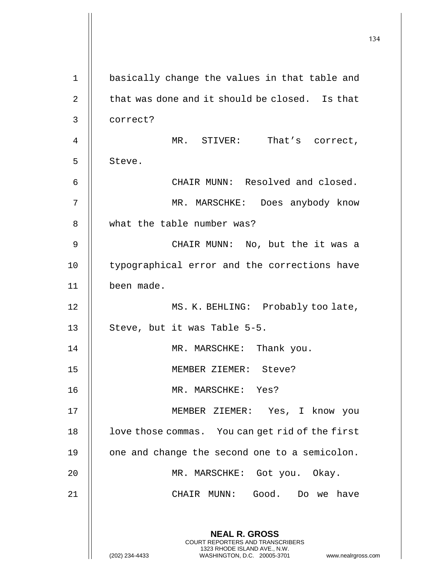|              |                                                                                                                                                                        | 134 |
|--------------|------------------------------------------------------------------------------------------------------------------------------------------------------------------------|-----|
| $\mathbf{1}$ | basically change the values in that table and                                                                                                                          |     |
|              |                                                                                                                                                                        |     |
| 2            | that was done and it should be closed. Is that                                                                                                                         |     |
| 3            | correct?                                                                                                                                                               |     |
| 4            | MR. STIVER: That's correct,                                                                                                                                            |     |
| 5            | Steve.                                                                                                                                                                 |     |
| 6            | CHAIR MUNN: Resolved and closed.                                                                                                                                       |     |
| 7            | MR. MARSCHKE: Does anybody know                                                                                                                                        |     |
| 8            | what the table number was?                                                                                                                                             |     |
| 9            | CHAIR MUNN: No, but the it was a                                                                                                                                       |     |
| 10           | typographical error and the corrections have                                                                                                                           |     |
| 11           | been made.                                                                                                                                                             |     |
| 12           | MS. K. BEHLING: Probably too late,                                                                                                                                     |     |
| 13           | Steve, but it was Table 5-5.                                                                                                                                           |     |
| 14           | MR. MARSCHKE: Thank you.                                                                                                                                               |     |
| 15           | MEMBER ZIEMER: Steve?                                                                                                                                                  |     |
| 16           | MR. MARSCHKE: Yes?                                                                                                                                                     |     |
| 17           | MEMBER ZIEMER: Yes, I know you                                                                                                                                         |     |
| 18           | love those commas. You can get rid of the first                                                                                                                        |     |
| 19           | one and change the second one to a semicolon.                                                                                                                          |     |
| 20           | MR. MARSCHKE: Got you. Okay.                                                                                                                                           |     |
| 21           | CHAIR MUNN: Good. Do we have                                                                                                                                           |     |
|              | <b>NEAL R. GROSS</b><br><b>COURT REPORTERS AND TRANSCRIBERS</b><br>1323 RHODE ISLAND AVE., N.W.<br>(202) 234-4433<br>WASHINGTON, D.C. 20005-3701<br>www.nealrgross.com |     |

 $\mathbf{1}$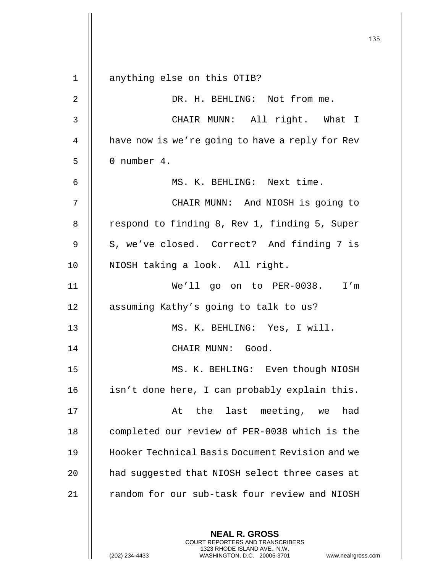135 **NEAL R. GROSS** 1 || anything else on this OTIB? 2 DR. H. BEHLING: Not from me. 3 CHAIR MUNN: All right. What I 4 | have now is we're going to have a reply for Rev  $5 \parallel 0 \text{ number } 4.$ 6 MS. K. BEHLING: Next time. 7 CHAIR MUNN: And NIOSH is going to 8 | respond to finding 8, Rev 1, finding 5, Super 9 | S, we've closed. Correct? And finding 7 is 10 || NIOSH taking a look. All right. 11 We'll go on to PER-0038. I'm 12 | assuming Kathy's going to talk to us? 13 MS. K. BEHLING: Yes, I will. 14 CHAIR MUNN: Good. 15 || MS. K. BEHLING: Even though NIOSH 16 | isn't done here, I can probably explain this. 17 At the last meeting, we had 18 | completed our review of PER-0038 which is the 19 Hooker Technical Basis Document Revision and we 20 **h** had suggested that NIOSH select three cases at 21 || random for our sub-task four review and NIOSH

> COURT REPORTERS AND TRANSCRIBERS 1323 RHODE ISLAND AVE., N.W.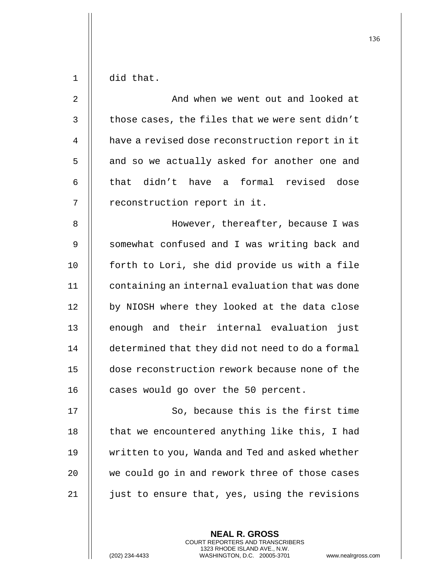$1 \parallel$  did that.

| $\overline{2}$ | And when we went out and looked at               |
|----------------|--------------------------------------------------|
| $\mathfrak{Z}$ | those cases, the files that we were sent didn't  |
| 4              | have a revised dose reconstruction report in it  |
| 5              | and so we actually asked for another one and     |
| 6              | that didn't have a formal revised dose           |
| 7              | reconstruction report in it.                     |
| 8              | However, thereafter, because I was               |
| 9              | somewhat confused and I was writing back and     |
| 10             | forth to Lori, she did provide us with a file    |
| 11             | containing an internal evaluation that was done  |
| 12             | by NIOSH where they looked at the data close     |
| 13             | enough and their internal evaluation just        |
| 14             | determined that they did not need to do a formal |
| 15             | dose reconstruction rework because none of the   |
| 16             | cases would go over the 50 percent.              |
| 17             | So, because this is the first time               |
| 18             | that we encountered anything like this, I had    |
| 19             | written to you, Wanda and Ted and asked whether  |
| 20             | we could go in and rework three of those cases   |
| 21             | just to ensure that, yes, using the revisions    |

**NEAL R. GROSS** COURT REPORTERS AND TRANSCRIBERS 1323 RHODE ISLAND AVE., N.W.

(202) 234-4433 WASHINGTON, D.C. 20005-3701 www.nealrgross.com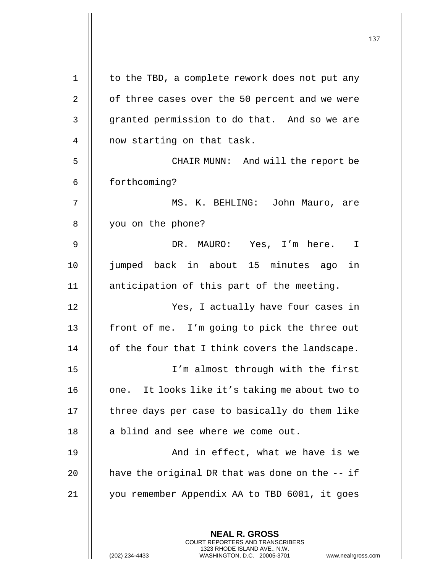|                |                                                                                                                                                                        | 137 |
|----------------|------------------------------------------------------------------------------------------------------------------------------------------------------------------------|-----|
|                |                                                                                                                                                                        |     |
| $\mathbf 1$    | to the TBD, a complete rework does not put any                                                                                                                         |     |
| $\overline{2}$ | of three cases over the 50 percent and we were                                                                                                                         |     |
| 3              | granted permission to do that. And so we are                                                                                                                           |     |
| 4              | now starting on that task.                                                                                                                                             |     |
| 5              | CHAIR MUNN: And will the report be                                                                                                                                     |     |
| 6              | forthcoming?                                                                                                                                                           |     |
| 7              | MS. K. BEHLING: John Mauro, are                                                                                                                                        |     |
| 8              | you on the phone?                                                                                                                                                      |     |
| 9              | DR. MAURO: Yes, I'm here. I                                                                                                                                            |     |
| 10             | jumped back in about 15 minutes ago in                                                                                                                                 |     |
| 11             | anticipation of this part of the meeting.                                                                                                                              |     |
| 12             | Yes, I actually have four cases in                                                                                                                                     |     |
| 13             | front of me. I'm going to pick the three out                                                                                                                           |     |
| 14             | of the four that I think covers the landscape.                                                                                                                         |     |
| 15             | I'm almost through with the first                                                                                                                                      |     |
| 16             | one. It looks like it's taking me about two to                                                                                                                         |     |
| 17             | three days per case to basically do them like                                                                                                                          |     |
| 18             | a blind and see where we come out.                                                                                                                                     |     |
| 19             | And in effect, what we have is we                                                                                                                                      |     |
| 20             | have the original DR that was done on the $-$ if                                                                                                                       |     |
| 21             | you remember Appendix AA to TBD 6001, it goes                                                                                                                          |     |
|                | <b>NEAL R. GROSS</b><br><b>COURT REPORTERS AND TRANSCRIBERS</b><br>1323 RHODE ISLAND AVE., N.W.<br>(202) 234-4433<br>WASHINGTON, D.C. 20005-3701<br>www.nealrgross.com |     |

 $\mathsf{I}$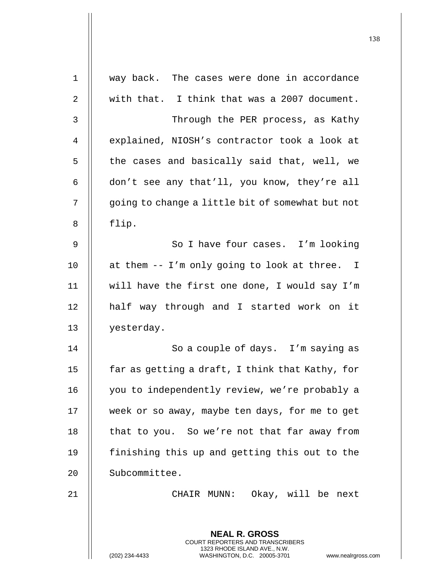| $\mathbf 1$    | way back. The cases were done in accordance                                                                                                                     |
|----------------|-----------------------------------------------------------------------------------------------------------------------------------------------------------------|
| $\overline{2}$ | with that. I think that was a 2007 document.                                                                                                                    |
| 3              | Through the PER process, as Kathy                                                                                                                               |
| 4              | explained, NIOSH's contractor took a look at                                                                                                                    |
| 5              | the cases and basically said that, well, we                                                                                                                     |
| 6              | don't see any that'll, you know, they're all                                                                                                                    |
| 7              | going to change a little bit of somewhat but not                                                                                                                |
| 8              | flip.                                                                                                                                                           |
| 9              | So I have four cases. I'm looking                                                                                                                               |
| 10             | at them -- I'm only going to look at three. I                                                                                                                   |
| 11             | will have the first one done, I would say I'm                                                                                                                   |
| 12             | half way through and I started work on it                                                                                                                       |
| 13             | yesterday.                                                                                                                                                      |
| 14             | So a couple of days. I'm saying as                                                                                                                              |
| 15             | far as getting a draft, I think that Kathy, for                                                                                                                 |
| 16             | you to independently review, we're probably a                                                                                                                   |
| 17             | week or so away, maybe ten days, for me to get                                                                                                                  |
| 18             | that to you. So we're not that far away from                                                                                                                    |
| 19             | finishing this up and getting this out to the                                                                                                                   |
| 20             | Subcommittee.                                                                                                                                                   |
| 21             | CHAIR MUNN: Okay, will be next                                                                                                                                  |
|                |                                                                                                                                                                 |
|                | <b>NEAL R. GROSS</b><br>COURT REPORTERS AND TRANSCRIBERS<br>1323 RHODE ISLAND AVE., N.W.<br>(202) 234-4433<br>WASHINGTON, D.C. 20005-3701<br>www.nealrgross.com |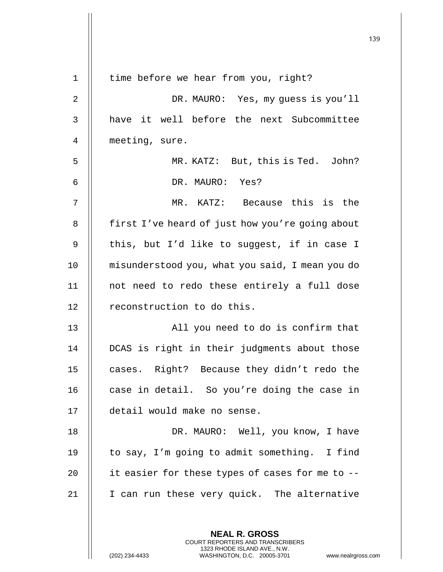| $\mathbf 1$ | time before we hear from you, right?            |
|-------------|-------------------------------------------------|
| $\sqrt{2}$  | DR. MAURO: Yes, my guess is you'll              |
| 3           | have it well before the next Subcommittee       |
| 4           | meeting, sure.                                  |
| 5           | MR. KATZ: But, this is Ted. John?               |
| 6           | DR. MAURO: Yes?                                 |
| 7           | MR. KATZ: Because this is the                   |
| 8           | first I've heard of just how you're going about |
| $\mathsf 9$ | this, but I'd like to suggest, if in case I     |
| 10          | misunderstood you, what you said, I mean you do |
| 11          | not need to redo these entirely a full dose     |
| 12          | reconstruction to do this.                      |
| 13          | All you need to do is confirm that              |
| 14          | DCAS is right in their judgments about those    |
| 15          | cases. Right? Because they didn't redo the      |
| 16          | case in detail. So you're doing the case in     |
| 17          | detail would make no sense.                     |
| 18          | DR. MAURO: Well, you know, I have               |
| 19          | to say, I'm going to admit something. I find    |
| 20          | it easier for these types of cases for me to -- |
| 21          | I can run these very quick. The alternative     |
|             |                                                 |
|             | <b>NEAL R. GROSS</b>                            |

COURT REPORTERS AND TRANSCRIBERS 1323 RHODE ISLAND AVE., N.W.

 $\prod$ 

(202) 234-4433 WASHINGTON, D.C. 20005-3701 www.nealrgross.com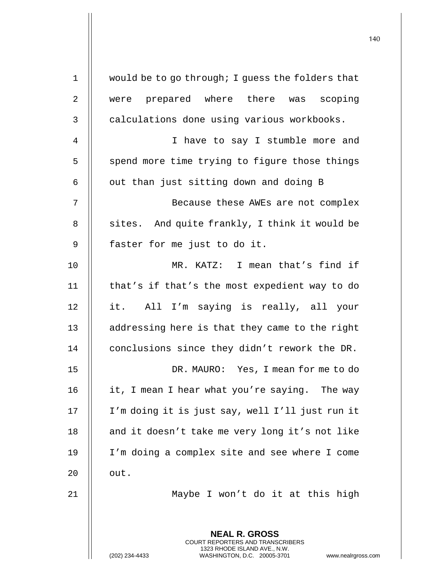| $\mathbf 1$ | would be to go through; I guess the folders that                                                                                                                       |
|-------------|------------------------------------------------------------------------------------------------------------------------------------------------------------------------|
| 2           | were prepared where there was scoping                                                                                                                                  |
| 3           | calculations done using various workbooks.                                                                                                                             |
| 4           | I have to say I stumble more and                                                                                                                                       |
| 5           | spend more time trying to figure those things                                                                                                                          |
| 6           | out than just sitting down and doing B                                                                                                                                 |
| 7           | Because these AWEs are not complex                                                                                                                                     |
| 8           | sites. And quite frankly, I think it would be                                                                                                                          |
| 9           | faster for me just to do it.                                                                                                                                           |
| 10          | MR. KATZ: I mean that's find if                                                                                                                                        |
| 11          | that's if that's the most expedient way to do                                                                                                                          |
| 12          | it. All I'm saying is really, all your                                                                                                                                 |
| 13          | addressing here is that they came to the right                                                                                                                         |
| 14          | conclusions since they didn't rework the DR.                                                                                                                           |
| 15          | DR. MAURO: Yes, I mean for me to do                                                                                                                                    |
| 16          | it, I mean I hear what you're saying. The way                                                                                                                          |
| 17          | I'm doing it is just say, well I'll just run it                                                                                                                        |
| 18          | and it doesn't take me very long it's not like                                                                                                                         |
| 19          | I'm doing a complex site and see where I come                                                                                                                          |
| 20          | out.                                                                                                                                                                   |
| 21          | Maybe I won't do it at this high                                                                                                                                       |
|             |                                                                                                                                                                        |
|             | <b>NEAL R. GROSS</b><br><b>COURT REPORTERS AND TRANSCRIBERS</b><br>1323 RHODE ISLAND AVE., N.W.<br>(202) 234-4433<br>WASHINGTON, D.C. 20005-3701<br>www.nealrgross.com |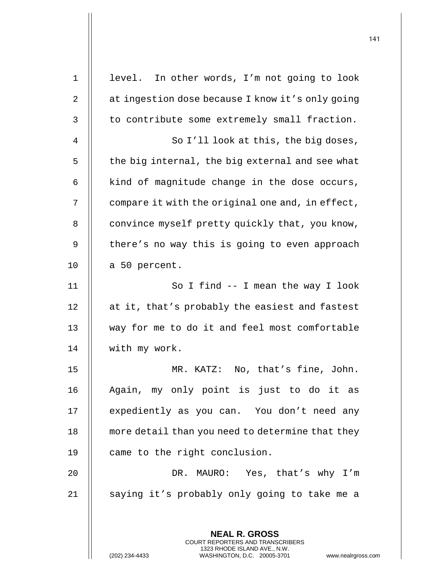|             |                                                                                                     | 141 |
|-------------|-----------------------------------------------------------------------------------------------------|-----|
| $\mathbf 1$ | level. In other words, I'm not going to look                                                        |     |
| 2           | at ingestion dose because I know it's only going                                                    |     |
|             | to contribute some extremely small fraction.                                                        |     |
| 3           |                                                                                                     |     |
| 4           | So I'll look at this, the big doses,                                                                |     |
| 5           | the big internal, the big external and see what                                                     |     |
| 6           | kind of magnitude change in the dose occurs,                                                        |     |
| 7           | compare it with the original one and, in effect,                                                    |     |
| 8           | convince myself pretty quickly that, you know,                                                      |     |
| 9           | there's no way this is going to even approach                                                       |     |
| 10          | a 50 percent.                                                                                       |     |
| 11          | So I find $--$ I mean the way I look                                                                |     |
| 12          | at it, that's probably the easiest and fastest                                                      |     |
| 13          | way for me to do it and feel most comfortable                                                       |     |
| 14          | with my work.                                                                                       |     |
| 15          | MR. KATZ: No, that's fine, John.                                                                    |     |
| 16          | Again, my only point is just to do it as                                                            |     |
| 17          | expediently as you can. You don't need any                                                          |     |
| 18          | more detail than you need to determine that they                                                    |     |
| 19          | came to the right conclusion.                                                                       |     |
| 20          | DR. MAURO: Yes, that's why I'm                                                                      |     |
| 21          | saying it's probably only going to take me a                                                        |     |
|             | <b>NEAL R. GROSS</b><br><b>COURT REPORTERS AND TRANSCRIBERS</b>                                     |     |
|             | 1323 RHODE ISLAND AVE., N.W.<br>(202) 234-4433<br>WASHINGTON, D.C. 20005-3701<br>www.nealrgross.com |     |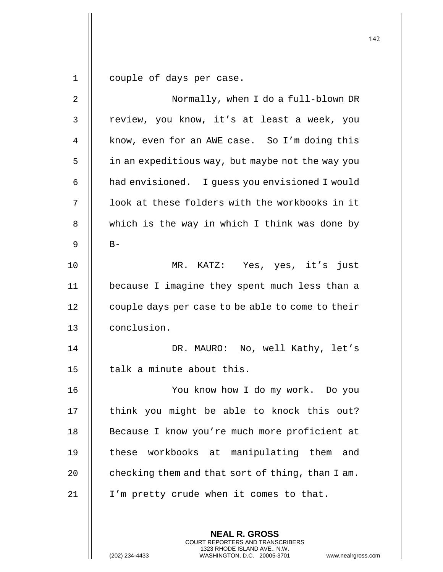1 couple of days per case.

| 2              | Normally, when I do a full-blown DR                      |
|----------------|----------------------------------------------------------|
| 3              | review, you know, it's at least a week, you              |
| $\overline{4}$ | know, even for an AWE case. So I'm doing this            |
| 5              | in an expeditious way, but maybe not the way you         |
| 6              | had envisioned. I guess you envisioned I would           |
| 7              | look at these folders with the workbooks in it           |
| 8              | which is the way in which I think was done by            |
| $\mathsf 9$    | $B -$                                                    |
| 10             | MR. KATZ: Yes, yes, it's just                            |
| 11             | because I imagine they spent much less than a            |
| 12             | couple days per case to be able to come to their         |
| 13             | conclusion.                                              |
| 14             | DR. MAURO: No, well Kathy, let's                         |
| 15             | talk a minute about this.                                |
| 16             | You know how I do my work. Do you                        |
| 17             | think you might be able to knock this out?               |
| 18             | Because I know you're much more proficient at            |
| 19             | these workbooks at manipulating them<br>and              |
| 20             | checking them and that sort of thing, than I am.         |
| 21             | I'm pretty crude when it comes to that.                  |
|                |                                                          |
|                | <b>NEAL R. GROSS</b><br>COURT REPORTERS AND TRANSCRIBERS |

1323 RHODE ISLAND AVE., N.W.

 $\mathsf{||}$ 

<sup>(202) 234-4433</sup> WASHINGTON, D.C. 20005-3701 www.nealrgross.com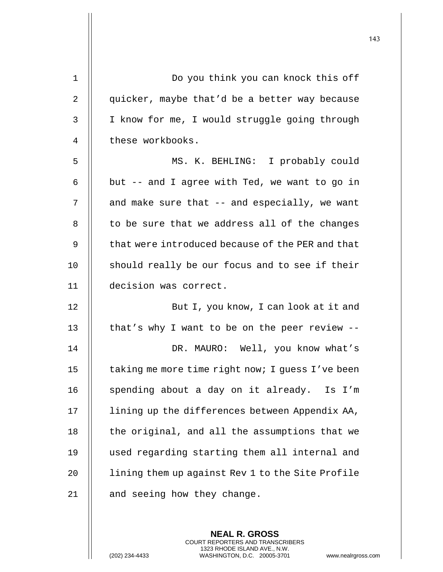| $\mathbf 1$    | Do you think you can knock this off              |
|----------------|--------------------------------------------------|
| $\overline{2}$ | quicker, maybe that'd be a better way because    |
| 3              | I know for me, I would struggle going through    |
| 4              | these workbooks.                                 |
| 5              | MS. K. BEHLING: I probably could                 |
| 6              | but -- and I agree with Ted, we want to go in    |
| 7              | and make sure that -- and especially, we want    |
| 8              | to be sure that we address all of the changes    |
| 9              | that were introduced because of the PER and that |
| 10             | should really be our focus and to see if their   |
| 11             | decision was correct.                            |
| 12             | But I, you know, I can look at it and            |
| 13             | that's why I want to be on the peer review $-$ - |
| 14             | DR. MAURO: Well, you know what's                 |
| 15             | taking me more time right now; I guess I've been |
| 16             | spending about a day on it already. Is I'm       |
| 17             | lining up the differences between Appendix AA,   |
| 18             | the original, and all the assumptions that we    |
| 19             | used regarding starting them all internal and    |
| 20             | lining them up against Rev 1 to the Site Profile |
| 21             | and seeing how they change.                      |

**NEAL R. GROSS** COURT REPORTERS AND TRANSCRIBERS 1323 RHODE ISLAND AVE., N.W.

(202) 234-4433 WASHINGTON, D.C. 20005-3701 www.nealrgross.com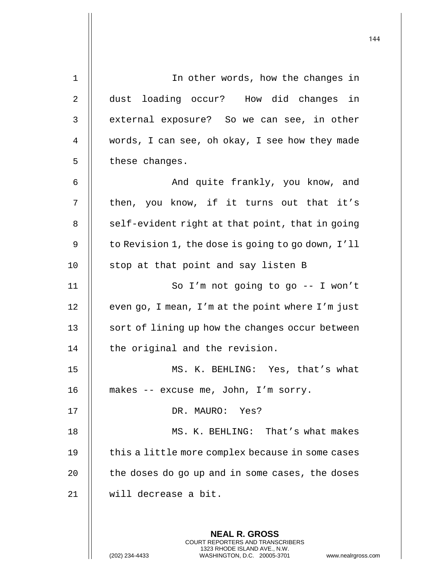| 1  | In other words, how the changes in                                                                                                                                     |
|----|------------------------------------------------------------------------------------------------------------------------------------------------------------------------|
| 2  | dust loading occur? How did changes in                                                                                                                                 |
| 3  | external exposure? So we can see, in other                                                                                                                             |
| 4  | words, I can see, oh okay, I see how they made                                                                                                                         |
| 5  | these changes.                                                                                                                                                         |
| 6  | And quite frankly, you know, and                                                                                                                                       |
| 7  | then, you know, if it turns out that it's                                                                                                                              |
| 8  | self-evident right at that point, that in going                                                                                                                        |
| 9  | to Revision 1, the dose is going to go down, I'll                                                                                                                      |
| 10 | stop at that point and say listen B                                                                                                                                    |
| 11 | So I'm not going to go -- I won't                                                                                                                                      |
| 12 | even go, I mean, I'm at the point where I'm just                                                                                                                       |
| 13 | sort of lining up how the changes occur between                                                                                                                        |
| 14 | the original and the revision.                                                                                                                                         |
| 15 | MS. K. BEHLING: Yes, that's what                                                                                                                                       |
| 16 | makes -- excuse me, John, I'm sorry.                                                                                                                                   |
| 17 | DR. MAURO: Yes?                                                                                                                                                        |
| 18 | MS. K. BEHLING: That's what makes                                                                                                                                      |
| 19 | this a little more complex because in some cases                                                                                                                       |
| 20 | the doses do go up and in some cases, the doses                                                                                                                        |
| 21 | will decrease a bit.                                                                                                                                                   |
|    |                                                                                                                                                                        |
|    | <b>NEAL R. GROSS</b><br><b>COURT REPORTERS AND TRANSCRIBERS</b><br>1323 RHODE ISLAND AVE., N.W.<br>WASHINGTON, D.C. 20005-3701<br>(202) 234-4433<br>www.nealrgross.com |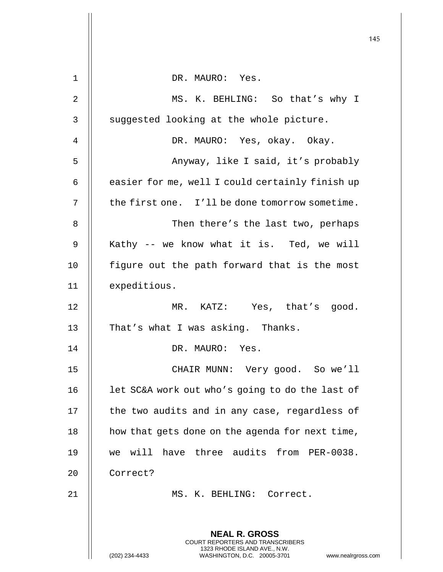|    |                                                                                                                                                                        | 145 |
|----|------------------------------------------------------------------------------------------------------------------------------------------------------------------------|-----|
| 1  | DR. MAURO: Yes.                                                                                                                                                        |     |
| 2  | MS. K. BEHLING: So that's why I                                                                                                                                        |     |
| 3  | suggested looking at the whole picture.                                                                                                                                |     |
|    |                                                                                                                                                                        |     |
| 4  | DR. MAURO: Yes, okay. Okay.                                                                                                                                            |     |
| 5  | Anyway, like I said, it's probably                                                                                                                                     |     |
| 6  | easier for me, well I could certainly finish up                                                                                                                        |     |
| 7  | the first one. I'll be done tomorrow sometime.                                                                                                                         |     |
| 8  | Then there's the last two, perhaps                                                                                                                                     |     |
| 9  | Kathy -- we know what it is. Ted, we will                                                                                                                              |     |
| 10 | figure out the path forward that is the most                                                                                                                           |     |
| 11 | expeditious.                                                                                                                                                           |     |
| 12 | MR. KATZ: Yes, that's good.                                                                                                                                            |     |
| 13 | That's what I was asking. Thanks.                                                                                                                                      |     |
| 14 | DR. MAURO: Yes.                                                                                                                                                        |     |
| 15 | CHAIR MUNN: Very good. So we'll                                                                                                                                        |     |
| 16 | let SC&A work out who's going to do the last of                                                                                                                        |     |
| 17 | the two audits and in any case, regardless of                                                                                                                          |     |
| 18 | how that gets done on the agenda for next time,                                                                                                                        |     |
| 19 | we will have three audits from PER-0038.                                                                                                                               |     |
| 20 | Correct?                                                                                                                                                               |     |
| 21 | MS. K. BEHLING: Correct.                                                                                                                                               |     |
|    |                                                                                                                                                                        |     |
|    | <b>NEAL R. GROSS</b><br><b>COURT REPORTERS AND TRANSCRIBERS</b><br>1323 RHODE ISLAND AVE., N.W.<br>(202) 234-4433<br>WASHINGTON, D.C. 20005-3701<br>www.nealrgross.com |     |

 $\mathop{\textstyle\prod}$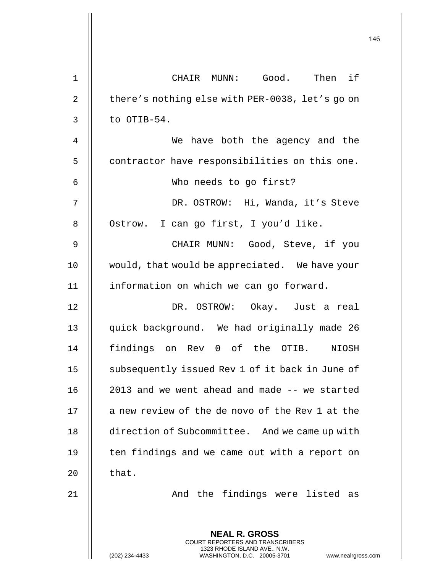| $\mathbf 1$    | CHAIR MUNN: Good. Then if                                                                                                                                         |
|----------------|-------------------------------------------------------------------------------------------------------------------------------------------------------------------|
| $\overline{2}$ | there's nothing else with PER-0038, let's go on                                                                                                                   |
| $\mathsf{3}$   | to OTIB-54.                                                                                                                                                       |
| $\overline{4}$ | We have both the agency and the                                                                                                                                   |
| 5              | contractor have responsibilities on this one.                                                                                                                     |
| 6              | Who needs to go first?                                                                                                                                            |
| 7              | DR. OSTROW: Hi, Wanda, it's Steve                                                                                                                                 |
| 8              | Ostrow. I can go first, I you'd like.                                                                                                                             |
| 9              | CHAIR MUNN: Good, Steve, if you                                                                                                                                   |
| 10             | would, that would be appreciated. We have your                                                                                                                    |
| 11             | information on which we can go forward.                                                                                                                           |
| 12             | DR. OSTROW: Okay. Just a real                                                                                                                                     |
| 13             | quick background. We had originally made 26                                                                                                                       |
| 14             | findings on Rev 0 of the OTIB.<br>NIOSH                                                                                                                           |
| 15             | subsequently issued Rev 1 of it back in June of                                                                                                                   |
| 16             | 2013 and we went ahead and made -- we started                                                                                                                     |
| 17             | a new review of the de novo of the Rev 1 at the                                                                                                                   |
| 18             | direction of Subcommittee. And we came up with                                                                                                                    |
| 19             | ten findings and we came out with a report on                                                                                                                     |
| 20             | that.                                                                                                                                                             |
| 21             | And the findings were listed as                                                                                                                                   |
|                | <b>NEAL R. GROSS</b><br><b>COURT REPORTERS AND TRANSCRIBERS</b><br>1323 RHODE ISLAND AVE., N.W.<br>(202) 234-4433<br>WASHINGTON, D.C. 20005-3701<br>www.nealrgros |

 $\mathsf{l}\mathsf{l}$ 

(202) 234-4433 WASHINGTON, D.C. 20005-3701 www.nealrgross.com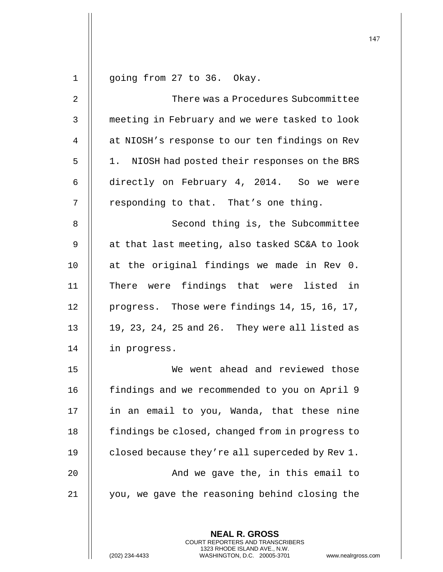| 1            | going from 27 to 36. Okay.                               |
|--------------|----------------------------------------------------------|
| 2            | There was a Procedures Subcommittee                      |
| $\mathsf{3}$ | meeting in February and we were tasked to look           |
| 4            | at NIOSH's response to our ten findings on Rev           |
| 5            | 1. NIOSH had posted their responses on the BRS           |
| 6            | directly on February 4, 2014. So we were                 |
| 7            | responding to that. That's one thing.                    |
| 8            | Second thing is, the Subcommittee                        |
| 9            | at that last meeting, also tasked SC&A to look           |
| 10           | at the original findings we made in Rev 0.               |
| 11           | There were findings that were listed in                  |
| 12           | progress. Those were findings 14, 15, 16, 17,            |
| 13           | 19, 23, 24, 25 and 26. They were all listed as           |
| 14           | in progress.                                             |
| 15           | We went ahead and reviewed those                         |
| 16           | findings and we recommended to you on April 9            |
| 17           | in an email to you, Wanda, that these nine               |
| 18           | findings be closed, changed from in progress to          |
| 19           | closed because they're all superceded by Rev 1.          |
| 20           | And we gave the, in this email to                        |
| 21           | you, we gave the reasoning behind closing the            |
|              |                                                          |
|              | <b>NEAL R. GROSS</b><br>COURT REPORTERS AND TRANSCRIBERS |

1323 RHODE ISLAND AVE., N.W.

 $\prod$ 

(202) 234-4433 WASHINGTON, D.C. 20005-3701 www.nealrgross.com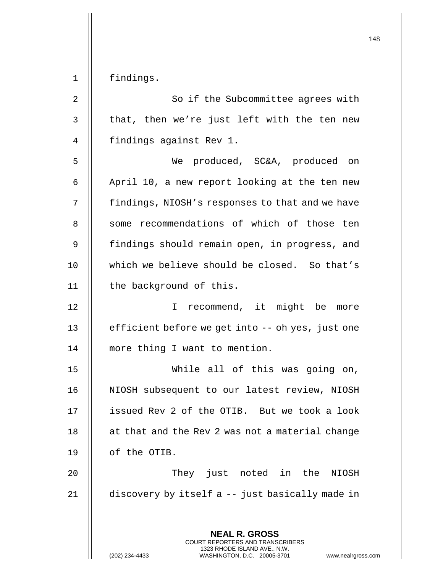1 | findings.

| 2  | So if the Subcommittee agrees with                       |
|----|----------------------------------------------------------|
| 3  | that, then we're just left with the ten new              |
| 4  | findings against Rev 1.                                  |
| 5  | We produced, SC&A, produced on                           |
| 6  | April 10, a new report looking at the ten new            |
| 7  | findings, NIOSH's responses to that and we have          |
| 8  | some recommendations of which of those ten               |
| 9  | findings should remain open, in progress, and            |
| 10 | which we believe should be closed. So that's             |
| 11 | the background of this.                                  |
| 12 | I recommend, it might be more                            |
| 13 | efficient before we get into -- oh yes, just one         |
| 14 | more thing I want to mention.                            |
| 15 | While all of this was going on,                          |
| 16 | NIOSH subsequent to our latest review, NIOSH             |
| 17 | issued Rev 2 of the OTIB. But we took a look             |
| 18 | at that and the Rev 2 was not a material change          |
| 19 | of the OTIB.                                             |
| 20 | They just noted in the<br>NIOSH                          |
| 21 | discovery by itself a -- just basically made in          |
|    | <b>NEAL R. GROSS</b><br>COURT REPORTERS AND TRANSCRIBERS |

1323 RHODE ISLAND AVE., N.W.

 $\prod$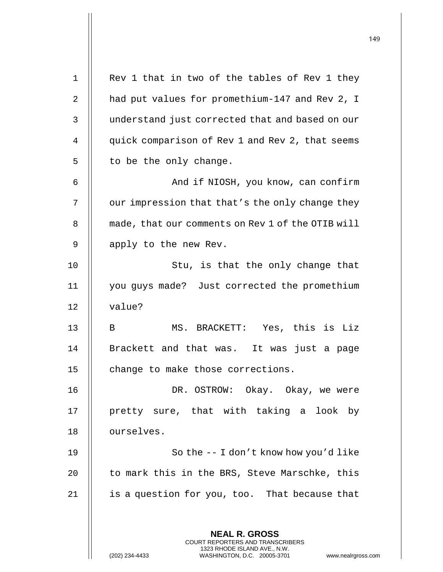**NEAL R. GROSS** COURT REPORTERS AND TRANSCRIBERS 1323 RHODE ISLAND AVE., N.W. (202) 234-4433 WASHINGTON, D.C. 20005-3701 www.nealrgross.com 1 || Rev 1 that in two of the tables of Rev 1 they 2 | had put values for promethium-147 and Rev 2, I 3 || understand just corrected that and based on our 4 | quick comparison of Rev 1 and Rev 2, that seems  $5 \parallel$  to be the only change. 6 || And if NIOSH, you know, can confirm  $7$  | our impression that that's the only change they 8 | made, that our comments on Rev 1 of the OTIB will 9 || apply to the new Rev. 10 || Stu, is that the only change that 11 you guys made? Just corrected the promethium 12 || value? 13 || B MS. BRACKETT: Yes, this is Liz 14 || Brackett and that was. It was just a page 15 | change to make those corrections. 16 DR. OSTROW: Okay. Okay, we were 17 || pretty sure, that with taking a look by 18 || ourselves. 19 || So the -- I don't know how you'd like 20  $\parallel$  to mark this in the BRS, Steve Marschke, this 21  $\parallel$  is a question for you, too. That because that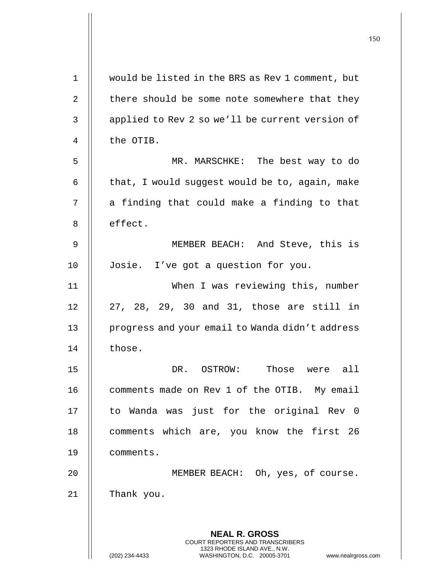| 1  | would be listed in the BRS as Rev 1 comment, but                                                    |
|----|-----------------------------------------------------------------------------------------------------|
| 2  | there should be some note somewhere that they                                                       |
| 3  | applied to Rev 2 so we'll be current version of                                                     |
| 4  | the OTIB.                                                                                           |
| 5  | MR. MARSCHKE: The best way to do                                                                    |
| 6  | that, I would suggest would be to, again, make                                                      |
| 7  | a finding that could make a finding to that                                                         |
| 8  | effect.                                                                                             |
| 9  | MEMBER BEACH: And Steve, this is                                                                    |
| 10 | Josie. I've got a question for you.                                                                 |
| 11 | When I was reviewing this, number                                                                   |
| 12 | 27, 28, 29, 30 and 31, those are still in                                                           |
| 13 | progress and your email to Wanda didn't address                                                     |
| 14 | those.                                                                                              |
| 15 | Those were all<br>OSTROW:<br>DR.                                                                    |
| 16 | comments made on Rev 1 of the OTIB. My email                                                        |
| 17 | to Wanda was just for the original Rev 0                                                            |
| 18 | comments which are, you know the first 26                                                           |
| 19 | comments.                                                                                           |
| 20 | MEMBER BEACH: Oh, yes, of course.                                                                   |
| 21 | Thank you.                                                                                          |
|    |                                                                                                     |
|    | <b>NEAL R. GROSS</b><br><b>COURT REPORTERS AND TRANSCRIBERS</b>                                     |
|    | 1323 RHODE ISLAND AVE., N.W.<br>(202) 234-4433<br>WASHINGTON, D.C. 20005-3701<br>www.nealrgross.com |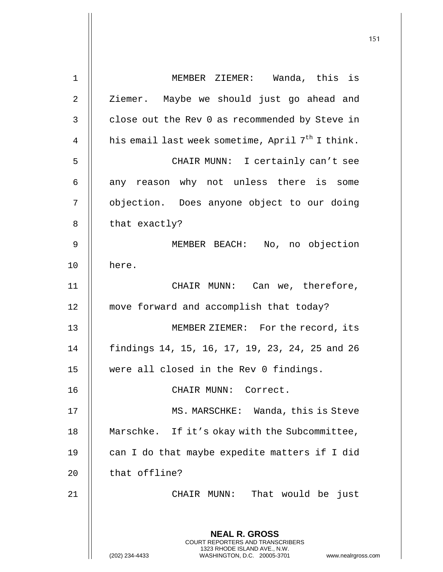| $\mathbf 1$ | MEMBER ZIEMER: Wanda, this is                                                                                                                                   |
|-------------|-----------------------------------------------------------------------------------------------------------------------------------------------------------------|
| 2           | Ziemer. Maybe we should just go ahead and                                                                                                                       |
| 3           | close out the Rev 0 as recommended by Steve in                                                                                                                  |
| 4           | his email last week sometime, April 7 <sup>th</sup> I think.                                                                                                    |
| 5           | CHAIR MUNN: I certainly can't see                                                                                                                               |
| 6           | any reason why not unless there is some                                                                                                                         |
| 7           | objection. Does anyone object to our doing                                                                                                                      |
| 8           | that exactly?                                                                                                                                                   |
| 9           | MEMBER BEACH: No, no objection                                                                                                                                  |
| 10          | here.                                                                                                                                                           |
| 11          | CHAIR MUNN: Can we, therefore,                                                                                                                                  |
| 12          | move forward and accomplish that today?                                                                                                                         |
| 13          | MEMBER ZIEMER: For the record, its                                                                                                                              |
| 14          | findings 14, 15, 16, 17, 19, 23, 24, 25 and 26                                                                                                                  |
| 15          | were all closed in the Rev 0 findings.                                                                                                                          |
| 16          | CHAIR MUNN:<br>Correct.                                                                                                                                         |
| 17          | MS. MARSCHKE: Wanda, this is Steve                                                                                                                              |
| 18          | Marschke. If it's okay with the Subcommittee,                                                                                                                   |
| 19          | can I do that maybe expedite matters if I did                                                                                                                   |
| 20          | that offline?                                                                                                                                                   |
| 21          | That would be just<br>CHAIR MUNN:                                                                                                                               |
|             | <b>NEAL R. GROSS</b><br>COURT REPORTERS AND TRANSCRIBERS<br>1323 RHODE ISLAND AVE., N.W.<br>(202) 234-4433<br>WASHINGTON, D.C. 20005-3701<br>www.nealrgross.com |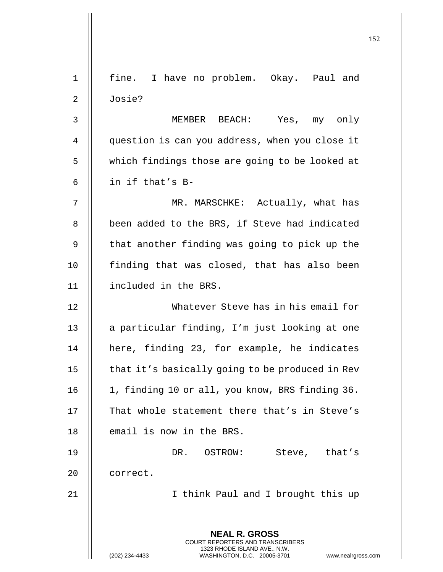|             |                                                                                                 | 152 |
|-------------|-------------------------------------------------------------------------------------------------|-----|
|             |                                                                                                 |     |
| $\mathbf 1$ | fine. I have no problem. Okay. Paul and                                                         |     |
| 2           | Josie?                                                                                          |     |
| 3           | Yes, my only<br>MEMBER BEACH:                                                                   |     |
| 4           | question is can you address, when you close it                                                  |     |
| 5           | which findings those are going to be looked at                                                  |     |
| 6           | in if that's B-                                                                                 |     |
| 7           | MR. MARSCHKE: Actually, what has                                                                |     |
| 8           | been added to the BRS, if Steve had indicated                                                   |     |
| 9           | that another finding was going to pick up the                                                   |     |
| 10          | finding that was closed, that has also been                                                     |     |
| 11          | included in the BRS.                                                                            |     |
| 12          | Whatever Steve has in his email for                                                             |     |
| 13          | a particular finding, I'm just looking at one                                                   |     |
| 14          | here, finding 23, for example, he indicates                                                     |     |
| 15          | that it's basically going to be produced in Rev                                                 |     |
| 16          | 1, finding 10 or all, you know, BRS finding 36.                                                 |     |
| 17          | That whole statement there that's in Steve's                                                    |     |
| 18          | email is now in the BRS.                                                                        |     |
| 19          | DR. OSTROW:<br>Steve, that's                                                                    |     |
| 20          | correct.                                                                                        |     |
| 21          | I think Paul and I brought this up                                                              |     |
|             | <b>NEAL R. GROSS</b><br><b>COURT REPORTERS AND TRANSCRIBERS</b><br>1323 RHODE ISLAND AVE., N.W. |     |
|             | WASHINGTON, D.C. 20005-3701<br>(202) 234-4433<br>www.nealrgross.com                             |     |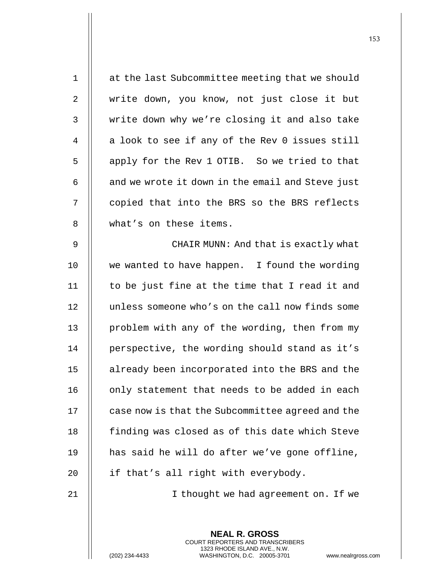| $1\,$          | at the last Subcommittee meeting that we should  |
|----------------|--------------------------------------------------|
| $\overline{2}$ | write down, you know, not just close it but      |
| 3              | write down why we're closing it and also take    |
| 4              | a look to see if any of the Rev 0 issues still   |
| 5              | apply for the Rev 1 OTIB. So we tried to that    |
| 6              | and we wrote it down in the email and Steve just |
| 7              | copied that into the BRS so the BRS reflects     |
| 8              | what's on these items.                           |
| 9              | CHAIR MUNN: And that is exactly what             |
| 10             | we wanted to have happen. I found the wording    |
| 11             | to be just fine at the time that I read it and   |
| 12             | unless someone who's on the call now finds some  |
| 13             | problem with any of the wording, then from my    |
| 14             | perspective, the wording should stand as it's    |
| 15             | already been incorporated into the BRS and the   |
| 16             | only statement that needs to be added in each    |
| 17             | case now is that the Subcommittee agreed and the |
| 18             | finding was closed as of this date which Steve   |
| 19             | has said he will do after we've gone offline,    |
| 20             | if that's all right with everybody.              |
|                |                                                  |

21 || I thought we had agreement on. If we

**NEAL R. GROSS** COURT REPORTERS AND TRANSCRIBERS 1323 RHODE ISLAND AVE., N.W. (202) 234-4433 WASHINGTON, D.C. 20005-3701 www.nealrgross.com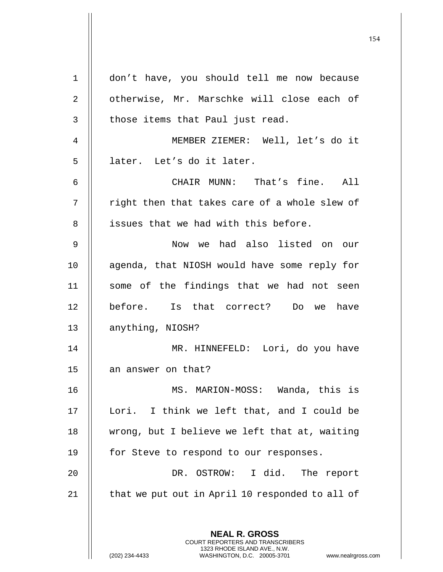|                |                                                                                                 | 154 |
|----------------|-------------------------------------------------------------------------------------------------|-----|
| $\mathbf 1$    | don't have, you should tell me now because                                                      |     |
| $\overline{2}$ | otherwise, Mr. Marschke will close each of                                                      |     |
| 3              | those items that Paul just read.                                                                |     |
|                |                                                                                                 |     |
| 4              | MEMBER ZIEMER: Well, let's do it                                                                |     |
| 5              | later. Let's do it later.                                                                       |     |
| 6              | CHAIR MUNN: That's fine. All                                                                    |     |
| 7              | right then that takes care of a whole slew of                                                   |     |
| 8              | issues that we had with this before.                                                            |     |
| 9              | Now we had also listed on our                                                                   |     |
| 10             | agenda, that NIOSH would have some reply for                                                    |     |
| 11             | some of the findings that we had not seen                                                       |     |
| 12             | before. Is that correct? Do we have                                                             |     |
| 13             | anything, NIOSH?                                                                                |     |
| 14             | MR. HINNEFELD: Lori, do you have                                                                |     |
| 15             | an answer on that?                                                                              |     |
| 16             | MS. MARION-MOSS: Wanda, this is                                                                 |     |
| 17             | Lori. I think we left that, and I could be                                                      |     |
| 18             | wrong, but I believe we left that at, waiting                                                   |     |
| 19             | for Steve to respond to our responses.                                                          |     |
| 20             | DR. OSTROW: I did. The report                                                                   |     |
| 21             | that we put out in April 10 responded to all of                                                 |     |
|                | <b>NEAL R. GROSS</b><br><b>COURT REPORTERS AND TRANSCRIBERS</b><br>1323 RHODE ISLAND AVE., N.W. |     |
|                | (202) 234-4433<br>WASHINGTON, D.C. 20005-3701<br>www.nealrgross.com                             |     |

 $\mathop{||}$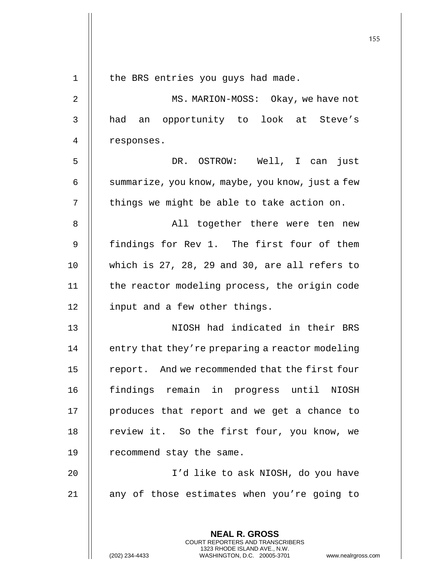|                |                                                                                                                                                | 155 |
|----------------|------------------------------------------------------------------------------------------------------------------------------------------------|-----|
| $\mathbf 1$    | the BRS entries you guys had made.                                                                                                             |     |
| $\overline{2}$ | MS. MARION-MOSS: Okay, we have not                                                                                                             |     |
|                |                                                                                                                                                |     |
| 3              | had an opportunity to look at Steve's                                                                                                          |     |
| 4              | responses.                                                                                                                                     |     |
| 5              | DR. OSTROW: Well, I can just                                                                                                                   |     |
| 6              | summarize, you know, maybe, you know, just a few                                                                                               |     |
| 7              | things we might be able to take action on.                                                                                                     |     |
| 8              | All together there were ten new                                                                                                                |     |
| 9              | findings for Rev 1. The first four of them                                                                                                     |     |
| 10             | which is 27, 28, 29 and 30, are all refers to                                                                                                  |     |
| 11             | the reactor modeling process, the origin code                                                                                                  |     |
| 12             | input and a few other things.                                                                                                                  |     |
| 13             | NIOSH had indicated in their BRS                                                                                                               |     |
| 14             | entry that they're preparing a reactor modeling                                                                                                |     |
| 15             | report. And we recommended that the first four                                                                                                 |     |
| 16             | findings remain in progress until NIOSH                                                                                                        |     |
| 17             | produces that report and we get a chance to                                                                                                    |     |
| 18             | review it. So the first four, you know, we                                                                                                     |     |
| 19             | recommend stay the same.                                                                                                                       |     |
| 20             | I'd like to ask NIOSH, do you have                                                                                                             |     |
| 21             | any of those estimates when you're going to                                                                                                    |     |
|                | <b>NEAL R. GROSS</b>                                                                                                                           |     |
|                | <b>COURT REPORTERS AND TRANSCRIBERS</b><br>1323 RHODE ISLAND AVE., N.W.<br>(202) 234-4433<br>WASHINGTON, D.C. 20005-3701<br>www.nealrgross.com |     |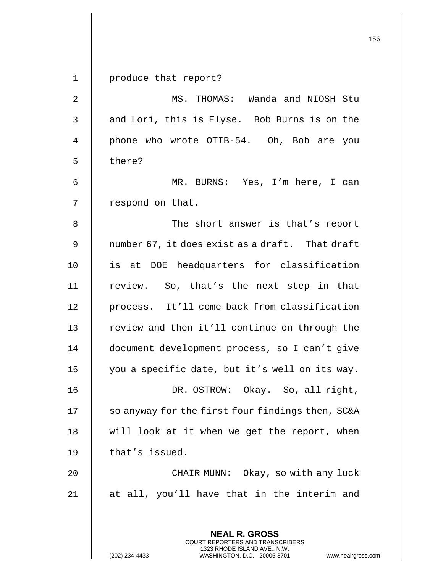**NEAL R. GROSS** 1 produce that report? 2 MS. THOMAS: Wanda and NIOSH Stu  $3$   $\parallel$  and Lori, this is Elyse. Bob Burns is on the 4 || phone who wrote OTIB-54. Oh, Bob are you 5 | there? 6 MR. BURNS: Yes, I'm here, I can 7 | respond on that. 8 The short answer is that's report 9  $\parallel$  number 67, it does exist as a draft. That draft 10 is at DOE headquarters for classification 11 || review. So, that's the next step in that 12 || process. It'll come back from classification 13 || review and then it'll continue on through the 14 document development process, so I can't give 15 you a specific date, but it's well on its way. 16 DR. OSTROW: Okay. So, all right, 17 | so anyway for the first four findings then, SC&A 18  $\parallel$  will look at it when we get the report, when  $19$  | that's issued. 20 CHAIR MUNN: Okay, so with any luck 21 || at all, you'll have that in the interim and

> COURT REPORTERS AND TRANSCRIBERS 1323 RHODE ISLAND AVE., N.W.

(202) 234-4433 WASHINGTON, D.C. 20005-3701 www.nealrgross.com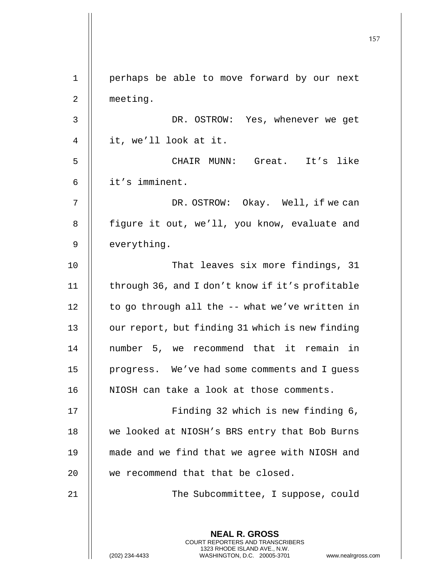**NEAL R. GROSS** COURT REPORTERS AND TRANSCRIBERS 1323 RHODE ISLAND AVE., N.W. 1 perhaps be able to move forward by our next 2 | meeting. 3 || DR. OSTROW: Yes, whenever we get 4 it, we'll look at it. 5 CHAIR MUNN: Great. It's like 6 it's imminent. 7 || DR. OSTROW: Okay. Well, if we can 8 | figure it out, we'll, you know, evaluate and  $9$  | everything. 10 || That leaves six more findings, 31 11 | through 36, and I don't know if it's profitable  $12$  | to go through all the -- what we've written in 13 | our report, but finding 31 which is new finding 14 || number 5, we recommend that it remain in 15 | progress. We've had some comments and I guess 16 || NIOSH can take a look at those comments. 17 || Finding 32 which is new finding 6, 18 || we looked at NIOSH's BRS entry that Bob Burns 19 made and we find that we agree with NIOSH and 20 || we recommend that that be closed. 21 || The Subcommittee, I suppose, could

(202) 234-4433 WASHINGTON, D.C. 20005-3701 www.nealrgross.com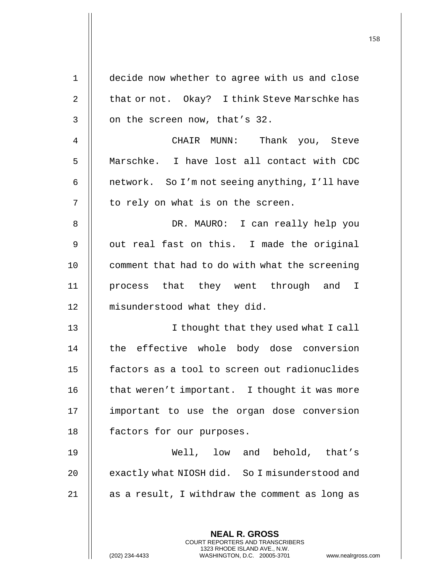| $\mathbf 1$ | decide now whether to agree with us and close                                                   |
|-------------|-------------------------------------------------------------------------------------------------|
| 2           | that or not. Okay? I think Steve Marschke has                                                   |
| 3           | on the screen now, that's 32.                                                                   |
| 4           | CHAIR MUNN: Thank you, Steve                                                                    |
| 5           | Marschke. I have lost all contact with CDC                                                      |
| 6           | network. So I'm not seeing anything, I'll have                                                  |
| 7           | to rely on what is on the screen.                                                               |
| 8           | DR. MAURO: I can really help you                                                                |
| 9           | out real fast on this. I made the original                                                      |
| 10          | comment that had to do with what the screening                                                  |
| 11          | process that they went through and I                                                            |
| 12          | misunderstood what they did.                                                                    |
| 13          | I thought that they used what I call                                                            |
| 14          | the effective whole body dose conversion                                                        |
| 15          | factors as a tool to screen out radionuclides                                                   |
| 16          | that weren't important. I thought it was more                                                   |
| 17          | important to use the organ dose conversion                                                      |
| 18          | factors for our purposes.                                                                       |
| 19          | Well, low and behold, that's                                                                    |
| 20          | exactly what NIOSH did. So I misunderstood and                                                  |
| 21          | as a result, I withdraw the comment as long as                                                  |
|             |                                                                                                 |
|             | <b>NEAL R. GROSS</b><br><b>COURT REPORTERS AND TRANSCRIBERS</b>                                 |
|             | 1323 RHODE ISLAND AVE., N.W.<br>WASHINGTON, D.C. 20005-3701<br>(202) 234-4433<br>www.nealrgross |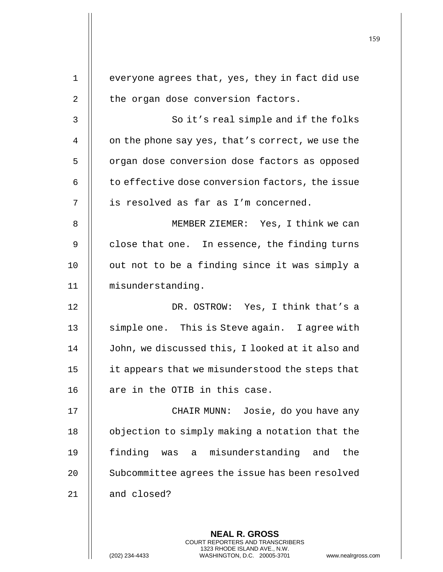|                | <b>NEAL R. GROSS</b>                                  |
|----------------|-------------------------------------------------------|
| 21             | and closed?                                           |
| 20             | Subcommittee agrees the issue has been resolved       |
| 19             | finding<br>misunderstanding<br>and<br>the<br>was<br>a |
| 18             | objection to simply making a notation that the        |
| 17             | CHAIR MUNN: Josie, do you have any                    |
| 16             | are in the OTIB in this case.                         |
| 15             | it appears that we misunderstood the steps that       |
| 14             | John, we discussed this, I looked at it also and      |
| 13             | simple one. This is Steve again. I agree with         |
| 12             | DR. OSTROW: Yes, I think that's a                     |
| 11             | misunderstanding.                                     |
| 10             | out not to be a finding since it was simply a         |
| 9              | close that one. In essence, the finding turns         |
| 8              | MEMBER ZIEMER: Yes, I think we can                    |
| 7              | is resolved as far as I'm concerned.                  |
| 6              | to effective dose conversion factors, the issue       |
| 5              | organ dose conversion dose factors as opposed         |
| 4              | on the phone say yes, that's correct, we use the      |
| 3              | So it's real simple and if the folks                  |
| $\overline{2}$ | the organ dose conversion factors.                    |
| $\mathbf{1}$   | everyone agrees that, yes, they in fact did use       |
|                |                                                       |

COURT REPORTERS AND TRANSCRIBERS 1323 RHODE ISLAND AVE., N.W.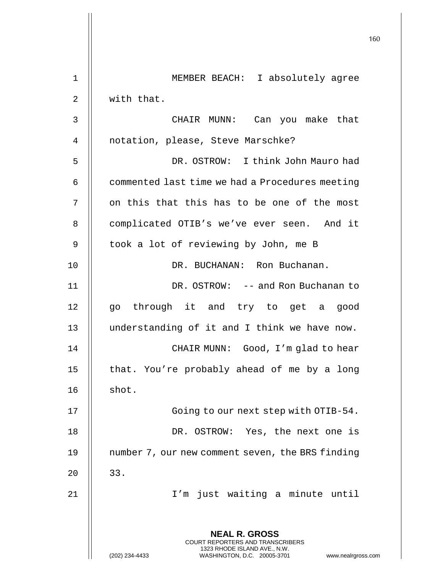|    |                                                                                                                                                                 | 160 |
|----|-----------------------------------------------------------------------------------------------------------------------------------------------------------------|-----|
| 1  | MEMBER BEACH: I absolutely agree                                                                                                                                |     |
| 2  | with that.                                                                                                                                                      |     |
| 3  | CHAIR MUNN: Can you make that                                                                                                                                   |     |
| 4  | notation, please, Steve Marschke?                                                                                                                               |     |
| 5  | DR. OSTROW: I think John Mauro had                                                                                                                              |     |
| 6  | commented last time we had a Procedures meeting                                                                                                                 |     |
| 7  | on this that this has to be one of the most                                                                                                                     |     |
| 8  | complicated OTIB's we've ever seen. And it                                                                                                                      |     |
| 9  | took a lot of reviewing by John, me B                                                                                                                           |     |
| 10 | DR. BUCHANAN: Ron Buchanan.                                                                                                                                     |     |
| 11 | DR. OSTROW: -- and Ron Buchanan to                                                                                                                              |     |
| 12 | go through it and try to get a good                                                                                                                             |     |
| 13 | understanding of it and I think we have now.                                                                                                                    |     |
| 14 | CHAIR MUNN: Good, I'm glad to hear                                                                                                                              |     |
| 15 | that. You're probably ahead of me by a long                                                                                                                     |     |
| 16 | shot.                                                                                                                                                           |     |
| 17 | Going to our next step with OTIB-54.                                                                                                                            |     |
| 18 | DR. OSTROW: Yes, the next one is                                                                                                                                |     |
| 19 | number 7, our new comment seven, the BRS finding                                                                                                                |     |
| 20 | 33.                                                                                                                                                             |     |
| 21 | I'm just waiting a minute until                                                                                                                                 |     |
|    | <b>NEAL R. GROSS</b><br>COURT REPORTERS AND TRANSCRIBERS<br>1323 RHODE ISLAND AVE., N.W.<br>(202) 234-4433<br>WASHINGTON, D.C. 20005-3701<br>www.nealrgross.com |     |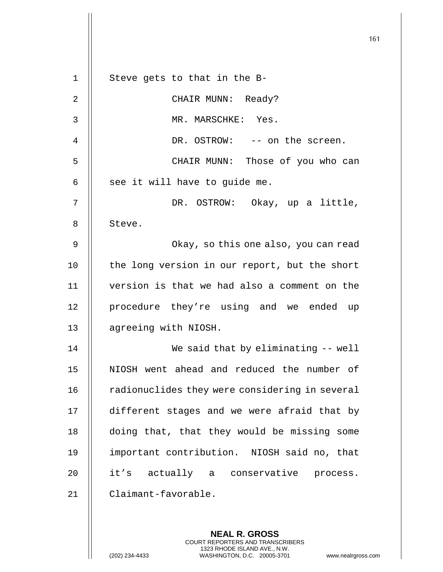161 **NEAL R. GROSS** 1 || Steve gets to that in the B-2 || CHAIR MUNN: Ready? 3 MR. MARSCHKE: Yes. 4 DR. OSTROW: -- on the screen. 5 CHAIR MUNN: Those of you who can  $6 \parallel$  see it will have to guide me. 7 DR. OSTROW: Okay, up a little, 8 | Steve. 9 Okay, so this one also, you can read 10 || the long version in our report, but the short 11 version is that we had also a comment on the 12 || procedure they're using and we ended up 13 | agreeing with NIOSH. 14 We said that by eliminating -- well 15 || NIOSH went ahead and reduced the number of 16 | radionuclides they were considering in several 17 || different stages and we were afraid that by 18 || doing that, that they would be missing some 19 important contribution. NIOSH said no, that 20 || it's actually a conservative process. 21 Claimant-favorable.

> COURT REPORTERS AND TRANSCRIBERS 1323 RHODE ISLAND AVE., N.W.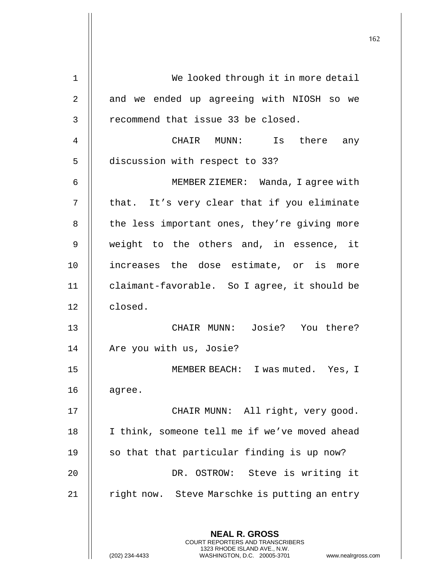| $\mathbf 1$ | We looked through it in more detail                                                                 |
|-------------|-----------------------------------------------------------------------------------------------------|
| 2           | and we ended up agreeing with NIOSH so we                                                           |
| 3           | recommend that issue 33 be closed.                                                                  |
| 4           | CHAIR MUNN: Is there any                                                                            |
| 5           | discussion with respect to 33?                                                                      |
| 6           | MEMBER ZIEMER: Wanda, I agree with                                                                  |
| 7           | that. It's very clear that if you eliminate                                                         |
| 8           | the less important ones, they're giving more                                                        |
| 9           | weight to the others and, in essence, it                                                            |
| 10          | increases the dose estimate, or is more                                                             |
| 11          | claimant-favorable. So I agree, it should be                                                        |
| 12          | closed.                                                                                             |
| 13          | CHAIR MUNN: Josie? You there?                                                                       |
| 14          | Are you with us, Josie?                                                                             |
| 15          | MEMBER BEACH:<br>I was muted. Yes, I                                                                |
| 16          | agree.                                                                                              |
| 17          | CHAIR MUNN: All right, very good.                                                                   |
| 18          | I think, someone tell me if we've moved ahead                                                       |
| 19          | so that that particular finding is up now?                                                          |
| 20          | DR. OSTROW: Steve is writing it                                                                     |
| 21          | right now. Steve Marschke is putting an entry                                                       |
|             |                                                                                                     |
|             | <b>NEAL R. GROSS</b><br>COURT REPORTERS AND TRANSCRIBERS                                            |
|             | 1323 RHODE ISLAND AVE., N.W.<br>(202) 234-4433<br>WASHINGTON, D.C. 20005-3701<br>www.nealrgross.com |

 $\mathsf{I}$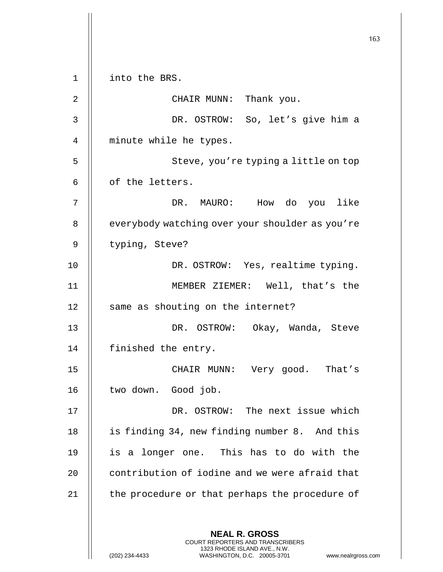**NEAL R. GROSS** COURT REPORTERS AND TRANSCRIBERS 1323 RHODE ISLAND AVE., N.W. (202) 234-4433 WASHINGTON, D.C. 20005-3701 www.nealrgross.com 1 into the BRS. 2 || CHAIR MUNN: Thank you. 3 DR. OSTROW: So, let's give him a 4 || minute while he types. 5 || Steve, you're typing a little on top  $6$  | of the letters. 7 DR. MAURO: How do you like 8 | everybody watching over your shoulder as you're 9 | typing, Steve? 10 || DR. OSTROW: Yes, realtime typing. 11 MEMBER ZIEMER: Well, that's the 12 || same as shouting on the internet? 13 DR. OSTROW: Okay, Wanda, Steve 14 | finished the entry. 15 || CHAIR MUNN: Very good. That's 16 || two down. Good job. 17 DR. OSTROW: The next issue which 18 || is finding 34, new finding number 8. And this 19 || is a longer one. This has to do with the 20 | contribution of iodine and we were afraid that 21 | the procedure or that perhaps the procedure of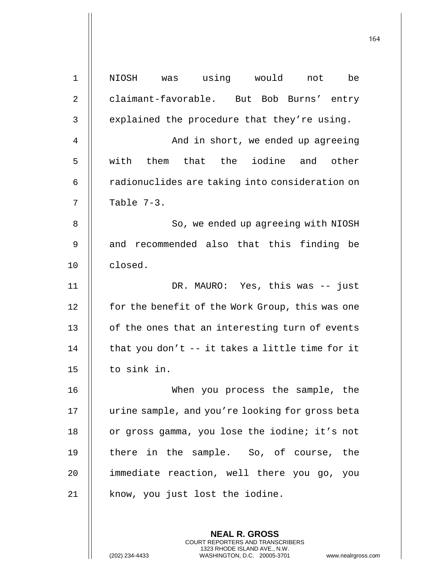| $\mathbf{1}$ | NIOSH was using would<br>be<br>not               |
|--------------|--------------------------------------------------|
| 2            | claimant-favorable. But Bob Burns' entry         |
| 3            | explained the procedure that they're using.      |
| 4            | And in short, we ended up agreeing               |
| 5            | with them that the iodine and other              |
| 6            | radionuclides are taking into consideration on   |
| 7            | Table 7-3.                                       |
| 8            | So, we ended up agreeing with NIOSH              |
| 9            | and recommended also that this finding be        |
| 10           | closed.                                          |
| 11           | DR. MAURO: Yes, this was -- just                 |
| 12           | for the benefit of the Work Group, this was one  |
| 13           | of the ones that an interesting turn of events   |
| 14           | that you don't $-$ it takes a little time for it |
| 15           | to sink in.                                      |
| 16           | When you process the sample, the                 |
| 17           | urine sample, and you're looking for gross beta  |
| 18           | or gross gamma, you lose the iodine; it's not    |
| 19           | there in the sample. So, of course, the          |
| 20           | immediate reaction, well there you go, you       |
| 21           | know, you just lost the iodine.                  |
|              |                                                  |

**NEAL R. GROSS** COURT REPORTERS AND TRANSCRIBERS 1323 RHODE ISLAND AVE., N.W.

(202) 234-4433 WASHINGTON, D.C. 20005-3701 www.nealrgross.com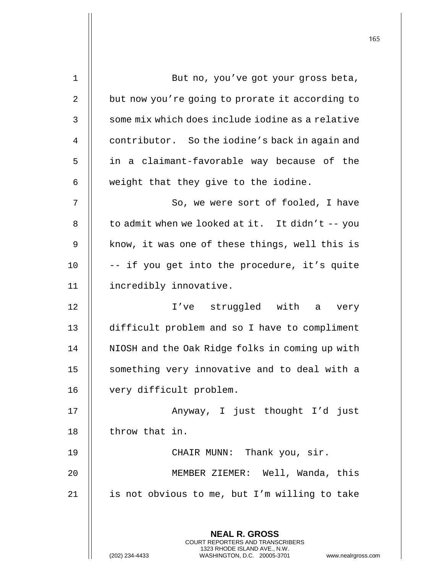| $\mathbf 1$ | But no, you've got your gross beta,                                                             |
|-------------|-------------------------------------------------------------------------------------------------|
| 2           | but now you're going to prorate it according to                                                 |
| 3           | some mix which does include iodine as a relative                                                |
| 4           | contributor. So the iodine's back in again and                                                  |
| 5           | in a claimant-favorable way because of the                                                      |
| 6           | weight that they give to the iodine.                                                            |
| 7           | So, we were sort of fooled, I have                                                              |
| 8           | to admit when we looked at it. It didn't -- you                                                 |
| 9           | know, it was one of these things, well this is                                                  |
| 10          | -- if you get into the procedure, it's quite                                                    |
| 11          | incredibly innovative.                                                                          |
| 12          | I've struggled with a very                                                                      |
| 13          | difficult problem and so I have to compliment                                                   |
| 14          | NIOSH and the Oak Ridge folks in coming up with                                                 |
| 15          | something very innovative and to deal with a                                                    |
| 16          | very difficult problem.                                                                         |
| 17          | Anyway, I just thought I'd just                                                                 |
| 18          | throw that in.                                                                                  |
| 19          | CHAIR MUNN: Thank you, sir.                                                                     |
| 20          | MEMBER ZIEMER: Well, Wanda, this                                                                |
| 21          | is not obvious to me, but I'm willing to take                                                   |
|             |                                                                                                 |
|             | <b>NEAL R. GROSS</b><br><b>COURT REPORTERS AND TRANSCRIBERS</b>                                 |
|             | 1323 RHODE ISLAND AVE., N.W.<br>(202) 234-4433<br>WASHINGTON, D.C. 20005-3701<br>www.nealrgross |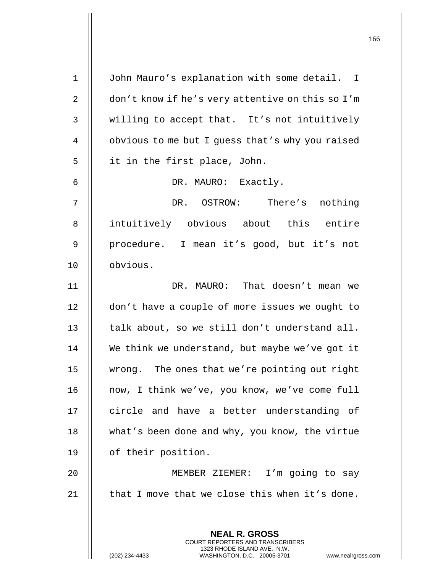**NEAL R. GROSS** COURT REPORTERS AND TRANSCRIBERS 1323 RHODE ISLAND AVE., N.W. 1 | John Mauro's explanation with some detail. I 2 | don't know if he's very attentive on this so I'm 3 || willing to accept that. It's not intuitively 4 | obvious to me but I quess that's why you raised 5 | it in the first place, John. 6 DR. MAURO: Exactly. 7 DR. OSTROW: There's nothing 8 || intuitively obvious about this entire 9 || procedure. I mean it's good, but it's not 10 obvious. 11 DR. MAURO: That doesn't mean we 12 | don't have a couple of more issues we ought to 13  $\parallel$  talk about, so we still don't understand all. 14 We think we understand, but maybe we've got it 15 | wrong. The ones that we're pointing out right 16 || now, I think we've, you know, we've come full 17 || circle and have a better understanding of 18 || what's been done and why, you know, the virtue 19 | of their position. 20 MEMBER ZIEMER: I'm going to say 21  $\parallel$  that I move that we close this when it's done.

(202) 234-4433 WASHINGTON, D.C. 20005-3701 www.nealrgross.com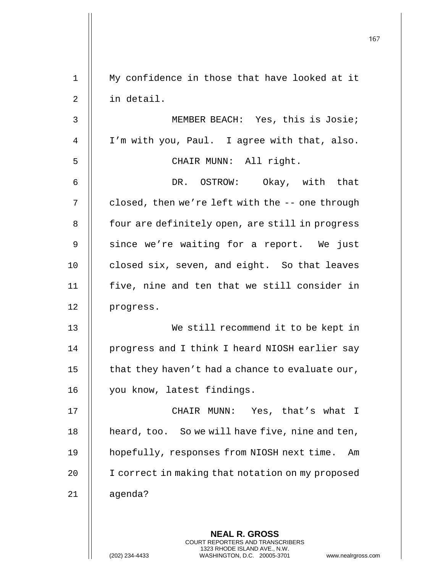|             |                                                                                                                                                                 | 167 |
|-------------|-----------------------------------------------------------------------------------------------------------------------------------------------------------------|-----|
|             |                                                                                                                                                                 |     |
| $\mathbf 1$ | My confidence in those that have looked at it                                                                                                                   |     |
| 2           | in detail.                                                                                                                                                      |     |
| 3           | MEMBER BEACH: Yes, this is Josie;                                                                                                                               |     |
| 4           | I'm with you, Paul. I agree with that, also.                                                                                                                    |     |
| 5           | CHAIR MUNN: All right.                                                                                                                                          |     |
| 6           | DR. OSTROW: Okay, with that                                                                                                                                     |     |
| 7           | closed, then we're left with the -- one through                                                                                                                 |     |
| 8           | four are definitely open, are still in progress                                                                                                                 |     |
| 9           | since we're waiting for a report. We just                                                                                                                       |     |
| 10          | closed six, seven, and eight. So that leaves                                                                                                                    |     |
| 11          | five, nine and ten that we still consider in                                                                                                                    |     |
| 12          | progress.                                                                                                                                                       |     |
| 13          | We still recommend it to be kept in                                                                                                                             |     |
| 14          | progress and I think I heard NIOSH earlier say                                                                                                                  |     |
| 15          | that they haven't had a chance to evaluate our,                                                                                                                 |     |
| 16          | you know, latest findings.                                                                                                                                      |     |
| 17          | CHAIR MUNN: Yes, that's what I                                                                                                                                  |     |
| 18          | heard, too. So we will have five, nine and ten,                                                                                                                 |     |
| 19          | hopefully, responses from NIOSH next time.<br>Am                                                                                                                |     |
| 20          | I correct in making that notation on my proposed                                                                                                                |     |
| 21          | agenda?                                                                                                                                                         |     |
|             | <b>NEAL R. GROSS</b><br>COURT REPORTERS AND TRANSCRIBERS<br>1323 RHODE ISLAND AVE., N.W.<br>(202) 234-4433<br>WASHINGTON, D.C. 20005-3701<br>www.nealrgross.com |     |

 $\mathbf{I}$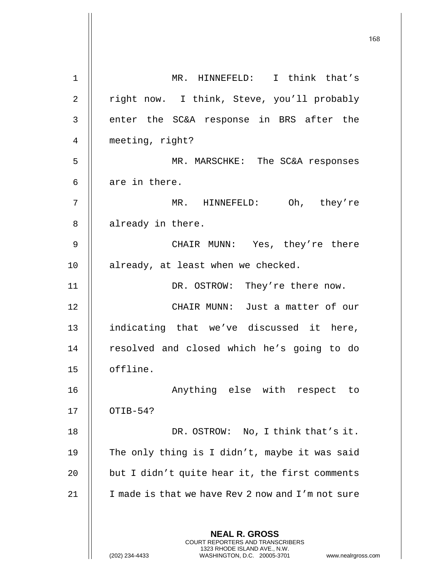| $\mathbf 1$ | MR. HINNEFELD: I think that's                                                                                                                                          |
|-------------|------------------------------------------------------------------------------------------------------------------------------------------------------------------------|
| 2           | right now. I think, Steve, you'll probably                                                                                                                             |
| 3           | enter the SC&A response in BRS after the                                                                                                                               |
| 4           | meeting, right?                                                                                                                                                        |
| 5           | MR. MARSCHKE: The SC&A responses                                                                                                                                       |
| 6           | are in there.                                                                                                                                                          |
| 7           | MR. HINNEFELD: Oh, they're                                                                                                                                             |
| 8           | already in there.                                                                                                                                                      |
| 9           | CHAIR MUNN: Yes, they're there                                                                                                                                         |
| 10          | already, at least when we checked.                                                                                                                                     |
| 11          | DR. OSTROW: They're there now.                                                                                                                                         |
| 12          | CHAIR MUNN: Just a matter of our                                                                                                                                       |
| 13          | indicating that we've discussed it here,                                                                                                                               |
| 14          | resolved and closed which he's going to do                                                                                                                             |
| 15          | offline.                                                                                                                                                               |
| 16          | Anything else with respect to                                                                                                                                          |
| 17          | OTIB-54?                                                                                                                                                               |
| 18          | DR. OSTROW: No, I think that's it.                                                                                                                                     |
| 19          | The only thing is I didn't, maybe it was said                                                                                                                          |
| 20          | but I didn't quite hear it, the first comments                                                                                                                         |
| 21          | I made is that we have Rev 2 now and I'm not sure                                                                                                                      |
|             |                                                                                                                                                                        |
|             | <b>NEAL R. GROSS</b><br><b>COURT REPORTERS AND TRANSCRIBERS</b><br>1323 RHODE ISLAND AVE., N.W.<br>(202) 234-4433<br>WASHINGTON, D.C. 20005-3701<br>www.nealrgross.com |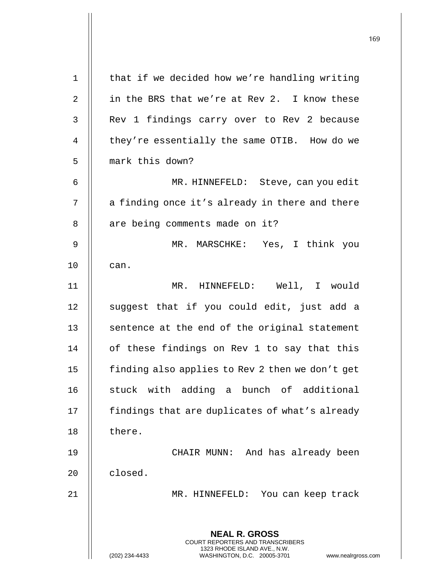| $\mathbf 1$    | that if we decided how we're handling writing                                                                                                                   |
|----------------|-----------------------------------------------------------------------------------------------------------------------------------------------------------------|
| $\overline{2}$ | in the BRS that we're at Rev 2. I know these                                                                                                                    |
| 3              | Rev 1 findings carry over to Rev 2 because                                                                                                                      |
| 4              | they're essentially the same OTIB. How do we                                                                                                                    |
| 5              | mark this down?                                                                                                                                                 |
| 6              | MR. HINNEFELD: Steve, can you edit                                                                                                                              |
| 7              | a finding once it's already in there and there                                                                                                                  |
| 8              | are being comments made on it?                                                                                                                                  |
| 9              | MR. MARSCHKE: Yes, I think you                                                                                                                                  |
| 10             | can.                                                                                                                                                            |
| 11             | MR. HINNEFELD: Well, I would                                                                                                                                    |
| 12             | suggest that if you could edit, just add a                                                                                                                      |
| 13             | sentence at the end of the original statement                                                                                                                   |
| 14             | of these findings on Rev 1 to say that this                                                                                                                     |
| 15             | finding also applies to Rev 2 then we don't get                                                                                                                 |
| 16             | stuck with adding a bunch of additional                                                                                                                         |
| 17             | findings that are duplicates of what's already                                                                                                                  |
| 18             | there.                                                                                                                                                          |
| 19             | CHAIR MUNN: And has already been                                                                                                                                |
| 20             | closed.                                                                                                                                                         |
| 21             | MR. HINNEFELD: You can keep track                                                                                                                               |
|                |                                                                                                                                                                 |
|                | <b>NEAL R. GROSS</b><br>COURT REPORTERS AND TRANSCRIBERS<br>1323 RHODE ISLAND AVE., N.W.<br>(202) 234-4433<br>WASHINGTON, D.C. 20005-3701<br>www.nealrgross.com |

 $\mathsf{I}$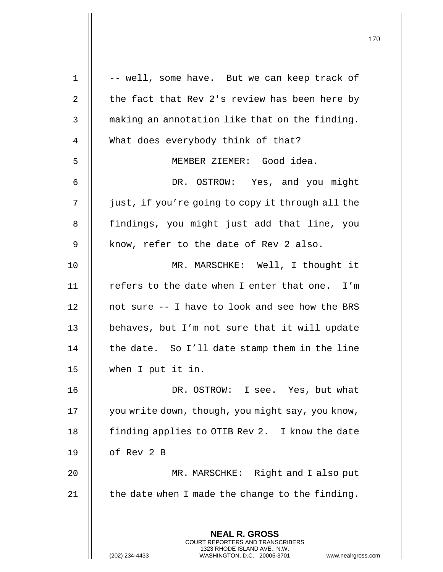| $\mathbf 1$ | -- well, some have. But we can keep track of                                                                                                                         |
|-------------|----------------------------------------------------------------------------------------------------------------------------------------------------------------------|
| 2           | the fact that Rev 2's review has been here by                                                                                                                        |
| 3           | making an annotation like that on the finding.                                                                                                                       |
| 4           | What does everybody think of that?                                                                                                                                   |
| 5           | MEMBER ZIEMER: Good idea.                                                                                                                                            |
| 6           | DR. OSTROW: Yes, and you might                                                                                                                                       |
| 7           | just, if you're going to copy it through all the                                                                                                                     |
| 8           | findings, you might just add that line, you                                                                                                                          |
| 9           | know, refer to the date of Rev 2 also.                                                                                                                               |
| 10          | MR. MARSCHKE: Well, I thought it                                                                                                                                     |
| 11          | refers to the date when I enter that one. I'm                                                                                                                        |
| 12          | not sure -- I have to look and see how the BRS                                                                                                                       |
| 13          | behaves, but I'm not sure that it will update                                                                                                                        |
| 14          | the date. So I'll date stamp them in the line                                                                                                                        |
| 15          | when I put it in.                                                                                                                                                    |
| 16          | DR. OSTROW: I see. Yes, but what                                                                                                                                     |
| 17          | you write down, though, you might say, you know,                                                                                                                     |
| 18          | finding applies to OTIB Rev 2. I know the date                                                                                                                       |
| 19          | of Rev 2 B                                                                                                                                                           |
| 20          | MR. MARSCHKE: Right and I also put                                                                                                                                   |
| 21          | the date when I made the change to the finding.                                                                                                                      |
|             |                                                                                                                                                                      |
|             | <b>NEAL R. GROSS</b><br><b>COURT REPORTERS AND TRANSCRIBERS</b><br>1323 RHODE ISLAND AVE., N.W.<br>(202) 234-4433<br>WASHINGTON, D.C. 20005-3701<br>www.nealrgross.o |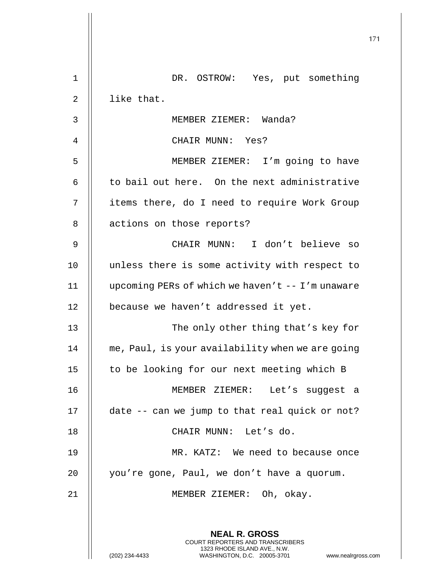|                |                                                                                                                                                                        | 171 |
|----------------|------------------------------------------------------------------------------------------------------------------------------------------------------------------------|-----|
| $\mathbf 1$    | DR. OSTROW: Yes, put something                                                                                                                                         |     |
| $\overline{2}$ | like that.                                                                                                                                                             |     |
| 3              | MEMBER ZIEMER: Wanda?                                                                                                                                                  |     |
| 4              | CHAIR MUNN: Yes?                                                                                                                                                       |     |
| 5              | MEMBER ZIEMER: I'm going to have                                                                                                                                       |     |
| 6              | to bail out here. On the next administrative                                                                                                                           |     |
| 7              | items there, do I need to require Work Group                                                                                                                           |     |
| 8              | actions on those reports?                                                                                                                                              |     |
| 9              | CHAIR MUNN: I don't believe so                                                                                                                                         |     |
| 10             | unless there is some activity with respect to                                                                                                                          |     |
| 11             | upcoming PERs of which we haven't $-- I'm$ unaware                                                                                                                     |     |
| 12             | because we haven't addressed it yet.                                                                                                                                   |     |
| 13             | The only other thing that's key for                                                                                                                                    |     |
| 14             | me, Paul, is your availability when we are going                                                                                                                       |     |
| 15             | to be looking for our next meeting which B                                                                                                                             |     |
| 16             | MEMBER ZIEMER: Let's suggest a                                                                                                                                         |     |
| 17             | date -- can we jump to that real quick or not?                                                                                                                         |     |
| 18             | CHAIR MUNN: Let's do.                                                                                                                                                  |     |
| 19             | MR. KATZ: We need to because once                                                                                                                                      |     |
| 20             | you're gone, Paul, we don't have a quorum.                                                                                                                             |     |
| 21             | MEMBER ZIEMER: Oh, okay.                                                                                                                                               |     |
|                |                                                                                                                                                                        |     |
|                | <b>NEAL R. GROSS</b><br><b>COURT REPORTERS AND TRANSCRIBERS</b><br>1323 RHODE ISLAND AVE., N.W.<br>(202) 234-4433<br>WASHINGTON, D.C. 20005-3701<br>www.nealrgross.com |     |

 $\mathop{\textstyle\prod}$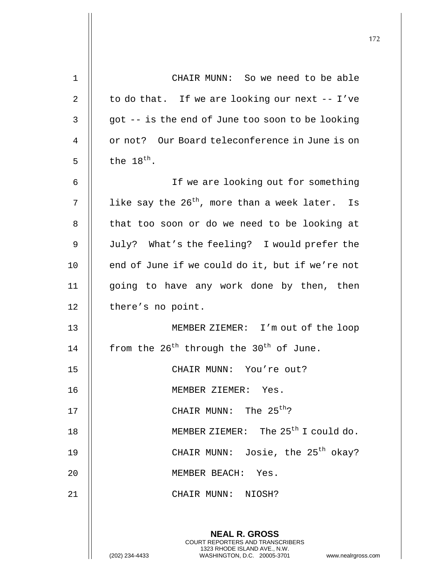| 1  | CHAIR MUNN: So we need to be able                                                                                                                                      |
|----|------------------------------------------------------------------------------------------------------------------------------------------------------------------------|
| 2  | to do that. If we are looking our next -- I've                                                                                                                         |
| 3  | got -- is the end of June too soon to be looking                                                                                                                       |
| 4  | or not? Our Board teleconference in June is on                                                                                                                         |
| 5  | the $18^{th}$ .                                                                                                                                                        |
| 6  | If we are looking out for something                                                                                                                                    |
| 7  | like say the 26 <sup>th</sup> , more than a week later. Is                                                                                                             |
| 8  | that too soon or do we need to be looking at                                                                                                                           |
| 9  | July? What's the feeling? I would prefer the                                                                                                                           |
| 10 | end of June if we could do it, but if we're not                                                                                                                        |
| 11 | going to have any work done by then, then                                                                                                                              |
| 12 | there's no point.                                                                                                                                                      |
| 13 | MEMBER ZIEMER: I'm out of the loop                                                                                                                                     |
| 14 | from the 26 <sup>th</sup> through the 30 <sup>th</sup> of June.                                                                                                        |
| 15 | CHAIR MUNN: You're out?                                                                                                                                                |
| 16 | MEMBER ZIEMER: Yes.                                                                                                                                                    |
| 17 | CHAIR MUNN: The $25th$ ?                                                                                                                                               |
| 18 | MEMBER ZIEMER: The 25 <sup>th</sup> I could do.                                                                                                                        |
| 19 | CHAIR MUNN: Josie, the $25th$ okay?                                                                                                                                    |
| 20 | MEMBER BEACH: Yes.                                                                                                                                                     |
| 21 | CHAIR MUNN: NIOSH?                                                                                                                                                     |
|    |                                                                                                                                                                        |
|    | <b>NEAL R. GROSS</b><br><b>COURT REPORTERS AND TRANSCRIBERS</b><br>1323 RHODE ISLAND AVE., N.W.<br>(202) 234-4433<br>WASHINGTON, D.C. 20005-3701<br>www.nealrgross.com |

 $\mathbf{I}$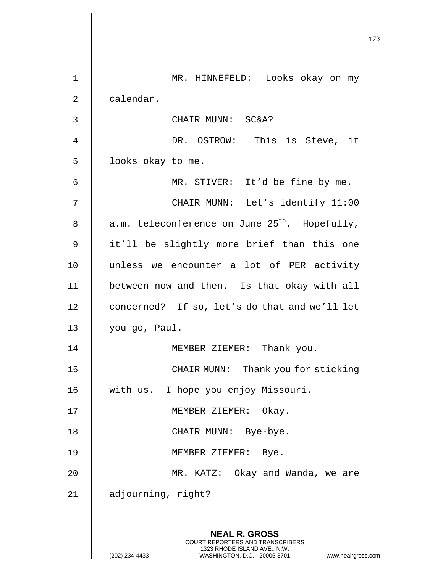|              |                                                                                                                                                                 | 173 |
|--------------|-----------------------------------------------------------------------------------------------------------------------------------------------------------------|-----|
| $\mathbf 1$  | MR. HINNEFELD: Looks okay on my                                                                                                                                 |     |
| 2            | calendar.                                                                                                                                                       |     |
| $\mathsf{3}$ | CHAIR MUNN: SC&A?                                                                                                                                               |     |
| 4            | DR. OSTROW: This is Steve, it                                                                                                                                   |     |
| 5            | looks okay to me.                                                                                                                                               |     |
| 6            | MR. STIVER: It'd be fine by me.                                                                                                                                 |     |
| 7            | CHAIR MUNN: Let's identify 11:00                                                                                                                                |     |
| 8            | a.m. teleconference on June 25 <sup>th</sup> . Hopefully,                                                                                                       |     |
| 9            | it'll be slightly more brief than this one                                                                                                                      |     |
| 10           | unless we encounter a lot of PER activity                                                                                                                       |     |
| 11           | between now and then. Is that okay with all                                                                                                                     |     |
| 12           | concerned? If so, let's do that and we'll let                                                                                                                   |     |
| 13           | you go, Paul.                                                                                                                                                   |     |
| 14           | MEMBER ZIEMER: Thank you.                                                                                                                                       |     |
| 15           | Thank you for sticking<br>CHAIR MUNN:                                                                                                                           |     |
| 16           | with us. I hope you enjoy Missouri.                                                                                                                             |     |
| 17           | MEMBER ZIEMER:<br>Okay.                                                                                                                                         |     |
| 18           | CHAIR MUNN: Bye-bye.                                                                                                                                            |     |
| 19           | MEMBER ZIEMER: Bye.                                                                                                                                             |     |
| 20           | MR. KATZ: Okay and Wanda, we are                                                                                                                                |     |
| 21           | adjourning, right?                                                                                                                                              |     |
|              | <b>NEAL R. GROSS</b><br>COURT REPORTERS AND TRANSCRIBERS<br>1323 RHODE ISLAND AVE., N.W.<br>(202) 234-4433<br>WASHINGTON, D.C. 20005-3701<br>www.nealrgross.com |     |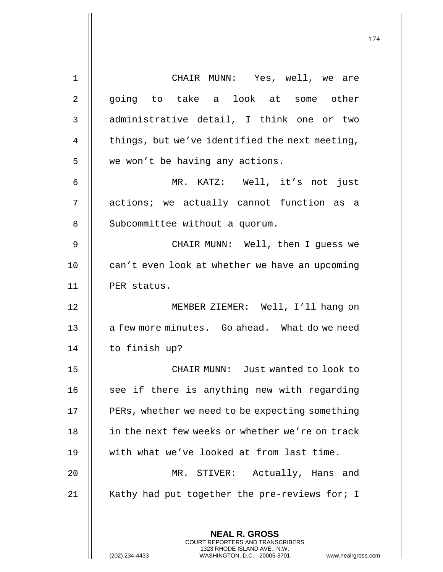| $\mathbf 1$    | CHAIR MUNN: Yes, well, we are                                                                   |
|----------------|-------------------------------------------------------------------------------------------------|
| $\overline{2}$ | going to take a look at some other                                                              |
| $\mathsf{3}$   | administrative detail, I think one or two                                                       |
| $\overline{4}$ | things, but we've identified the next meeting,                                                  |
| 5              | we won't be having any actions.                                                                 |
| 6              | MR. KATZ: Well, it's not just                                                                   |
| 7              | actions; we actually cannot function as a                                                       |
| 8              | Subcommittee without a quorum.                                                                  |
| 9              | CHAIR MUNN: Well, then I guess we                                                               |
| 10             | can't even look at whether we have an upcoming                                                  |
| 11             | PER status.                                                                                     |
| 12             | MEMBER ZIEMER: Well, I'll hang on                                                               |
| 13             | a few more minutes. Go ahead. What do we need                                                   |
| 14             | to finish up?                                                                                   |
| 15             | CHAIR MUNN: Just wanted to look to                                                              |
| 16             | see if there is anything new with regarding                                                     |
| 17             | PERs, whether we need to be expecting something                                                 |
| 18             | in the next few weeks or whether we're on track                                                 |
| 19             | with what we've looked at from last time.                                                       |
| 20             | MR. STIVER: Actually, Hans and                                                                  |
| 21             | Kathy had put together the pre-reviews for; I                                                   |
|                |                                                                                                 |
|                | <b>NEAL R. GROSS</b><br><b>COURT REPORTERS AND TRANSCRIBERS</b>                                 |
|                | 1323 RHODE ISLAND AVE., N.W.<br>WASHINGTON, D.C. 20005-3701<br>(202) 234-4433<br>www.nealrgross |

(202) 234-4433 WASHINGTON, D.C. 20005-3701 www.nealrgross.com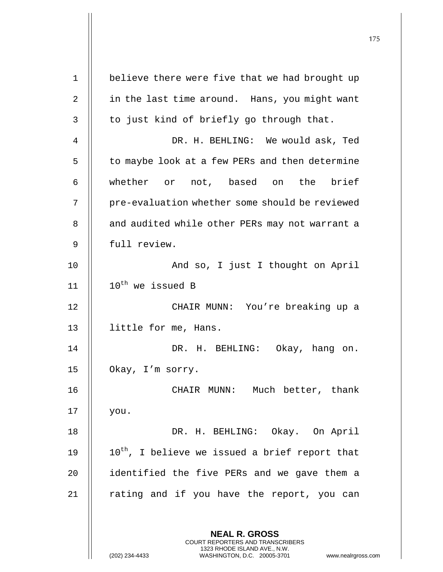| $\mathbf 1$ | believe there were five that we had brought up                                                      |
|-------------|-----------------------------------------------------------------------------------------------------|
| 2           | in the last time around. Hans, you might want                                                       |
| 3           | to just kind of briefly go through that.                                                            |
| 4           | DR. H. BEHLING: We would ask, Ted                                                                   |
| 5           | to maybe look at a few PERs and then determine                                                      |
| 6           | whether or not, based on the brief                                                                  |
| 7           | pre-evaluation whether some should be reviewed                                                      |
| 8           | and audited while other PERs may not warrant a                                                      |
| 9           | full review.                                                                                        |
| 10          | And so, I just I thought on April                                                                   |
| 11          | 10 <sup>th</sup> we issued B                                                                        |
| 12          | CHAIR MUNN: You're breaking up a                                                                    |
| 13          | little for me, Hans.                                                                                |
| 14          | DR. H. BEHLING:<br>Okay, hang on.                                                                   |
| 15          | Okay, I'm sorry.                                                                                    |
| 16          | CHAIR MUNN: Much better, thank                                                                      |
| 17          | you.                                                                                                |
| 18          | DR. H. BEHLING: Okay. On April                                                                      |
| 19          | 10 <sup>th</sup> , I believe we issued a brief report that                                          |
| 20          | identified the five PERs and we gave them a                                                         |
| 21          | rating and if you have the report, you can                                                          |
|             |                                                                                                     |
|             | <b>NEAL R. GROSS</b><br>COURT REPORTERS AND TRANSCRIBERS                                            |
|             | 1323 RHODE ISLAND AVE., N.W.<br>(202) 234-4433<br>WASHINGTON, D.C. 20005-3701<br>www.nealrgross.com |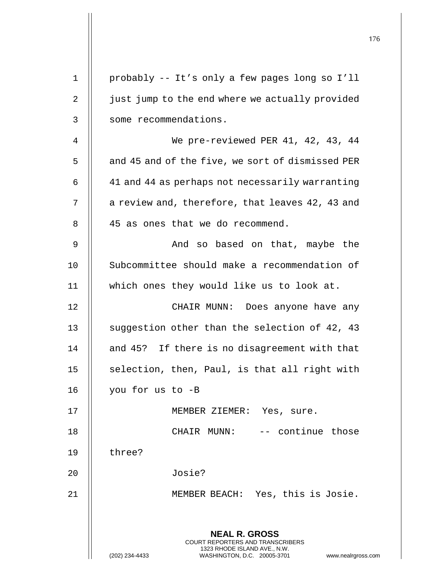|    |                                                                                                                                                              | 176 |
|----|--------------------------------------------------------------------------------------------------------------------------------------------------------------|-----|
| 1  | probably -- It's only a few pages long so I'll                                                                                                               |     |
| 2  | just jump to the end where we actually provided                                                                                                              |     |
| 3  | some recommendations.                                                                                                                                        |     |
| 4  | We pre-reviewed PER 41, 42, 43, 44                                                                                                                           |     |
| 5  | and 45 and of the five, we sort of dismissed PER                                                                                                             |     |
| 6  | 41 and 44 as perhaps not necessarily warranting                                                                                                              |     |
| 7  | a review and, therefore, that leaves 42, 43 and                                                                                                              |     |
| 8  | 45 as ones that we do recommend.                                                                                                                             |     |
| 9  | And so based on that, maybe the                                                                                                                              |     |
| 10 | Subcommittee should make a recommendation of                                                                                                                 |     |
| 11 | which ones they would like us to look at.                                                                                                                    |     |
| 12 | CHAIR MUNN: Does anyone have any                                                                                                                             |     |
| 13 | suggestion other than the selection of 42, 43                                                                                                                |     |
| 14 | and 45? If there is no disagreement with that                                                                                                                |     |
| 15 | selection, then, Paul, is that all right with                                                                                                                |     |
| 16 | you for us to -B                                                                                                                                             |     |
| 17 | MEMBER ZIEMER: Yes, sure.                                                                                                                                    |     |
| 18 | CHAIR MUNN: -- continue those                                                                                                                                |     |
| 19 | three?                                                                                                                                                       |     |
| 20 | Josie?                                                                                                                                                       |     |
| 21 | MEMBER BEACH: Yes, this is Josie.                                                                                                                            |     |
|    | <b>NEAL R. GROSS</b><br>COURT REPORTERS AND TRANSCRIBERS<br>1323 RHODE ISLAND AVE., N.W.<br>(202) 234-4433<br>WASHINGTON, D.C. 20005-3701 www.nealrgross.com |     |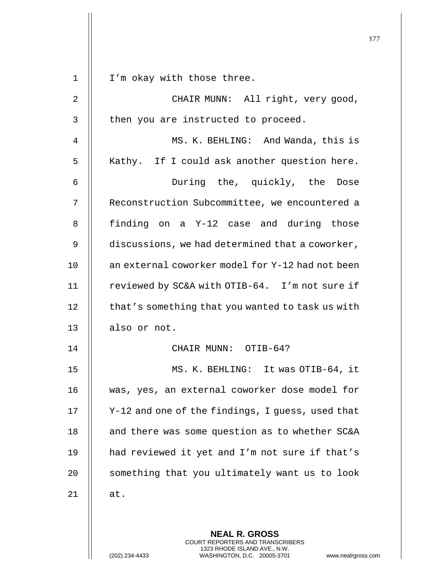|                |                                                                                                     | 177 |
|----------------|-----------------------------------------------------------------------------------------------------|-----|
|                |                                                                                                     |     |
| $\mathbf 1$    | I'm okay with those three.                                                                          |     |
| $\overline{2}$ | CHAIR MUNN: All right, very good,                                                                   |     |
| 3              | then you are instructed to proceed.                                                                 |     |
| 4              | MS. K. BEHLING: And Wanda, this is                                                                  |     |
| 5              | Kathy. If I could ask another question here.                                                        |     |
| 6              | During the, quickly, the Dose                                                                       |     |
| 7              | Reconstruction Subcommittee, we encountered a                                                       |     |
| 8              | finding on a Y-12 case and during those                                                             |     |
| 9              | discussions, we had determined that a coworker,                                                     |     |
| 10             | an external coworker model for Y-12 had not been                                                    |     |
| 11             | reviewed by SC&A with OTIB-64. I'm not sure if                                                      |     |
| 12             | that's something that you wanted to task us with                                                    |     |
| 13             | also or not.                                                                                        |     |
| 14             | CHAIR MUNN: OTIB-64?                                                                                |     |
| 15             | MS. K. BEHLING: It was OTIB-64, it                                                                  |     |
| 16             | was, yes, an external coworker dose model for                                                       |     |
| 17             | Y-12 and one of the findings, I guess, used that                                                    |     |
| 18             | and there was some question as to whether SC&A                                                      |     |
| 19             | had reviewed it yet and I'm not sure if that's                                                      |     |
| 20             | something that you ultimately want us to look                                                       |     |
| 21             | at.                                                                                                 |     |
|                |                                                                                                     |     |
|                | <b>NEAL R. GROSS</b><br><b>COURT REPORTERS AND TRANSCRIBERS</b>                                     |     |
|                | 1323 RHODE ISLAND AVE., N.W.<br>(202) 234-4433<br>WASHINGTON, D.C. 20005-3701<br>www.nealrgross.com |     |

 $\mathop{\textstyle\prod}$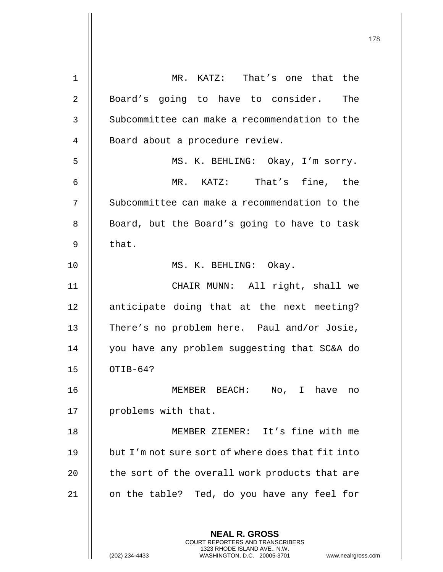| $\mathbf 1$  | MR. KATZ: That's one that the                                                                   |
|--------------|-------------------------------------------------------------------------------------------------|
| 2            | Board's going to have to consider. The                                                          |
| $\mathsf{3}$ | Subcommittee can make a recommendation to the                                                   |
| 4            | Board about a procedure review.                                                                 |
| 5            | MS. K. BEHLING: Okay, I'm sorry.                                                                |
| 6            | MR. KATZ: That's fine, the                                                                      |
| 7            | Subcommittee can make a recommendation to the                                                   |
| 8            | Board, but the Board's going to have to task                                                    |
| 9            | that.                                                                                           |
| 10           | MS. K. BEHLING: Okay.                                                                           |
| 11           | CHAIR MUNN: All right, shall we                                                                 |
| 12           | anticipate doing that at the next meeting?                                                      |
| 13           | There's no problem here. Paul and/or Josie,                                                     |
| 14           | you have any problem suggesting that SC&A do                                                    |
| 15           | OTIB-64?                                                                                        |
| 16           | No, I have<br>MEMBER BEACH:<br>no                                                               |
| 17           | problems with that.                                                                             |
| 18           | MEMBER ZIEMER: It's fine with me                                                                |
| 19           | but I'm not sure sort of where does that fit into                                               |
| 20           | the sort of the overall work products that are                                                  |
| 21           | on the table? Ted, do you have any feel for                                                     |
|              |                                                                                                 |
|              | <b>NEAL R. GROSS</b><br>COURT REPORTERS AND TRANSCRIBERS                                        |
|              | 1323 RHODE ISLAND AVE., N.W.<br>(202) 234-4433<br>WASHINGTON, D.C. 20005-3701<br>www.nealrgross |

(202) 234-4433 WASHINGTON, D.C. 20005-3701 www.nealrgross.com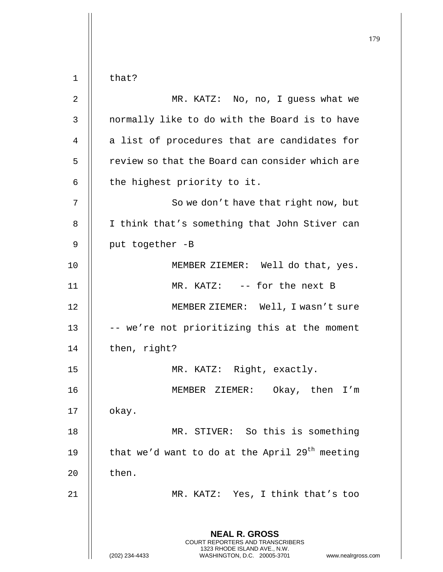179 **NEAL R. GROSS** COURT REPORTERS AND TRANSCRIBERS 1323 RHODE ISLAND AVE., N.W. (202) 234-4433 WASHINGTON, D.C. 20005-3701 www.nealrgross.com  $1 \parallel$  that? 2 || MR. KATZ: No, no, I guess what we  $3$   $\parallel$  normally like to do with the Board is to have  $4$  || a list of procedures that are candidates for 5 | review so that the Board can consider which are  $6$  | the highest priority to it. 7 || So we don't have that right now, but 8 || I think that's something that John Stiver can  $9$  | put together -B 10 || MEMBER ZIEMER: Well do that, yes. 11 || MR. KATZ: -- for the next B 12 MEMBER ZIEMER: Well, I wasn't sure 13  $\parallel$  -- we're not prioritizing this at the moment 14 | then, right? 15 || MR. KATZ: Right, exactly. 16 MEMBER ZIEMER: Okay, then I'm  $17$  | okay. 18 || MR. STIVER: So this is something 19  $\parallel$  that we'd want to do at the April 29<sup>th</sup> meeting  $20$  | then. 21 || MR. KATZ: Yes, I think that's too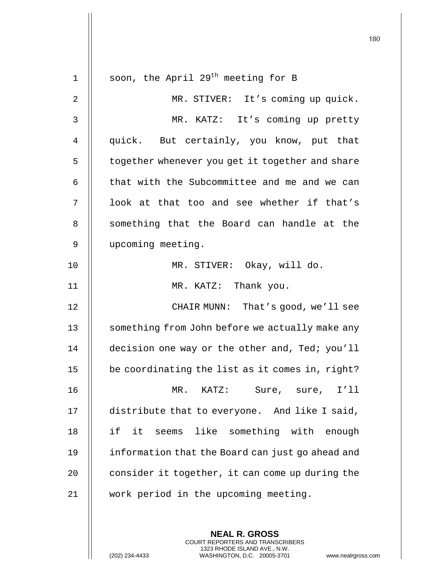|             |                                                  | 180 |
|-------------|--------------------------------------------------|-----|
| $\mathbf 1$ | soon, the April 29 <sup>th</sup> meeting for B   |     |
| 2           | MR. STIVER: It's coming up quick.                |     |
| 3           | MR. KATZ: It's coming up pretty                  |     |
| 4           | quick. But certainly, you know, put that         |     |
| 5           | together whenever you get it together and share  |     |
| 6           | that with the Subcommittee and me and we can     |     |
| 7           | look at that too and see whether if that's       |     |
| 8           | something that the Board can handle at the       |     |
| 9           | upcoming meeting.                                |     |
| 10          | MR. STIVER: Okay, will do.                       |     |
| 11          | MR. KATZ: Thank you.                             |     |
| 12          | CHAIR MUNN: That's good, we'll see               |     |
| 13          | something from John before we actually make any  |     |
| 14          | decision one way or the other and, Ted; you'll   |     |
| 15          | be coordinating the list as it comes in, right?  |     |
| 16          | $MR$ .<br>KATZ: Sure, sure, I'll                 |     |
| 17          | distribute that to everyone. And like I said,    |     |
| 18          | if<br>like something with enough<br>it<br>seems  |     |
| 19          | information that the Board can just go ahead and |     |
| 20          | consider it together, it can come up during the  |     |
| $2\sqrt{1}$ | work period in the upcoming meeting.             |     |
|             |                                                  |     |

**NEAL R. GROSS** COURT REPORTERS AND TRANSCRIBERS 1323 RHODE ISLAND AVE., N.W.